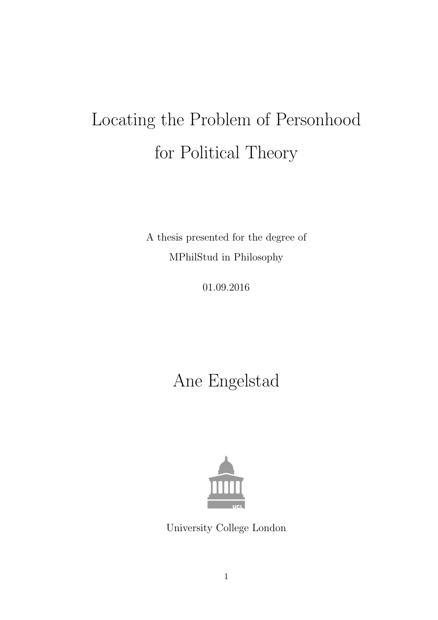# Locating the Problem of Personhood for Political Theory

A thesis presented for the degree of MPhilStud in Philosophy

01.09.2016

Ane Engelstad



University College London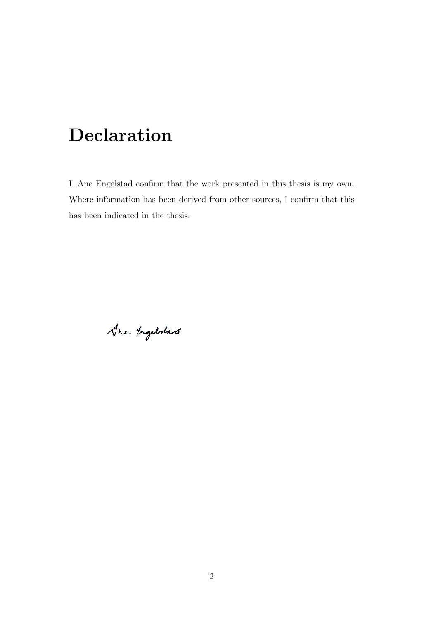# Declaration

I, Ane Engelstad confirm that the work presented in this thesis is my own. Where information has been derived from other sources, I confirm that this has been indicated in the thesis.

Are Engelstad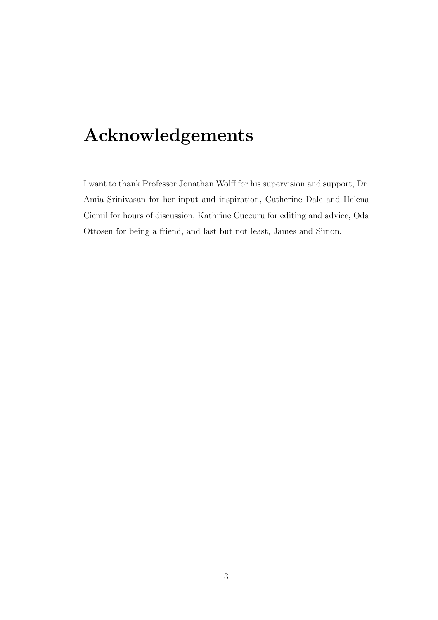# Acknowledgements

I want to thank Professor Jonathan Wolff for his supervision and support, Dr. Amia Srinivasan for her input and inspiration, Catherine Dale and Helena Cicmil for hours of discussion, Kathrine Cuccuru for editing and advice, Oda Ottosen for being a friend, and last but not least, James and Simon.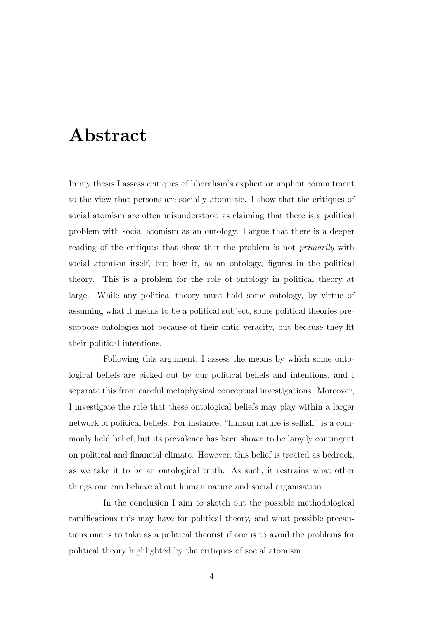# Abstract

In my thesis I assess critiques of liberalism's explicit or implicit commitment to the view that persons are socially atomistic. I show that the critiques of social atomism are often misunderstood as claiming that there is a political problem with social atomism as an ontology. l argue that there is a deeper reading of the critiques that show that the problem is not *primarily* with social atomism itself, but how it, as an ontology, figures in the political theory. This is a problem for the role of ontology in political theory at large. While any political theory must hold some ontology, by virtue of assuming what it means to be a political subject, some political theories presuppose ontologies not because of their ontic veracity, but because they fit their political intentions.

Following this argument, I assess the means by which some ontological beliefs are picked out by our political beliefs and intentions, and I separate this from careful metaphysical conceptual investigations. Moreover, I investigate the role that these ontological beliefs may play within a larger network of political beliefs. For instance, "human nature is selfish" is a commonly held belief, but its prevalence has been shown to be largely contingent on political and financial climate. However, this belief is treated as bedrock, as we take it to be an ontological truth. As such, it restrains what other things one can believe about human nature and social organisation.

In the conclusion I aim to sketch out the possible methodological ramifications this may have for political theory, and what possible precautions one is to take as a political theorist if one is to avoid the problems for political theory highlighted by the critiques of social atomism.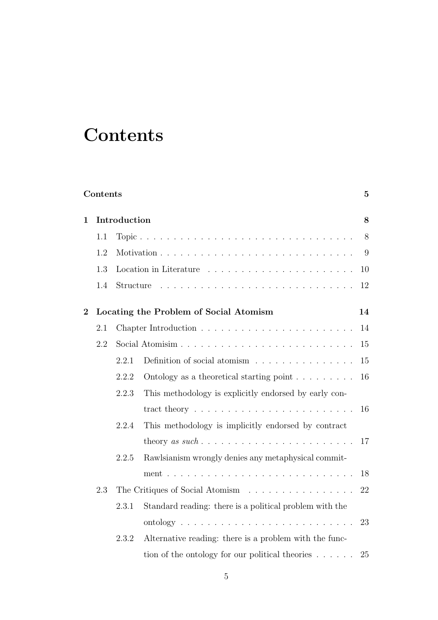# **Contents**

|                | Contents<br>$\mathbf{5}$ |       |                                                                        |        |  |  |  |  |
|----------------|--------------------------|-------|------------------------------------------------------------------------|--------|--|--|--|--|
| $\mathbf{1}$   | Introduction             |       |                                                                        |        |  |  |  |  |
|                | 1.1                      |       |                                                                        | $8\,$  |  |  |  |  |
|                | 1.2                      |       |                                                                        | 9      |  |  |  |  |
|                | 1.3                      |       |                                                                        | 10     |  |  |  |  |
|                | 1.4                      |       |                                                                        | 12     |  |  |  |  |
| $\overline{2}$ |                          |       | Locating the Problem of Social Atomism                                 | 14     |  |  |  |  |
|                | 2.1                      |       |                                                                        | $14\,$ |  |  |  |  |
|                | 2.2                      |       |                                                                        | 15     |  |  |  |  |
|                |                          | 2.2.1 | Definition of social atomism                                           | 15     |  |  |  |  |
|                |                          | 2.2.2 | Ontology as a theoretical starting point $\ldots \ldots \ldots$        | 16     |  |  |  |  |
|                |                          | 2.2.3 | This methodology is explicitly endorsed by early con-                  |        |  |  |  |  |
|                |                          |       | tract theory $\ldots \ldots \ldots \ldots \ldots \ldots \ldots \ldots$ | 16     |  |  |  |  |
|                |                          | 2.2.4 | This methodology is implicitly endorsed by contract                    |        |  |  |  |  |
|                |                          |       |                                                                        | 17     |  |  |  |  |
|                |                          | 2.2.5 | Rawlsianism wrongly denies any metaphysical commit-                    |        |  |  |  |  |
|                |                          |       |                                                                        | 18     |  |  |  |  |
|                | 2.3                      |       | The Critiques of Social Atomism                                        | 22     |  |  |  |  |
|                |                          | 2.3.1 | Standard reading: there is a political problem with the                |        |  |  |  |  |
|                |                          |       |                                                                        | 23     |  |  |  |  |
|                |                          | 2.3.2 | Alternative reading: there is a problem with the func-                 |        |  |  |  |  |
|                |                          |       | tion of the ontology for our political theories $\dots$ .              | 25     |  |  |  |  |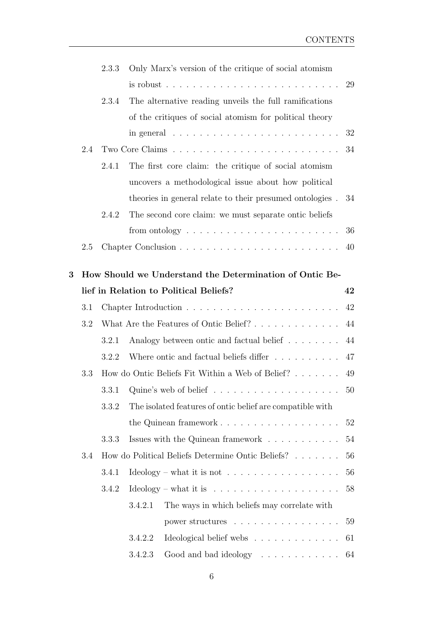|     | 2.3.3 | Only Marx's version of the critique of social atomism                               |                                                                                                                                                                                                                                                                                                                                                                                                                                                                          |  |  |  |
|-----|-------|-------------------------------------------------------------------------------------|--------------------------------------------------------------------------------------------------------------------------------------------------------------------------------------------------------------------------------------------------------------------------------------------------------------------------------------------------------------------------------------------------------------------------------------------------------------------------|--|--|--|
|     |       | is robust $\ldots \ldots \ldots \ldots \ldots \ldots \ldots \ldots$                 | 29                                                                                                                                                                                                                                                                                                                                                                                                                                                                       |  |  |  |
|     | 2.3.4 | The alternative reading unveils the full ramifications                              |                                                                                                                                                                                                                                                                                                                                                                                                                                                                          |  |  |  |
|     |       | of the critiques of social atomism for political theory                             |                                                                                                                                                                                                                                                                                                                                                                                                                                                                          |  |  |  |
|     |       | in general $\ldots \ldots \ldots \ldots \ldots \ldots \ldots \ldots$                | 32                                                                                                                                                                                                                                                                                                                                                                                                                                                                       |  |  |  |
| 2.4 |       |                                                                                     | 34                                                                                                                                                                                                                                                                                                                                                                                                                                                                       |  |  |  |
|     | 2.4.1 | The first core claim: the critique of social atomism                                |                                                                                                                                                                                                                                                                                                                                                                                                                                                                          |  |  |  |
|     |       | uncovers a methodological issue about how political                                 |                                                                                                                                                                                                                                                                                                                                                                                                                                                                          |  |  |  |
|     |       | theories in general relate to their presumed ontologies.                            | 34                                                                                                                                                                                                                                                                                                                                                                                                                                                                       |  |  |  |
|     | 2.4.2 | The second core claim: we must separate ontic beliefs                               |                                                                                                                                                                                                                                                                                                                                                                                                                                                                          |  |  |  |
|     |       | from ontology $\dots \dots \dots \dots \dots \dots \dots \dots$                     | 36                                                                                                                                                                                                                                                                                                                                                                                                                                                                       |  |  |  |
| 2.5 |       |                                                                                     | 40                                                                                                                                                                                                                                                                                                                                                                                                                                                                       |  |  |  |
|     |       |                                                                                     |                                                                                                                                                                                                                                                                                                                                                                                                                                                                          |  |  |  |
| 42  |       |                                                                                     |                                                                                                                                                                                                                                                                                                                                                                                                                                                                          |  |  |  |
| 3.1 |       |                                                                                     | 42                                                                                                                                                                                                                                                                                                                                                                                                                                                                       |  |  |  |
| 3.2 |       | 44                                                                                  |                                                                                                                                                                                                                                                                                                                                                                                                                                                                          |  |  |  |
|     | 3.2.1 | Analogy between ontic and factual belief                                            | 44                                                                                                                                                                                                                                                                                                                                                                                                                                                                       |  |  |  |
|     | 3.2.2 | Where ontic and factual beliefs differ                                              | 47                                                                                                                                                                                                                                                                                                                                                                                                                                                                       |  |  |  |
| 3.3 |       |                                                                                     |                                                                                                                                                                                                                                                                                                                                                                                                                                                                          |  |  |  |
|     | 3.3.1 |                                                                                     | 50                                                                                                                                                                                                                                                                                                                                                                                                                                                                       |  |  |  |
|     | 3.3.2 | The isolated features of ontic belief are compatible with                           |                                                                                                                                                                                                                                                                                                                                                                                                                                                                          |  |  |  |
|     |       | the Quinean framework $\dots \dots \dots \dots \dots \dots \dots$                   | 52                                                                                                                                                                                                                                                                                                                                                                                                                                                                       |  |  |  |
|     | 3.3.3 | Issues with the Quinean framework $\;\ldots\; \ldots\; \ldots\; \ldots\; \ldots\;$  |                                                                                                                                                                                                                                                                                                                                                                                                                                                                          |  |  |  |
| 3.4 |       |                                                                                     | 54<br>56                                                                                                                                                                                                                                                                                                                                                                                                                                                                 |  |  |  |
|     | 3.4.1 | $\text{Ideology} - \text{what it is not} \dots \dots \dots \dots \dots \dots \dots$ | 56                                                                                                                                                                                                                                                                                                                                                                                                                                                                       |  |  |  |
|     | 3.4.2 |                                                                                     | 58                                                                                                                                                                                                                                                                                                                                                                                                                                                                       |  |  |  |
|     |       | 3.4.2.1                                                                             |                                                                                                                                                                                                                                                                                                                                                                                                                                                                          |  |  |  |
|     |       | power structures                                                                    | 59                                                                                                                                                                                                                                                                                                                                                                                                                                                                       |  |  |  |
|     |       | Ideological belief webs<br>3.4.2.2                                                  | 61                                                                                                                                                                                                                                                                                                                                                                                                                                                                       |  |  |  |
|     |       | 3.4.2.3<br>Good and bad ideology                                                    | 64                                                                                                                                                                                                                                                                                                                                                                                                                                                                       |  |  |  |
|     |       |                                                                                     | How Should we Understand the Determination of Ontic Be-<br>lief in Relation to Political Beliefs?<br>What Are the Features of Ontic Belief?<br>How do Ontic Beliefs Fit Within a Web of Belief?<br>49<br>Quine's web of belief $\ldots \ldots \ldots \ldots \ldots \ldots$<br>How do Political Beliefs Determine Ontic Beliefs?<br>$\text{Ideology} - \text{what it is} \dots \dots \dots \dots \dots \dots \dots \dots$<br>The ways in which beliefs may correlate with |  |  |  |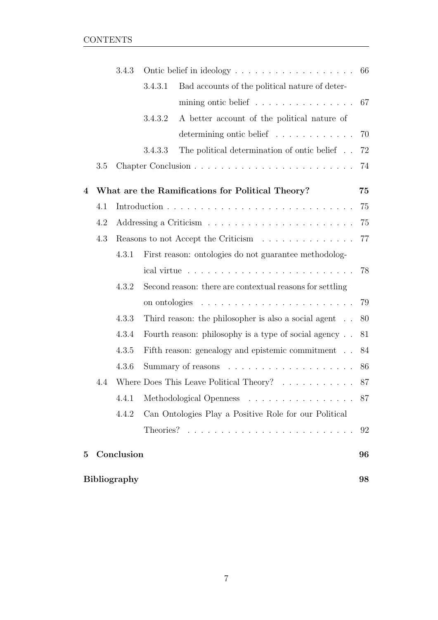|          |     | 3.4.3               |         |                                                                          |    |  |
|----------|-----|---------------------|---------|--------------------------------------------------------------------------|----|--|
|          |     |                     | 3.4.3.1 | Bad accounts of the political nature of deter-                           |    |  |
|          |     |                     |         | mining ontic belief $\ldots \ldots \ldots \ldots \ldots 67$              |    |  |
|          |     |                     | 3.4.3.2 | A better account of the political nature of                              |    |  |
|          |     |                     |         | determining ontic belief                                                 | 70 |  |
|          |     |                     | 3.4.3.3 | The political determination of ontic belief                              | 72 |  |
|          | 3.5 |                     |         |                                                                          | 74 |  |
| 4        |     |                     |         | What are the Ramifications for Political Theory?                         | 75 |  |
|          | 4.1 |                     |         |                                                                          | 75 |  |
|          | 4.2 |                     |         |                                                                          | 75 |  |
|          | 4.3 |                     |         | Reasons to not Accept the Criticism                                      | 77 |  |
|          |     | 4.3.1               |         | First reason: ontologies do not guarantee methodolog-                    |    |  |
|          |     |                     |         |                                                                          | 78 |  |
|          |     | 4.3.2               |         | Second reason: there are contextual reasons for settling                 |    |  |
|          |     |                     |         |                                                                          | 79 |  |
|          |     | 4.3.3               |         | Third reason: the philosopher is also a social agent                     | 80 |  |
|          |     | 4.3.4               |         | Fourth reason: philosophy is a type of social agency                     | 81 |  |
|          |     | 4.3.5               |         | Fifth reason: genealogy and epistemic commitment                         | 84 |  |
|          |     | 4.3.6               |         |                                                                          | 86 |  |
|          | 4.4 |                     |         | Where Does This Leave Political Theory? $\ldots \ldots \ldots \ldots$ 87 |    |  |
|          |     | 4.4.1               |         | Methodological Openness                                                  | 87 |  |
|          |     | 4.4.2               |         | Can Ontologies Play a Positive Role for our Political                    |    |  |
|          |     |                     |         |                                                                          | 92 |  |
| $\bf{5}$ |     | Conclusion          |         |                                                                          | 96 |  |
|          |     | <b>Bibliography</b> |         |                                                                          | 98 |  |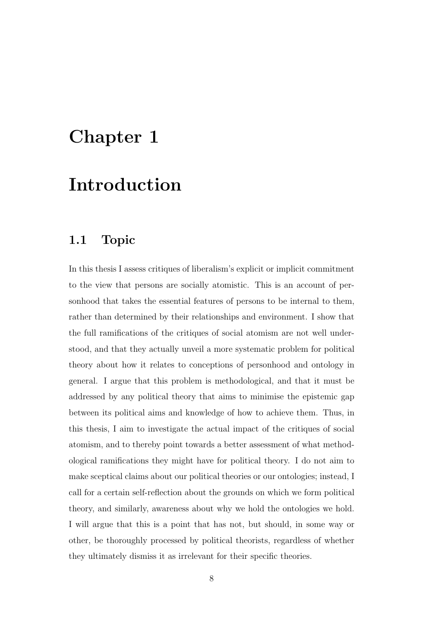# Chapter 1

# Introduction

#### 1.1 Topic

In this thesis I assess critiques of liberalism's explicit or implicit commitment to the view that persons are socially atomistic. This is an account of personhood that takes the essential features of persons to be internal to them, rather than determined by their relationships and environment. I show that the full ramifications of the critiques of social atomism are not well understood, and that they actually unveil a more systematic problem for political theory about how it relates to conceptions of personhood and ontology in general. I argue that this problem is methodological, and that it must be addressed by any political theory that aims to minimise the epistemic gap between its political aims and knowledge of how to achieve them. Thus, in this thesis, I aim to investigate the actual impact of the critiques of social atomism, and to thereby point towards a better assessment of what methodological ramifications they might have for political theory. I do not aim to make sceptical claims about our political theories or our ontologies; instead, I call for a certain self-reflection about the grounds on which we form political theory, and similarly, awareness about why we hold the ontologies we hold. I will argue that this is a point that has not, but should, in some way or other, be thoroughly processed by political theorists, regardless of whether they ultimately dismiss it as irrelevant for their specific theories.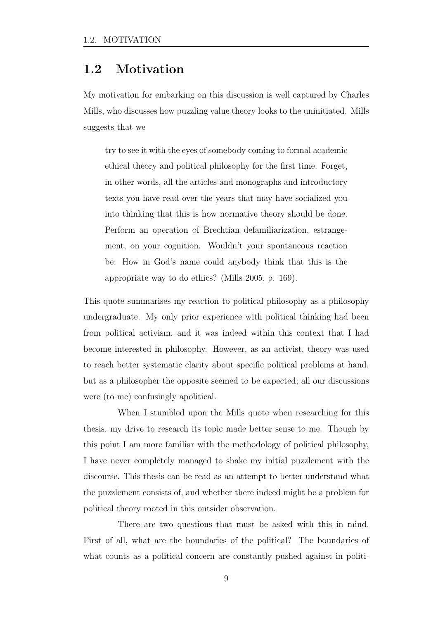#### 1.2 Motivation

My motivation for embarking on this discussion is well captured by Charles Mills, who discusses how puzzling value theory looks to the uninitiated. Mills suggests that we

try to see it with the eyes of somebody coming to formal academic ethical theory and political philosophy for the first time. Forget, in other words, all the articles and monographs and introductory texts you have read over the years that may have socialized you into thinking that this is how normative theory should be done. Perform an operation of Brechtian defamiliarization, estrangement, on your cognition. Wouldn't your spontaneous reaction be: How in God's name could anybody think that this is the appropriate way to do ethics? (Mills 2005, p. 169).

This quote summarises my reaction to political philosophy as a philosophy undergraduate. My only prior experience with political thinking had been from political activism, and it was indeed within this context that I had become interested in philosophy. However, as an activist, theory was used to reach better systematic clarity about specific political problems at hand, but as a philosopher the opposite seemed to be expected; all our discussions were (to me) confusingly apolitical.

When I stumbled upon the Mills quote when researching for this thesis, my drive to research its topic made better sense to me. Though by this point I am more familiar with the methodology of political philosophy, I have never completely managed to shake my initial puzzlement with the discourse. This thesis can be read as an attempt to better understand what the puzzlement consists of, and whether there indeed might be a problem for political theory rooted in this outsider observation.

There are two questions that must be asked with this in mind. First of all, what are the boundaries of the political? The boundaries of what counts as a political concern are constantly pushed against in politi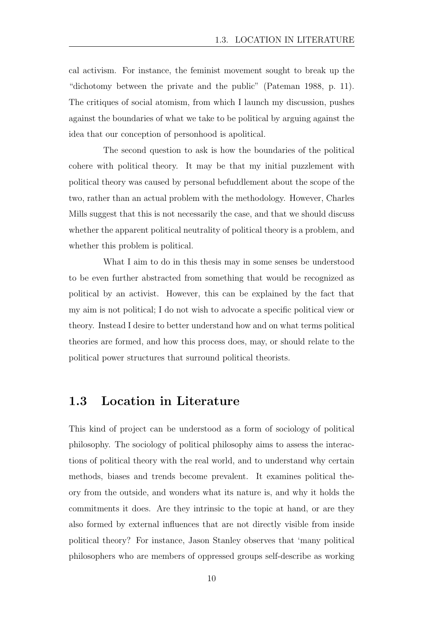cal activism. For instance, the feminist movement sought to break up the "dichotomy between the private and the public" (Pateman 1988, p. 11). The critiques of social atomism, from which I launch my discussion, pushes against the boundaries of what we take to be political by arguing against the idea that our conception of personhood is apolitical.

The second question to ask is how the boundaries of the political cohere with political theory. It may be that my initial puzzlement with political theory was caused by personal befuddlement about the scope of the two, rather than an actual problem with the methodology. However, Charles Mills suggest that this is not necessarily the case, and that we should discuss whether the apparent political neutrality of political theory is a problem, and whether this problem is political.

What I aim to do in this thesis may in some senses be understood to be even further abstracted from something that would be recognized as political by an activist. However, this can be explained by the fact that my aim is not political; I do not wish to advocate a specific political view or theory. Instead I desire to better understand how and on what terms political theories are formed, and how this process does, may, or should relate to the political power structures that surround political theorists.

#### 1.3 Location in Literature

This kind of project can be understood as a form of sociology of political philosophy. The sociology of political philosophy aims to assess the interactions of political theory with the real world, and to understand why certain methods, biases and trends become prevalent. It examines political theory from the outside, and wonders what its nature is, and why it holds the commitments it does. Are they intrinsic to the topic at hand, or are they also formed by external influences that are not directly visible from inside political theory? For instance, Jason Stanley observes that 'many political philosophers who are members of oppressed groups self-describe as working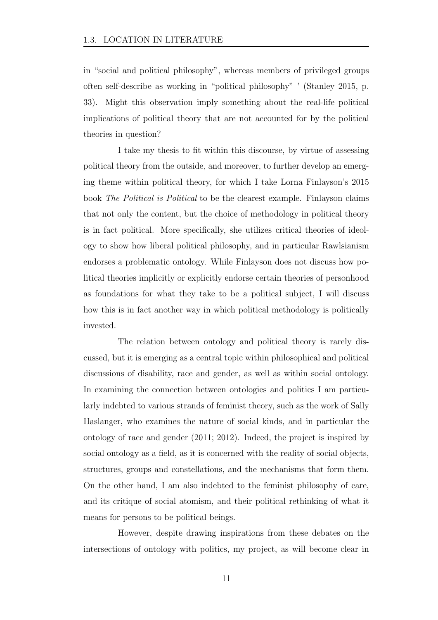in "social and political philosophy", whereas members of privileged groups often self-describe as working in "political philosophy" ' (Stanley 2015, p. 33). Might this observation imply something about the real-life political implications of political theory that are not accounted for by the political theories in question?

I take my thesis to fit within this discourse, by virtue of assessing political theory from the outside, and moreover, to further develop an emerging theme within political theory, for which I take Lorna Finlayson's 2015 book *The Political is Political* to be the clearest example. Finlayson claims that not only the content, but the choice of methodology in political theory is in fact political. More specifically, she utilizes critical theories of ideology to show how liberal political philosophy, and in particular Rawlsianism endorses a problematic ontology. While Finlayson does not discuss how political theories implicitly or explicitly endorse certain theories of personhood as foundations for what they take to be a political subject, I will discuss how this is in fact another way in which political methodology is politically invested.

The relation between ontology and political theory is rarely discussed, but it is emerging as a central topic within philosophical and political discussions of disability, race and gender, as well as within social ontology. In examining the connection between ontologies and politics I am particularly indebted to various strands of feminist theory, such as the work of Sally Haslanger, who examines the nature of social kinds, and in particular the ontology of race and gender (2011; 2012). Indeed, the project is inspired by social ontology as a field, as it is concerned with the reality of social objects, structures, groups and constellations, and the mechanisms that form them. On the other hand, I am also indebted to the feminist philosophy of care, and its critique of social atomism, and their political rethinking of what it means for persons to be political beings.

However, despite drawing inspirations from these debates on the intersections of ontology with politics, my project, as will become clear in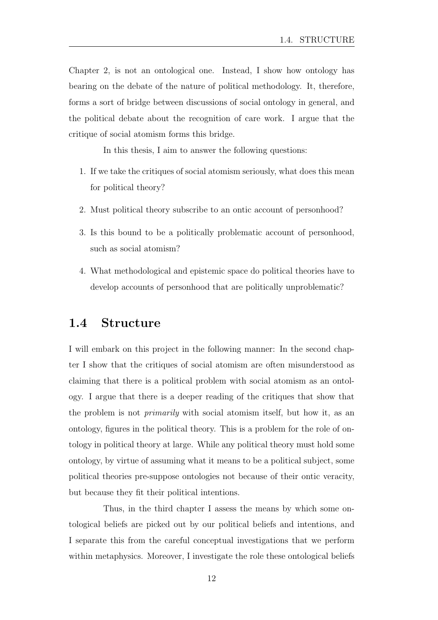Chapter 2, is not an ontological one. Instead, I show how ontology has bearing on the debate of the nature of political methodology. It, therefore, forms a sort of bridge between discussions of social ontology in general, and the political debate about the recognition of care work. I argue that the critique of social atomism forms this bridge.

In this thesis, I aim to answer the following questions:

- 1. If we take the critiques of social atomism seriously, what does this mean for political theory?
- 2. Must political theory subscribe to an ontic account of personhood?
- 3. Is this bound to be a politically problematic account of personhood, such as social atomism?
- 4. What methodological and epistemic space do political theories have to develop accounts of personhood that are politically unproblematic?

#### 1.4 Structure

I will embark on this project in the following manner: In the second chapter I show that the critiques of social atomism are often misunderstood as claiming that there is a political problem with social atomism as an ontology. I argue that there is a deeper reading of the critiques that show that the problem is not *primarily* with social atomism itself, but how it, as an ontology, figures in the political theory. This is a problem for the role of ontology in political theory at large. While any political theory must hold some ontology, by virtue of assuming what it means to be a political subject, some political theories pre-suppose ontologies not because of their ontic veracity, but because they fit their political intentions.

Thus, in the third chapter I assess the means by which some ontological beliefs are picked out by our political beliefs and intentions, and I separate this from the careful conceptual investigations that we perform within metaphysics. Moreover, I investigate the role these ontological beliefs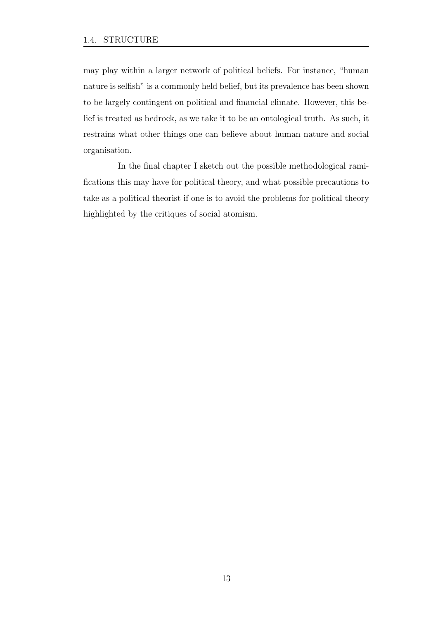may play within a larger network of political beliefs. For instance, "human nature is selfish" is a commonly held belief, but its prevalence has been shown to be largely contingent on political and financial climate. However, this belief is treated as bedrock, as we take it to be an ontological truth. As such, it restrains what other things one can believe about human nature and social organisation.

In the final chapter I sketch out the possible methodological ramifications this may have for political theory, and what possible precautions to take as a political theorist if one is to avoid the problems for political theory highlighted by the critiques of social atomism.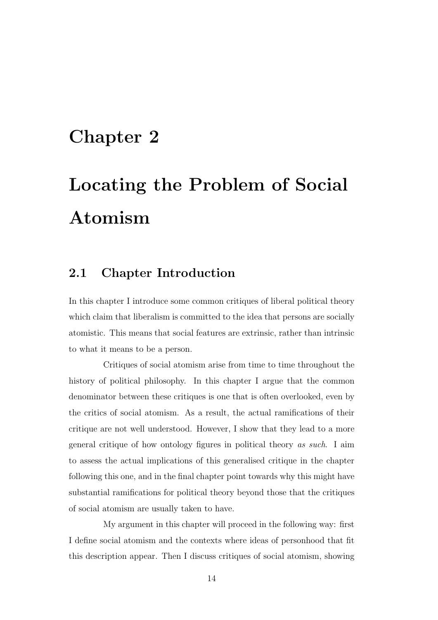# Chapter 2

# Locating the Problem of Social Atomism

#### 2.1 Chapter Introduction

In this chapter I introduce some common critiques of liberal political theory which claim that liberalism is committed to the idea that persons are socially atomistic. This means that social features are extrinsic, rather than intrinsic to what it means to be a person.

Critiques of social atomism arise from time to time throughout the history of political philosophy. In this chapter I argue that the common denominator between these critiques is one that is often overlooked, even by the critics of social atomism. As a result, the actual ramifications of their critique are not well understood. However, I show that they lead to a more general critique of how ontology figures in political theory *as such*. I aim to assess the actual implications of this generalised critique in the chapter following this one, and in the final chapter point towards why this might have substantial ramifications for political theory beyond those that the critiques of social atomism are usually taken to have.

My argument in this chapter will proceed in the following way: first I define social atomism and the contexts where ideas of personhood that fit this description appear. Then I discuss critiques of social atomism, showing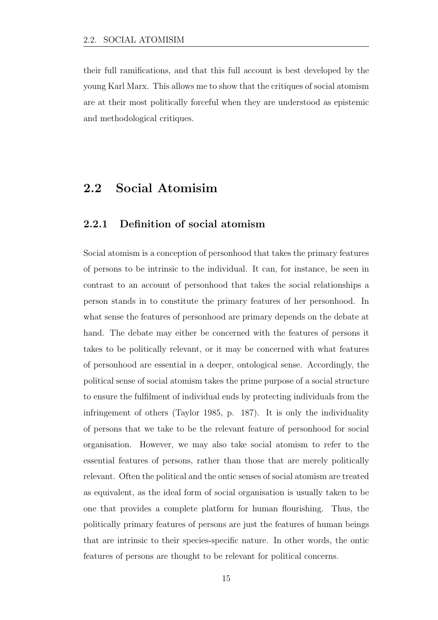their full ramifications, and that this full account is best developed by the young Karl Marx. This allows me to show that the critiques of social atomism are at their most politically forceful when they are understood as epistemic and methodological critiques.

#### 2.2 Social Atomisim

#### 2.2.1 Definition of social atomism

Social atomism is a conception of personhood that takes the primary features of persons to be intrinsic to the individual. It can, for instance, be seen in contrast to an account of personhood that takes the social relationships a person stands in to constitute the primary features of her personhood. In what sense the features of personhood are primary depends on the debate at hand. The debate may either be concerned with the features of persons it takes to be politically relevant, or it may be concerned with what features of personhood are essential in a deeper, ontological sense. Accordingly, the political sense of social atomism takes the prime purpose of a social structure to ensure the fulfilment of individual ends by protecting individuals from the infringement of others (Taylor 1985, p. 187). It is only the individuality of persons that we take to be the relevant feature of personhood for social organisation. However, we may also take social atomism to refer to the essential features of persons, rather than those that are merely politically relevant. Often the political and the ontic senses of social atomism are treated as equivalent, as the ideal form of social organisation is usually taken to be one that provides a complete platform for human flourishing. Thus, the politically primary features of persons are just the features of human beings that are intrinsic to their species-specific nature. In other words, the ontic features of persons are thought to be relevant for political concerns.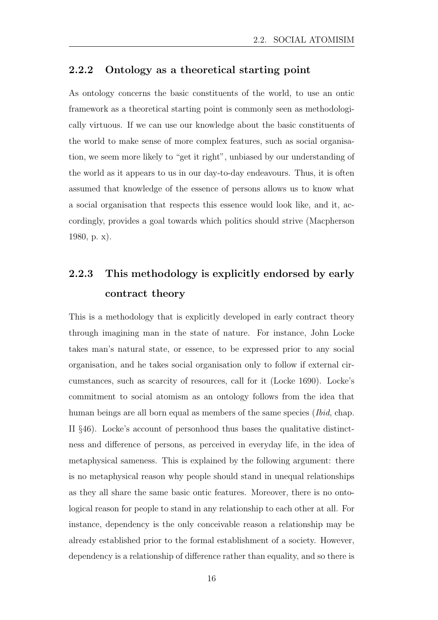#### 2.2.2 Ontology as a theoretical starting point

As ontology concerns the basic constituents of the world, to use an ontic framework as a theoretical starting point is commonly seen as methodologically virtuous. If we can use our knowledge about the basic constituents of the world to make sense of more complex features, such as social organisation, we seem more likely to "get it right", unbiased by our understanding of the world as it appears to us in our day-to-day endeavours. Thus, it is often assumed that knowledge of the essence of persons allows us to know what a social organisation that respects this essence would look like, and it, accordingly, provides a goal towards which politics should strive (Macpherson 1980, p. x).

### 2.2.3 This methodology is explicitly endorsed by early contract theory

This is a methodology that is explicitly developed in early contract theory through imagining man in the state of nature. For instance, John Locke takes man's natural state, or essence, to be expressed prior to any social organisation, and he takes social organisation only to follow if external circumstances, such as scarcity of resources, call for it (Locke 1690). Locke's commitment to social atomism as an ontology follows from the idea that human beings are all born equal as members of the same species (*Ibid*, chap. II *§*46). Locke's account of personhood thus bases the qualitative distinctness and difference of persons, as perceived in everyday life, in the idea of metaphysical sameness. This is explained by the following argument: there is no metaphysical reason why people should stand in unequal relationships as they all share the same basic ontic features. Moreover, there is no ontological reason for people to stand in any relationship to each other at all. For instance, dependency is the only conceivable reason a relationship may be already established prior to the formal establishment of a society. However, dependency is a relationship of difference rather than equality, and so there is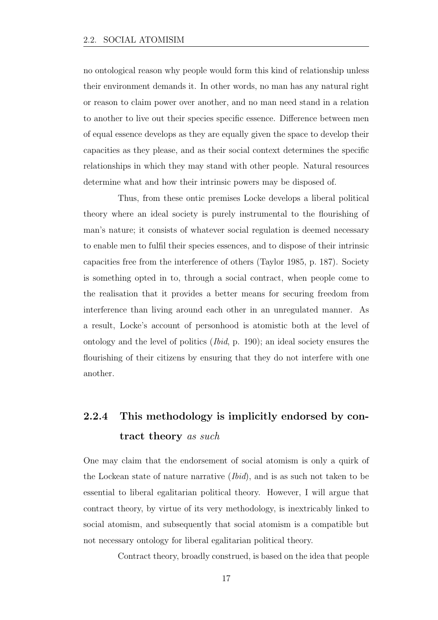no ontological reason why people would form this kind of relationship unless their environment demands it. In other words, no man has any natural right or reason to claim power over another, and no man need stand in a relation to another to live out their species specific essence. Difference between men of equal essence develops as they are equally given the space to develop their capacities as they please, and as their social context determines the specific relationships in which they may stand with other people. Natural resources determine what and how their intrinsic powers may be disposed of.

Thus, from these ontic premises Locke develops a liberal political theory where an ideal society is purely instrumental to the flourishing of man's nature; it consists of whatever social regulation is deemed necessary to enable men to fulfil their species essences, and to dispose of their intrinsic capacities free from the interference of others (Taylor 1985, p. 187). Society is something opted in to, through a social contract, when people come to the realisation that it provides a better means for securing freedom from interference than living around each other in an unregulated manner. As a result, Locke's account of personhood is atomistic both at the level of ontology and the level of politics (*Ibid*, p. 190); an ideal society ensures the flourishing of their citizens by ensuring that they do not interfere with one another.

### 2.2.4 This methodology is implicitly endorsed by contract theory *as such*

One may claim that the endorsement of social atomism is only a quirk of the Lockean state of nature narrative (*Ibid*), and is as such not taken to be essential to liberal egalitarian political theory. However, I will argue that contract theory, by virtue of its very methodology, is inextricably linked to social atomism, and subsequently that social atomism is a compatible but not necessary ontology for liberal egalitarian political theory.

Contract theory, broadly construed, is based on the idea that people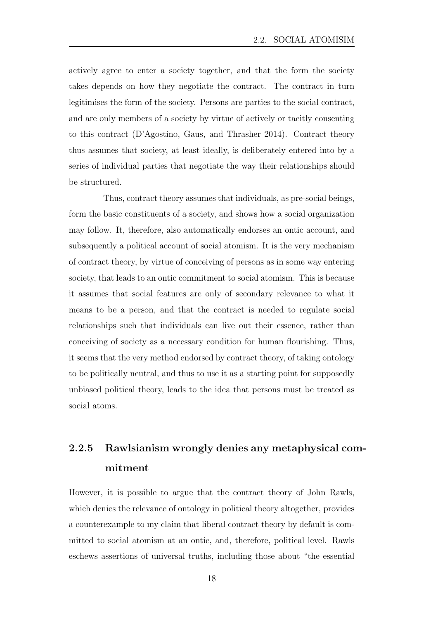actively agree to enter a society together, and that the form the society takes depends on how they negotiate the contract. The contract in turn legitimises the form of the society. Persons are parties to the social contract, and are only members of a society by virtue of actively or tacitly consenting to this contract (D'Agostino, Gaus, and Thrasher 2014). Contract theory thus assumes that society, at least ideally, is deliberately entered into by a series of individual parties that negotiate the way their relationships should be structured.

Thus, contract theory assumes that individuals, as pre-social beings, form the basic constituents of a society, and shows how a social organization may follow. It, therefore, also automatically endorses an ontic account, and subsequently a political account of social atomism. It is the very mechanism of contract theory, by virtue of conceiving of persons as in some way entering society, that leads to an ontic commitment to social atomism. This is because it assumes that social features are only of secondary relevance to what it means to be a person, and that the contract is needed to regulate social relationships such that individuals can live out their essence, rather than conceiving of society as a necessary condition for human flourishing. Thus, it seems that the very method endorsed by contract theory, of taking ontology to be politically neutral, and thus to use it as a starting point for supposedly unbiased political theory, leads to the idea that persons must be treated as social atoms.

### 2.2.5 Rawlsianism wrongly denies any metaphysical commitment

However, it is possible to argue that the contract theory of John Rawls, which denies the relevance of ontology in political theory altogether, provides a counterexample to my claim that liberal contract theory by default is committed to social atomism at an ontic, and, therefore, political level. Rawls eschews assertions of universal truths, including those about "the essential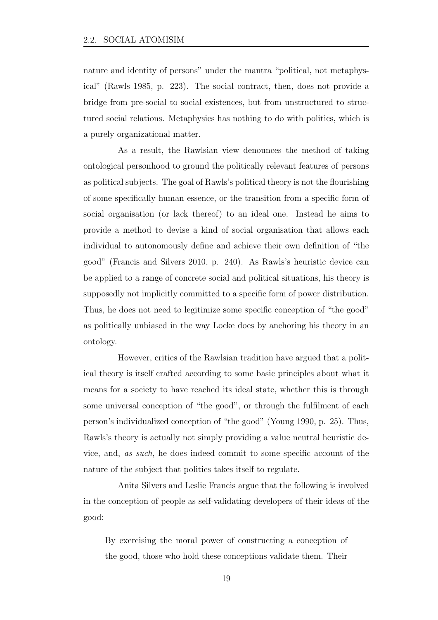nature and identity of persons" under the mantra "political, not metaphysical" (Rawls 1985, p. 223). The social contract, then, does not provide a bridge from pre-social to social existences, but from unstructured to structured social relations. Metaphysics has nothing to do with politics, which is a purely organizational matter.

As a result, the Rawlsian view denounces the method of taking ontological personhood to ground the politically relevant features of persons as political subjects. The goal of Rawls's political theory is not the flourishing of some specifically human essence, or the transition from a specific form of social organisation (or lack thereof) to an ideal one. Instead he aims to provide a method to devise a kind of social organisation that allows each individual to autonomously define and achieve their own definition of "the good" (Francis and Silvers 2010, p. 240). As Rawls's heuristic device can be applied to a range of concrete social and political situations, his theory is supposedly not implicitly committed to a specific form of power distribution. Thus, he does not need to legitimize some specific conception of "the good" as politically unbiased in the way Locke does by anchoring his theory in an ontology.

However, critics of the Rawlsian tradition have argued that a political theory is itself crafted according to some basic principles about what it means for a society to have reached its ideal state, whether this is through some universal conception of "the good", or through the fulfilment of each person's individualized conception of "the good" (Young 1990, p. 25). Thus, Rawls's theory is actually not simply providing a value neutral heuristic device, and, *as such*, he does indeed commit to some specific account of the nature of the subject that politics takes itself to regulate.

Anita Silvers and Leslie Francis argue that the following is involved in the conception of people as self-validating developers of their ideas of the good:

By exercising the moral power of constructing a conception of the good, those who hold these conceptions validate them. Their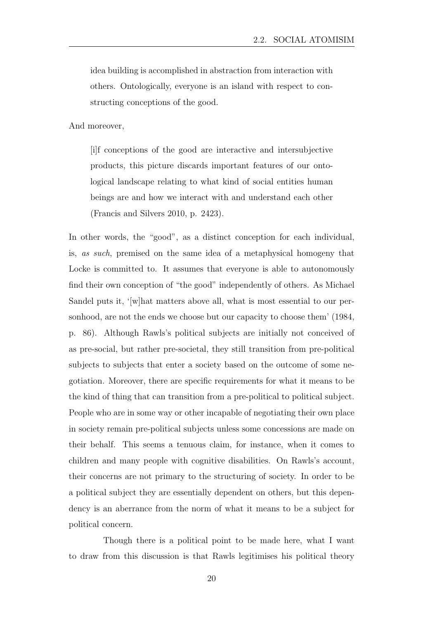idea building is accomplished in abstraction from interaction with others. Ontologically, everyone is an island with respect to constructing conceptions of the good.

And moreover,

[i]f conceptions of the good are interactive and intersubjective products, this picture discards important features of our ontological landscape relating to what kind of social entities human beings are and how we interact with and understand each other (Francis and Silvers 2010, p. 2423).

In other words, the "good", as a distinct conception for each individual, is, *as such*, premised on the same idea of a metaphysical homogeny that Locke is committed to. It assumes that everyone is able to autonomously find their own conception of "the good" independently of others. As Michael Sandel puts it, '[w]hat matters above all, what is most essential to our personhood, are not the ends we choose but our capacity to choose them' (1984, p. 86). Although Rawls's political subjects are initially not conceived of as pre-social, but rather pre-societal, they still transition from pre-political subjects to subjects that enter a society based on the outcome of some negotiation. Moreover, there are specific requirements for what it means to be the kind of thing that can transition from a pre-political to political subject. People who are in some way or other incapable of negotiating their own place in society remain pre-political subjects unless some concessions are made on their behalf. This seems a tenuous claim, for instance, when it comes to children and many people with cognitive disabilities. On Rawls's account, their concerns are not primary to the structuring of society. In order to be a political subject they are essentially dependent on others, but this dependency is an aberrance from the norm of what it means to be a subject for political concern.

Though there is a political point to be made here, what I want to draw from this discussion is that Rawls legitimises his political theory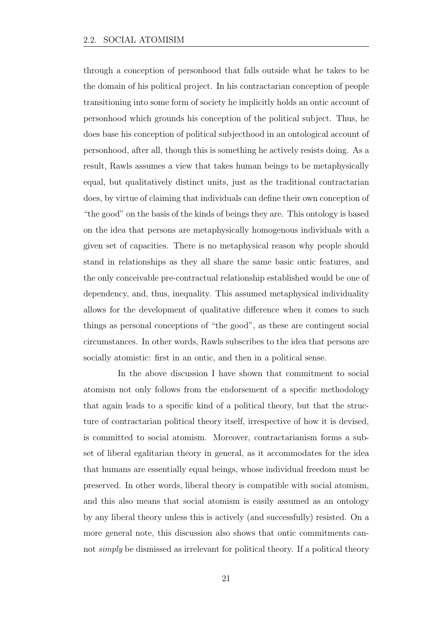through a conception of personhood that falls outside what he takes to be the domain of his political project. In his contractarian conception of people transitioning into some form of society he implicitly holds an ontic account of personhood which grounds his conception of the political subject. Thus, he does base his conception of political subjecthood in an ontological account of personhood, after all, though this is something he actively resists doing. As a result, Rawls assumes a view that takes human beings to be metaphysically equal, but qualitatively distinct units, just as the traditional contractarian does, by virtue of claiming that individuals can define their own conception of "the good" on the basis of the kinds of beings they are. This ontology is based on the idea that persons are metaphysically homogenous individuals with a given set of capacities. There is no metaphysical reason why people should stand in relationships as they all share the same basic ontic features, and the only conceivable pre-contractual relationship established would be one of dependency, and, thus, inequality. This assumed metaphysical individuality allows for the development of qualitative difference when it comes to such things as personal conceptions of "the good", as these are contingent social circumstances. In other words, Rawls subscribes to the idea that persons are socially atomistic: first in an ontic, and then in a political sense.

In the above discussion I have shown that commitment to social atomism not only follows from the endorsement of a specific methodology that again leads to a specific kind of a political theory, but that the structure of contractarian political theory itself, irrespective of how it is devised, is committed to social atomism. Moreover, contractarianism forms a subset of liberal egalitarian theory in general, as it accommodates for the idea that humans are essentially equal beings, whose individual freedom must be preserved. In other words, liberal theory is compatible with social atomism, and this also means that social atomism is easily assumed as an ontology by any liberal theory unless this is actively (and successfully) resisted. On a more general note, this discussion also shows that ontic commitments cannot *simply* be dismissed as irrelevant for political theory. If a political theory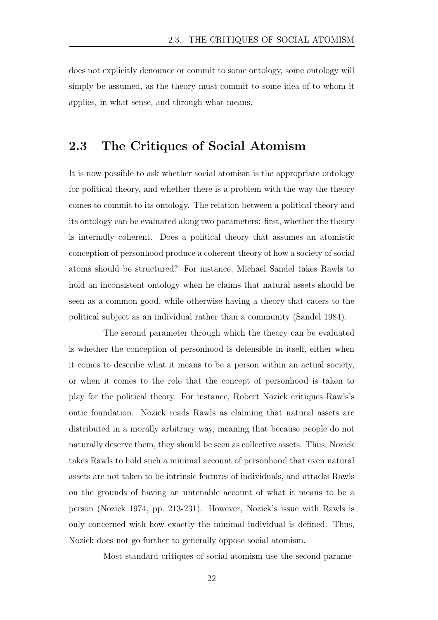does not explicitly denounce or commit to some ontology, some ontology will simply be assumed, as the theory must commit to some idea of to whom it applies, in what sense, and through what means.

#### 2.3 The Critiques of Social Atomism

It is now possible to ask whether social atomism is the appropriate ontology for political theory, and whether there is a problem with the way the theory comes to commit to its ontology. The relation between a political theory and its ontology can be evaluated along two parameters: first, whether the theory is internally coherent. Does a political theory that assumes an atomistic conception of personhood produce a coherent theory of how a society of social atoms should be structured? For instance, Michael Sandel takes Rawls to hold an inconsistent ontology when he claims that natural assets should be seen as a common good, while otherwise having a theory that caters to the political subject as an individual rather than a community (Sandel 1984).

The second parameter through which the theory can be evaluated is whether the conception of personhood is defensible in itself, either when it comes to describe what it means to be a person within an actual society, or when it comes to the role that the concept of personhood is taken to play for the political theory. For instance, Robert Nozick critiques Rawls's ontic foundation. Nozick reads Rawls as claiming that natural assets are distributed in a morally arbitrary way, meaning that because people do not naturally deserve them, they should be seen as collective assets. Thus, Nozick takes Rawls to hold such a minimal account of personhood that even natural assets are not taken to be intrinsic features of individuals, and attacks Rawls on the grounds of having an untenable account of what it means to be a person (Nozick 1974, pp. 213-231). However, Nozick's issue with Rawls is only concerned with how exactly the minimal individual is defined. Thus, Nozick does not go further to generally oppose social atomism.

Most standard critiques of social atomism use the second parame-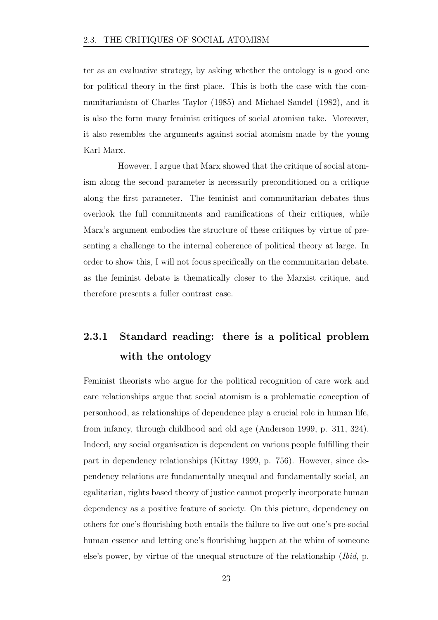ter as an evaluative strategy, by asking whether the ontology is a good one for political theory in the first place. This is both the case with the communitarianism of Charles Taylor (1985) and Michael Sandel (1982), and it is also the form many feminist critiques of social atomism take. Moreover, it also resembles the arguments against social atomism made by the young Karl Marx.

However, I argue that Marx showed that the critique of social atomism along the second parameter is necessarily preconditioned on a critique along the first parameter. The feminist and communitarian debates thus overlook the full commitments and ramifications of their critiques, while Marx's argument embodies the structure of these critiques by virtue of presenting a challenge to the internal coherence of political theory at large. In order to show this, I will not focus specifically on the communitarian debate, as the feminist debate is thematically closer to the Marxist critique, and therefore presents a fuller contrast case.

### 2.3.1 Standard reading: there is a political problem with the ontology

Feminist theorists who argue for the political recognition of care work and care relationships argue that social atomism is a problematic conception of personhood, as relationships of dependence play a crucial role in human life, from infancy, through childhood and old age (Anderson 1999, p. 311, 324). Indeed, any social organisation is dependent on various people fulfilling their part in dependency relationships (Kittay 1999, p. 756). However, since dependency relations are fundamentally unequal and fundamentally social, an egalitarian, rights based theory of justice cannot properly incorporate human dependency as a positive feature of society. On this picture, dependency on others for one's flourishing both entails the failure to live out one's pre-social human essence and letting one's flourishing happen at the whim of someone else's power, by virtue of the unequal structure of the relationship (*Ibid*, p.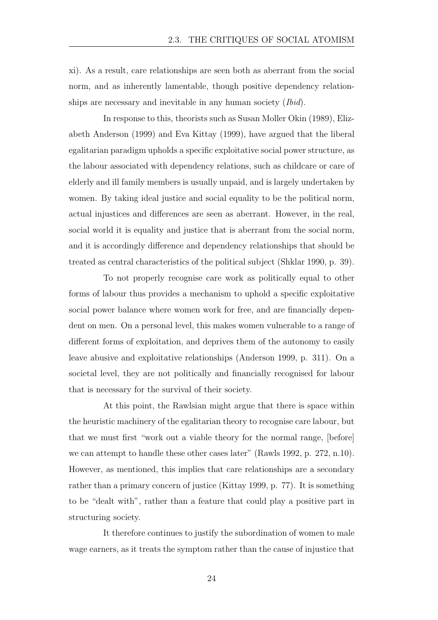xi). As a result, care relationships are seen both as aberrant from the social norm, and as inherently lamentable, though positive dependency relationships are necessary and inevitable in any human society (*Ibid*).

In response to this, theorists such as Susan Moller Okin (1989), Elizabeth Anderson (1999) and Eva Kittay (1999), have argued that the liberal egalitarian paradigm upholds a specific exploitative social power structure, as the labour associated with dependency relations, such as childcare or care of elderly and ill family members is usually unpaid, and is largely undertaken by women. By taking ideal justice and social equality to be the political norm, actual injustices and differences are seen as aberrant. However, in the real, social world it is equality and justice that is aberrant from the social norm, and it is accordingly difference and dependency relationships that should be treated as central characteristics of the political subject (Shklar 1990, p. 39).

To not properly recognise care work as politically equal to other forms of labour thus provides a mechanism to uphold a specific exploitative social power balance where women work for free, and are financially dependent on men. On a personal level, this makes women vulnerable to a range of different forms of exploitation, and deprives them of the autonomy to easily leave abusive and exploitative relationships (Anderson 1999, p. 311). On a societal level, they are not politically and financially recognised for labour that is necessary for the survival of their society.

At this point, the Rawlsian might argue that there is space within the heuristic machinery of the egalitarian theory to recognise care labour, but that we must first "work out a viable theory for the normal range, [before] we can attempt to handle these other cases later" (Rawls 1992, p. 272, n.10). However, as mentioned, this implies that care relationships are a secondary rather than a primary concern of justice (Kittay 1999, p. 77). It is something to be "dealt with", rather than a feature that could play a positive part in structuring society.

It therefore continues to justify the subordination of women to male wage earners, as it treats the symptom rather than the cause of injustice that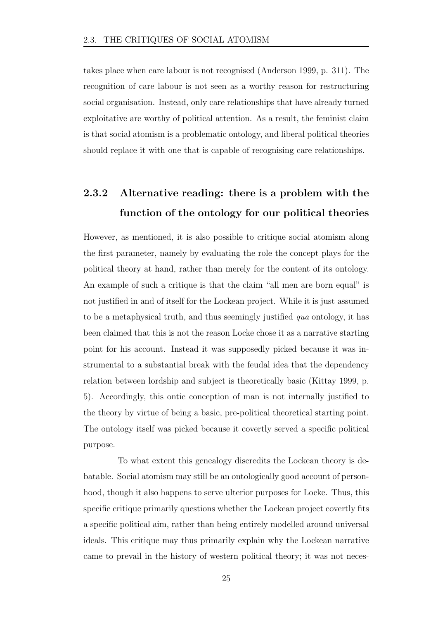takes place when care labour is not recognised (Anderson 1999, p. 311). The recognition of care labour is not seen as a worthy reason for restructuring social organisation. Instead, only care relationships that have already turned exploitative are worthy of political attention. As a result, the feminist claim is that social atomism is a problematic ontology, and liberal political theories should replace it with one that is capable of recognising care relationships.

### 2.3.2 Alternative reading: there is a problem with the function of the ontology for our political theories

However, as mentioned, it is also possible to critique social atomism along the first parameter, namely by evaluating the role the concept plays for the political theory at hand, rather than merely for the content of its ontology. An example of such a critique is that the claim "all men are born equal" is not justified in and of itself for the Lockean project. While it is just assumed to be a metaphysical truth, and thus seemingly justified *qua* ontology, it has been claimed that this is not the reason Locke chose it as a narrative starting point for his account. Instead it was supposedly picked because it was instrumental to a substantial break with the feudal idea that the dependency relation between lordship and subject is theoretically basic (Kittay 1999, p. 5). Accordingly, this ontic conception of man is not internally justified to the theory by virtue of being a basic, pre-political theoretical starting point. The ontology itself was picked because it covertly served a specific political purpose.

To what extent this genealogy discredits the Lockean theory is debatable. Social atomism may still be an ontologically good account of personhood, though it also happens to serve ulterior purposes for Locke. Thus, this specific critique primarily questions whether the Lockean project covertly fits a specific political aim, rather than being entirely modelled around universal ideals. This critique may thus primarily explain why the Lockean narrative came to prevail in the history of western political theory; it was not neces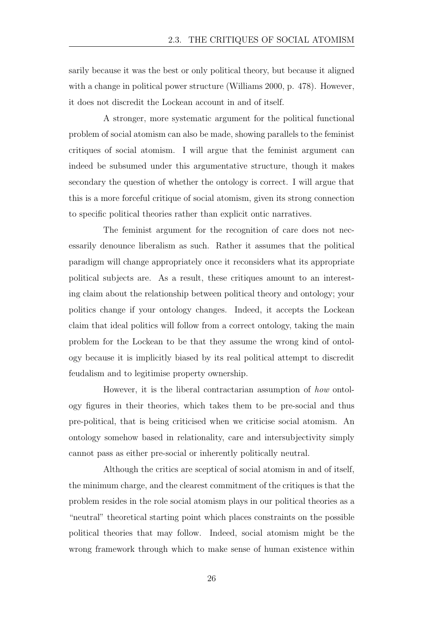sarily because it was the best or only political theory, but because it aligned with a change in political power structure (Williams 2000, p. 478). However, it does not discredit the Lockean account in and of itself.

A stronger, more systematic argument for the political functional problem of social atomism can also be made, showing parallels to the feminist critiques of social atomism. I will argue that the feminist argument can indeed be subsumed under this argumentative structure, though it makes secondary the question of whether the ontology is correct. I will argue that this is a more forceful critique of social atomism, given its strong connection to specific political theories rather than explicit ontic narratives.

The feminist argument for the recognition of care does not necessarily denounce liberalism as such. Rather it assumes that the political paradigm will change appropriately once it reconsiders what its appropriate political subjects are. As a result, these critiques amount to an interesting claim about the relationship between political theory and ontology; your politics change if your ontology changes. Indeed, it accepts the Lockean claim that ideal politics will follow from a correct ontology, taking the main problem for the Lockean to be that they assume the wrong kind of ontology because it is implicitly biased by its real political attempt to discredit feudalism and to legitimise property ownership.

However, it is the liberal contractarian assumption of *how* ontology figures in their theories, which takes them to be pre-social and thus pre-political, that is being criticised when we criticise social atomism. An ontology somehow based in relationality, care and intersubjectivity simply cannot pass as either pre-social or inherently politically neutral.

Although the critics are sceptical of social atomism in and of itself, the minimum charge, and the clearest commitment of the critiques is that the problem resides in the role social atomism plays in our political theories as a "neutral" theoretical starting point which places constraints on the possible political theories that may follow. Indeed, social atomism might be the wrong framework through which to make sense of human existence within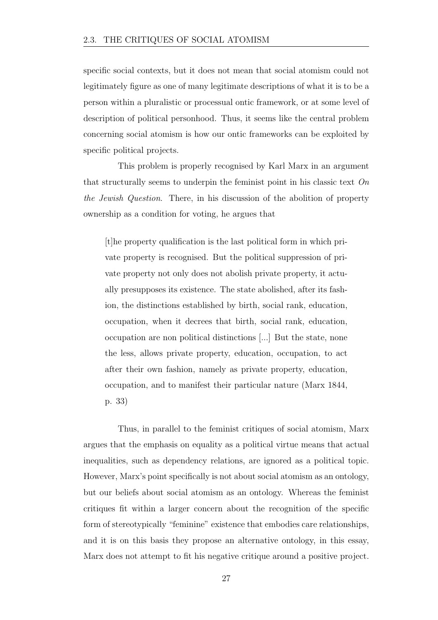specific social contexts, but it does not mean that social atomism could not legitimately figure as one of many legitimate descriptions of what it is to be a person within a pluralistic or processual ontic framework, or at some level of description of political personhood. Thus, it seems like the central problem concerning social atomism is how our ontic frameworks can be exploited by specific political projects.

This problem is properly recognised by Karl Marx in an argument that structurally seems to underpin the feminist point in his classic text *On the Jewish Question*. There, in his discussion of the abolition of property ownership as a condition for voting, he argues that

[t]he property qualification is the last political form in which private property is recognised. But the political suppression of private property not only does not abolish private property, it actually presupposes its existence. The state abolished, after its fashion, the distinctions established by birth, social rank, education, occupation, when it decrees that birth, social rank, education, occupation are non political distinctions [...] But the state, none the less, allows private property, education, occupation, to act after their own fashion, namely as private property, education, occupation, and to manifest their particular nature (Marx 1844, p. 33)

Thus, in parallel to the feminist critiques of social atomism, Marx argues that the emphasis on equality as a political virtue means that actual inequalities, such as dependency relations, are ignored as a political topic. However, Marx's point specifically is not about social atomism as an ontology, but our beliefs about social atomism as an ontology. Whereas the feminist critiques fit within a larger concern about the recognition of the specific form of stereotypically "feminine" existence that embodies care relationships, and it is on this basis they propose an alternative ontology, in this essay, Marx does not attempt to fit his negative critique around a positive project.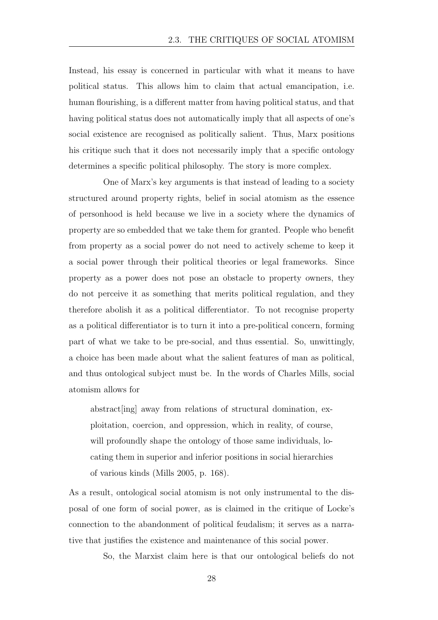Instead, his essay is concerned in particular with what it means to have political status. This allows him to claim that actual emancipation, i.e. human flourishing, is a different matter from having political status, and that having political status does not automatically imply that all aspects of one's social existence are recognised as politically salient. Thus, Marx positions his critique such that it does not necessarily imply that a specific ontology determines a specific political philosophy. The story is more complex.

One of Marx's key arguments is that instead of leading to a society structured around property rights, belief in social atomism as the essence of personhood is held because we live in a society where the dynamics of property are so embedded that we take them for granted. People who benefit from property as a social power do not need to actively scheme to keep it a social power through their political theories or legal frameworks. Since property as a power does not pose an obstacle to property owners, they do not perceive it as something that merits political regulation, and they therefore abolish it as a political differentiator. To not recognise property as a political differentiator is to turn it into a pre-political concern, forming part of what we take to be pre-social, and thus essential. So, unwittingly, a choice has been made about what the salient features of man as political, and thus ontological subject must be. In the words of Charles Mills, social atomism allows for

abstract[ing] away from relations of structural domination, exploitation, coercion, and oppression, which in reality, of course, will profoundly shape the ontology of those same individuals, locating them in superior and inferior positions in social hierarchies of various kinds (Mills 2005, p. 168).

As a result, ontological social atomism is not only instrumental to the disposal of one form of social power, as is claimed in the critique of Locke's connection to the abandonment of political feudalism; it serves as a narrative that justifies the existence and maintenance of this social power.

So, the Marxist claim here is that our ontological beliefs do not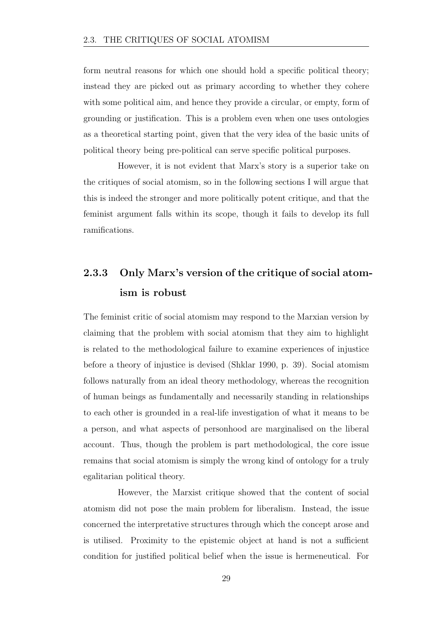form neutral reasons for which one should hold a specific political theory; instead they are picked out as primary according to whether they cohere with some political aim, and hence they provide a circular, or empty, form of grounding or justification. This is a problem even when one uses ontologies as a theoretical starting point, given that the very idea of the basic units of political theory being pre-political can serve specific political purposes.

However, it is not evident that Marx's story is a superior take on the critiques of social atomism, so in the following sections I will argue that this is indeed the stronger and more politically potent critique, and that the feminist argument falls within its scope, though it fails to develop its full ramifications.

### 2.3.3 Only Marx's version of the critique of social atomism is robust

The feminist critic of social atomism may respond to the Marxian version by claiming that the problem with social atomism that they aim to highlight is related to the methodological failure to examine experiences of injustice before a theory of injustice is devised (Shklar 1990, p. 39). Social atomism follows naturally from an ideal theory methodology, whereas the recognition of human beings as fundamentally and necessarily standing in relationships to each other is grounded in a real-life investigation of what it means to be a person, and what aspects of personhood are marginalised on the liberal account. Thus, though the problem is part methodological, the core issue remains that social atomism is simply the wrong kind of ontology for a truly egalitarian political theory.

However, the Marxist critique showed that the content of social atomism did not pose the main problem for liberalism. Instead, the issue concerned the interpretative structures through which the concept arose and is utilised. Proximity to the epistemic object at hand is not a sufficient condition for justified political belief when the issue is hermeneutical. For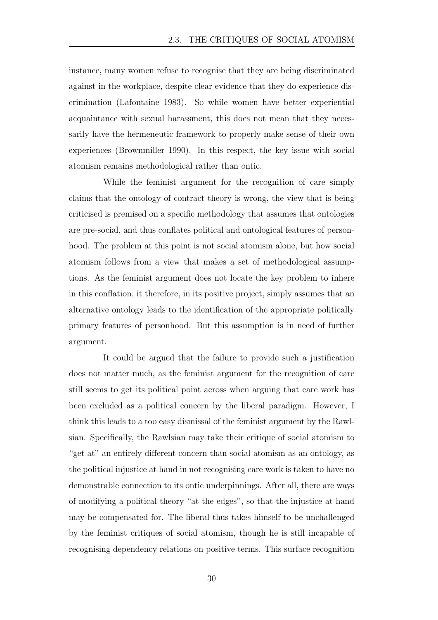instance, many women refuse to recognise that they are being discriminated against in the workplace, despite clear evidence that they do experience discrimination (Lafontaine 1983). So while women have better experiential acquaintance with sexual harassment, this does not mean that they necessarily have the hermeneutic framework to properly make sense of their own experiences (Brownmiller 1990). In this respect, the key issue with social atomism remains methodological rather than ontic.

While the feminist argument for the recognition of care simply claims that the ontology of contract theory is wrong, the view that is being criticised is premised on a specific methodology that assumes that ontologies are pre-social, and thus conflates political and ontological features of personhood. The problem at this point is not social atomism alone, but how social atomism follows from a view that makes a set of methodological assumptions. As the feminist argument does not locate the key problem to inhere in this conflation, it therefore, in its positive project, simply assumes that an alternative ontology leads to the identification of the appropriate politically primary features of personhood. But this assumption is in need of further argument.

It could be argued that the failure to provide such a justification does not matter much, as the feminist argument for the recognition of care still seems to get its political point across when arguing that care work has been excluded as a political concern by the liberal paradigm. However, I think this leads to a too easy dismissal of the feminist argument by the Rawlsian. Specifically, the Rawlsian may take their critique of social atomism to "get at" an entirely different concern than social atomism as an ontology, as the political injustice at hand in not recognising care work is taken to have no demonstrable connection to its ontic underpinnings. After all, there are ways of modifying a political theory "at the edges", so that the injustice at hand may be compensated for. The liberal thus takes himself to be unchallenged by the feminist critiques of social atomism, though he is still incapable of recognising dependency relations on positive terms. This surface recognition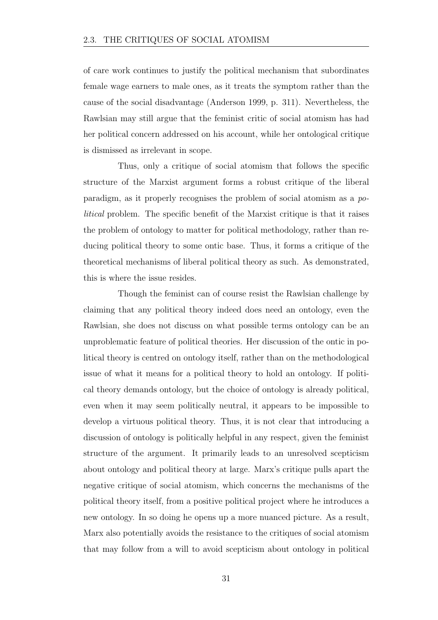of care work continues to justify the political mechanism that subordinates female wage earners to male ones, as it treats the symptom rather than the cause of the social disadvantage (Anderson 1999, p. 311). Nevertheless, the Rawlsian may still argue that the feminist critic of social atomism has had her political concern addressed on his account, while her ontological critique is dismissed as irrelevant in scope.

Thus, only a critique of social atomism that follows the specific structure of the Marxist argument forms a robust critique of the liberal paradigm, as it properly recognises the problem of social atomism as a *political* problem. The specific benefit of the Marxist critique is that it raises the problem of ontology to matter for political methodology, rather than reducing political theory to some ontic base. Thus, it forms a critique of the theoretical mechanisms of liberal political theory as such. As demonstrated, this is where the issue resides.

Though the feminist can of course resist the Rawlsian challenge by claiming that any political theory indeed does need an ontology, even the Rawlsian, she does not discuss on what possible terms ontology can be an unproblematic feature of political theories. Her discussion of the ontic in political theory is centred on ontology itself, rather than on the methodological issue of what it means for a political theory to hold an ontology. If political theory demands ontology, but the choice of ontology is already political, even when it may seem politically neutral, it appears to be impossible to develop a virtuous political theory. Thus, it is not clear that introducing a discussion of ontology is politically helpful in any respect, given the feminist structure of the argument. It primarily leads to an unresolved scepticism about ontology and political theory at large. Marx's critique pulls apart the negative critique of social atomism, which concerns the mechanisms of the political theory itself, from a positive political project where he introduces a new ontology. In so doing he opens up a more nuanced picture. As a result, Marx also potentially avoids the resistance to the critiques of social atomism that may follow from a will to avoid scepticism about ontology in political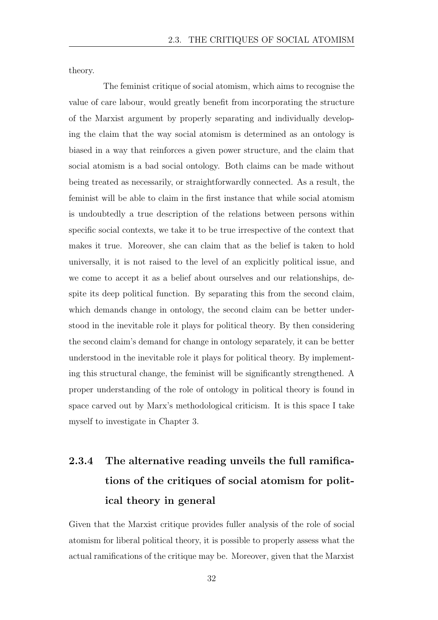theory.

The feminist critique of social atomism, which aims to recognise the value of care labour, would greatly benefit from incorporating the structure of the Marxist argument by properly separating and individually developing the claim that the way social atomism is determined as an ontology is biased in a way that reinforces a given power structure, and the claim that social atomism is a bad social ontology. Both claims can be made without being treated as necessarily, or straightforwardly connected. As a result, the feminist will be able to claim in the first instance that while social atomism is undoubtedly a true description of the relations between persons within specific social contexts, we take it to be true irrespective of the context that makes it true. Moreover, she can claim that as the belief is taken to hold universally, it is not raised to the level of an explicitly political issue, and we come to accept it as a belief about ourselves and our relationships, despite its deep political function. By separating this from the second claim, which demands change in ontology, the second claim can be better understood in the inevitable role it plays for political theory. By then considering the second claim's demand for change in ontology separately, it can be better understood in the inevitable role it plays for political theory. By implementing this structural change, the feminist will be significantly strengthened. A proper understanding of the role of ontology in political theory is found in space carved out by Marx's methodological criticism. It is this space I take myself to investigate in Chapter 3.

### 2.3.4 The alternative reading unveils the full ramifications of the critiques of social atomism for political theory in general

Given that the Marxist critique provides fuller analysis of the role of social atomism for liberal political theory, it is possible to properly assess what the actual ramifications of the critique may be. Moreover, given that the Marxist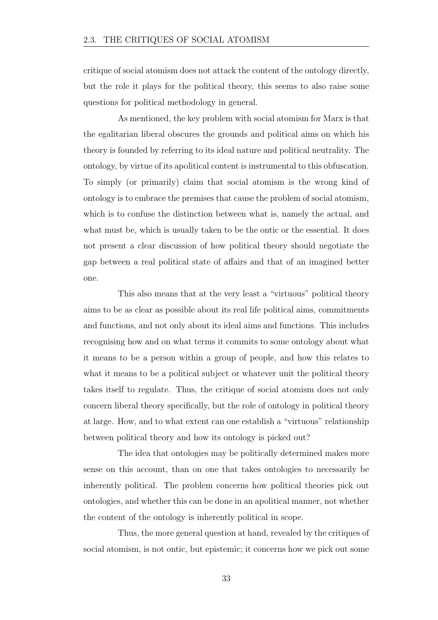critique of social atomism does not attack the content of the ontology directly, but the role it plays for the political theory, this seems to also raise some questions for political methodology in general.

As mentioned, the key problem with social atomism for Marx is that the egalitarian liberal obscures the grounds and political aims on which his theory is founded by referring to its ideal nature and political neutrality. The ontology, by virtue of its apolitical content is instrumental to this obfuscation. To simply (or primarily) claim that social atomism is the wrong kind of ontology is to embrace the premises that cause the problem of social atomism, which is to confuse the distinction between what is, namely the actual, and what must be, which is usually taken to be the ontic or the essential. It does not present a clear discussion of how political theory should negotiate the gap between a real political state of affairs and that of an imagined better one.

This also means that at the very least a "virtuous" political theory aims to be as clear as possible about its real life political aims, commitments and functions, and not only about its ideal aims and functions. This includes recognising how and on what terms it commits to some ontology about what it means to be a person within a group of people, and how this relates to what it means to be a political subject or whatever unit the political theory takes itself to regulate. Thus, the critique of social atomism does not only concern liberal theory specifically, but the role of ontology in political theory at large. How, and to what extent can one establish a "virtuous" relationship between political theory and how its ontology is picked out?

The idea that ontologies may be politically determined makes more sense on this account, than on one that takes ontologies to necessarily be inherently political. The problem concerns how political theories pick out ontologies, and whether this can be done in an apolitical manner, not whether the content of the ontology is inherently political in scope.

Thus, the more general question at hand, revealed by the critiques of social atomism, is not ontic, but epistemic; it concerns how we pick out some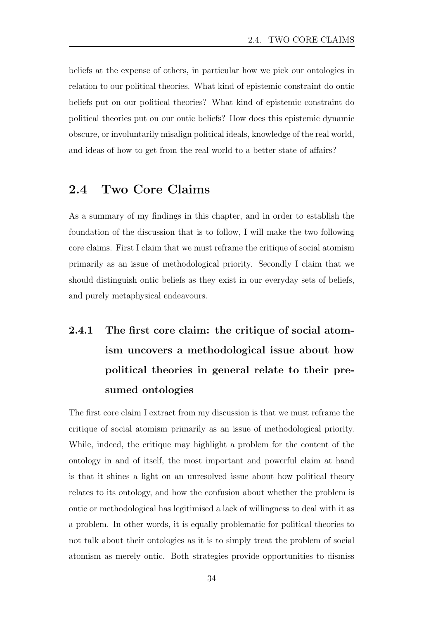beliefs at the expense of others, in particular how we pick our ontologies in relation to our political theories. What kind of epistemic constraint do ontic beliefs put on our political theories? What kind of epistemic constraint do political theories put on our ontic beliefs? How does this epistemic dynamic obscure, or involuntarily misalign political ideals, knowledge of the real world, and ideas of how to get from the real world to a better state of affairs?

#### 2.4 Two Core Claims

As a summary of my findings in this chapter, and in order to establish the foundation of the discussion that is to follow, I will make the two following core claims. First I claim that we must reframe the critique of social atomism primarily as an issue of methodological priority. Secondly I claim that we should distinguish ontic beliefs as they exist in our everyday sets of beliefs, and purely metaphysical endeavours.

## 2.4.1 The first core claim: the critique of social atomism uncovers a methodological issue about how political theories in general relate to their presumed ontologies

The first core claim I extract from my discussion is that we must reframe the critique of social atomism primarily as an issue of methodological priority. While, indeed, the critique may highlight a problem for the content of the ontology in and of itself, the most important and powerful claim at hand is that it shines a light on an unresolved issue about how political theory relates to its ontology, and how the confusion about whether the problem is ontic or methodological has legitimised a lack of willingness to deal with it as a problem. In other words, it is equally problematic for political theories to not talk about their ontologies as it is to simply treat the problem of social atomism as merely ontic. Both strategies provide opportunities to dismiss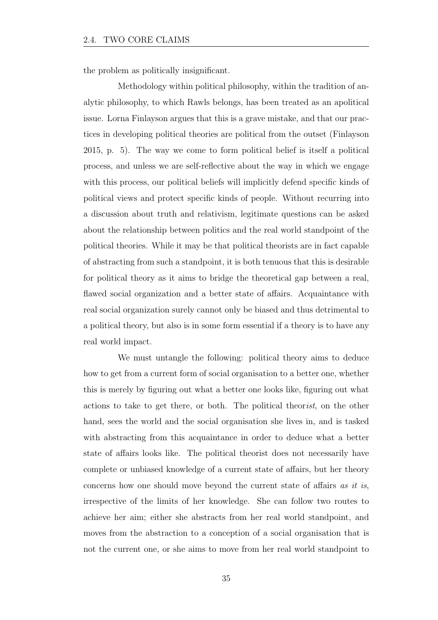the problem as politically insignificant.

Methodology within political philosophy, within the tradition of analytic philosophy, to which Rawls belongs, has been treated as an apolitical issue. Lorna Finlayson argues that this is a grave mistake, and that our practices in developing political theories are political from the outset (Finlayson 2015, p. 5). The way we come to form political belief is itself a political process, and unless we are self-reflective about the way in which we engage with this process, our political beliefs will implicitly defend specific kinds of political views and protect specific kinds of people. Without recurring into a discussion about truth and relativism, legitimate questions can be asked about the relationship between politics and the real world standpoint of the political theories. While it may be that political theorists are in fact capable of abstracting from such a standpoint, it is both tenuous that this is desirable for political theory as it aims to bridge the theoretical gap between a real, flawed social organization and a better state of affairs. Acquaintance with real social organization surely cannot only be biased and thus detrimental to a political theory, but also is in some form essential if a theory is to have any real world impact.

We must untangle the following: political theory aims to deduce how to get from a current form of social organisation to a better one, whether this is merely by figuring out what a better one looks like, figuring out what actions to take to get there, or both. The political theor*ist*, on the other hand, sees the world and the social organisation she lives in, and is tasked with abstracting from this acquaintance in order to deduce what a better state of affairs looks like. The political theorist does not necessarily have complete or unbiased knowledge of a current state of affairs, but her theory concerns how one should move beyond the current state of affairs *as it is*, irrespective of the limits of her knowledge. She can follow two routes to achieve her aim; either she abstracts from her real world standpoint, and moves from the abstraction to a conception of a social organisation that is not the current one, or she aims to move from her real world standpoint to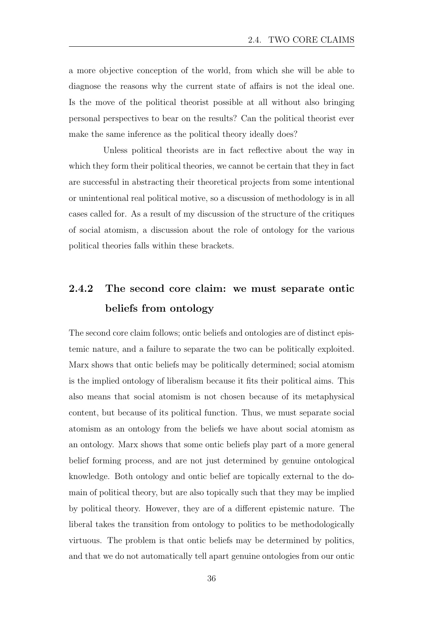a more objective conception of the world, from which she will be able to diagnose the reasons why the current state of affairs is not the ideal one. Is the move of the political theorist possible at all without also bringing personal perspectives to bear on the results? Can the political theorist ever make the same inference as the political theory ideally does?

Unless political theorists are in fact reflective about the way in which they form their political theories, we cannot be certain that they in fact are successful in abstracting their theoretical projects from some intentional or unintentional real political motive, so a discussion of methodology is in all cases called for. As a result of my discussion of the structure of the critiques of social atomism, a discussion about the role of ontology for the various political theories falls within these brackets.

### 2.4.2 The second core claim: we must separate ontic beliefs from ontology

The second core claim follows; ontic beliefs and ontologies are of distinct epistemic nature, and a failure to separate the two can be politically exploited. Marx shows that ontic beliefs may be politically determined; social atomism is the implied ontology of liberalism because it fits their political aims. This also means that social atomism is not chosen because of its metaphysical content, but because of its political function. Thus, we must separate social atomism as an ontology from the beliefs we have about social atomism as an ontology. Marx shows that some ontic beliefs play part of a more general belief forming process, and are not just determined by genuine ontological knowledge. Both ontology and ontic belief are topically external to the domain of political theory, but are also topically such that they may be implied by political theory. However, they are of a different epistemic nature. The liberal takes the transition from ontology to politics to be methodologically virtuous. The problem is that ontic beliefs may be determined by politics, and that we do not automatically tell apart genuine ontologies from our ontic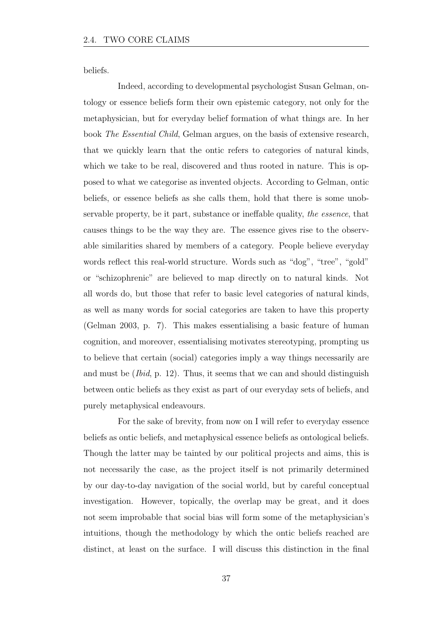beliefs.

Indeed, according to developmental psychologist Susan Gelman, ontology or essence beliefs form their own epistemic category, not only for the metaphysician, but for everyday belief formation of what things are. In her book *The Essential Child*, Gelman argues, on the basis of extensive research, that we quickly learn that the ontic refers to categories of natural kinds, which we take to be real, discovered and thus rooted in nature. This is opposed to what we categorise as invented objects. According to Gelman, ontic beliefs, or essence beliefs as she calls them, hold that there is some unobservable property, be it part, substance or ineffable quality, *the essence*, that causes things to be the way they are. The essence gives rise to the observable similarities shared by members of a category. People believe everyday words reflect this real-world structure. Words such as "dog", "tree", "gold" or "schizophrenic" are believed to map directly on to natural kinds. Not all words do, but those that refer to basic level categories of natural kinds, as well as many words for social categories are taken to have this property (Gelman 2003, p. 7). This makes essentialising a basic feature of human cognition, and moreover, essentialising motivates stereotyping, prompting us to believe that certain (social) categories imply a way things necessarily are and must be (*Ibid*, p. 12). Thus, it seems that we can and should distinguish between ontic beliefs as they exist as part of our everyday sets of beliefs, and purely metaphysical endeavours.

For the sake of brevity, from now on I will refer to everyday essence beliefs as ontic beliefs, and metaphysical essence beliefs as ontological beliefs. Though the latter may be tainted by our political projects and aims, this is not necessarily the case, as the project itself is not primarily determined by our day-to-day navigation of the social world, but by careful conceptual investigation. However, topically, the overlap may be great, and it does not seem improbable that social bias will form some of the metaphysician's intuitions, though the methodology by which the ontic beliefs reached are distinct, at least on the surface. I will discuss this distinction in the final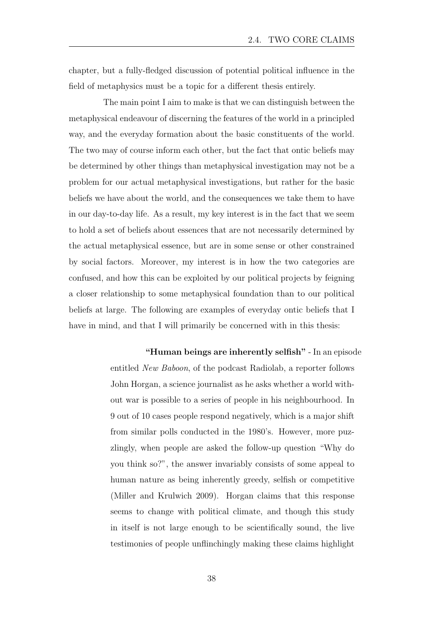chapter, but a fully-fledged discussion of potential political influence in the field of metaphysics must be a topic for a different thesis entirely.

The main point I aim to make is that we can distinguish between the metaphysical endeavour of discerning the features of the world in a principled way, and the everyday formation about the basic constituents of the world. The two may of course inform each other, but the fact that ontic beliefs may be determined by other things than metaphysical investigation may not be a problem for our actual metaphysical investigations, but rather for the basic beliefs we have about the world, and the consequences we take them to have in our day-to-day life. As a result, my key interest is in the fact that we seem to hold a set of beliefs about essences that are not necessarily determined by the actual metaphysical essence, but are in some sense or other constrained by social factors. Moreover, my interest is in how the two categories are confused, and how this can be exploited by our political projects by feigning a closer relationship to some metaphysical foundation than to our political beliefs at large. The following are examples of everyday ontic beliefs that I have in mind, and that I will primarily be concerned with in this thesis:

> "Human beings are inherently selfish" - In an episode entitled *New Baboon*, of the podcast Radiolab, a reporter follows John Horgan, a science journalist as he asks whether a world without war is possible to a series of people in his neighbourhood. In 9 out of 10 cases people respond negatively, which is a major shift from similar polls conducted in the 1980's. However, more puzzlingly, when people are asked the follow-up question "Why do you think so?", the answer invariably consists of some appeal to human nature as being inherently greedy, selfish or competitive (Miller and Krulwich 2009). Horgan claims that this response seems to change with political climate, and though this study in itself is not large enough to be scientifically sound, the live testimonies of people unflinchingly making these claims highlight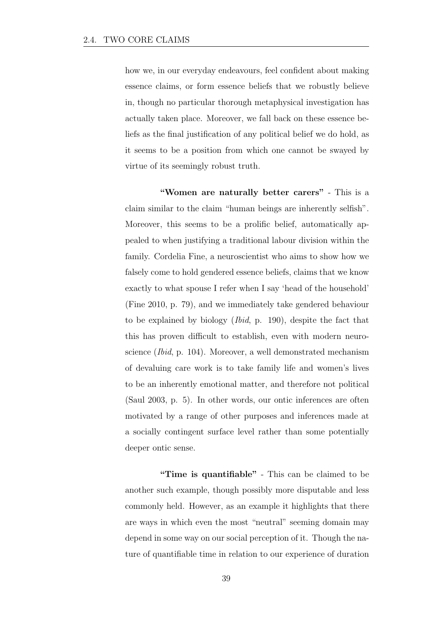how we, in our everyday endeavours, feel confident about making essence claims, or form essence beliefs that we robustly believe in, though no particular thorough metaphysical investigation has actually taken place. Moreover, we fall back on these essence beliefs as the final justification of any political belief we do hold, as it seems to be a position from which one cannot be swayed by virtue of its seemingly robust truth.

"Women are naturally better carers" - This is a claim similar to the claim "human beings are inherently selfish". Moreover, this seems to be a prolific belief, automatically appealed to when justifying a traditional labour division within the family. Cordelia Fine, a neuroscientist who aims to show how we falsely come to hold gendered essence beliefs, claims that we know exactly to what spouse I refer when I say 'head of the household' (Fine 2010, p. 79), and we immediately take gendered behaviour to be explained by biology (*Ibid*, p. 190), despite the fact that this has proven difficult to establish, even with modern neuroscience (*Ibid*, p. 104). Moreover, a well demonstrated mechanism of devaluing care work is to take family life and women's lives to be an inherently emotional matter, and therefore not political (Saul 2003, p. 5). In other words, our ontic inferences are often motivated by a range of other purposes and inferences made at a socially contingent surface level rather than some potentially deeper ontic sense.

"Time is quantifiable" - This can be claimed to be another such example, though possibly more disputable and less commonly held. However, as an example it highlights that there are ways in which even the most "neutral" seeming domain may depend in some way on our social perception of it. Though the nature of quantifiable time in relation to our experience of duration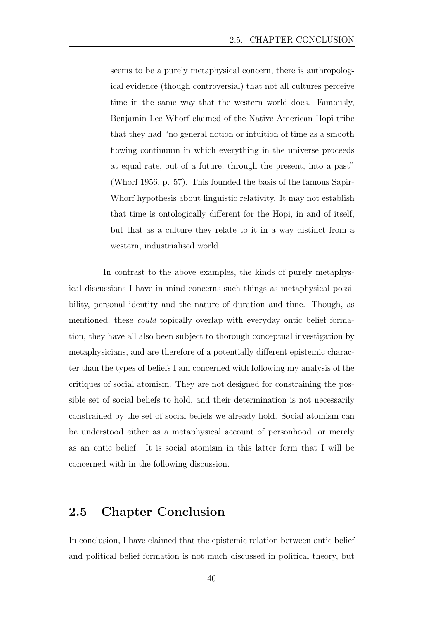seems to be a purely metaphysical concern, there is anthropological evidence (though controversial) that not all cultures perceive time in the same way that the western world does. Famously, Benjamin Lee Whorf claimed of the Native American Hopi tribe that they had "no general notion or intuition of time as a smooth flowing continuum in which everything in the universe proceeds at equal rate, out of a future, through the present, into a past" (Whorf 1956, p. 57). This founded the basis of the famous Sapir-Whorf hypothesis about linguistic relativity. It may not establish that time is ontologically different for the Hopi, in and of itself, but that as a culture they relate to it in a way distinct from a western, industrialised world.

In contrast to the above examples, the kinds of purely metaphysical discussions I have in mind concerns such things as metaphysical possibility, personal identity and the nature of duration and time. Though, as mentioned, these *could* topically overlap with everyday ontic belief formation, they have all also been subject to thorough conceptual investigation by metaphysicians, and are therefore of a potentially different epistemic character than the types of beliefs I am concerned with following my analysis of the critiques of social atomism. They are not designed for constraining the possible set of social beliefs to hold, and their determination is not necessarily constrained by the set of social beliefs we already hold. Social atomism can be understood either as a metaphysical account of personhood, or merely as an ontic belief. It is social atomism in this latter form that I will be concerned with in the following discussion.

### 2.5 Chapter Conclusion

In conclusion, I have claimed that the epistemic relation between ontic belief and political belief formation is not much discussed in political theory, but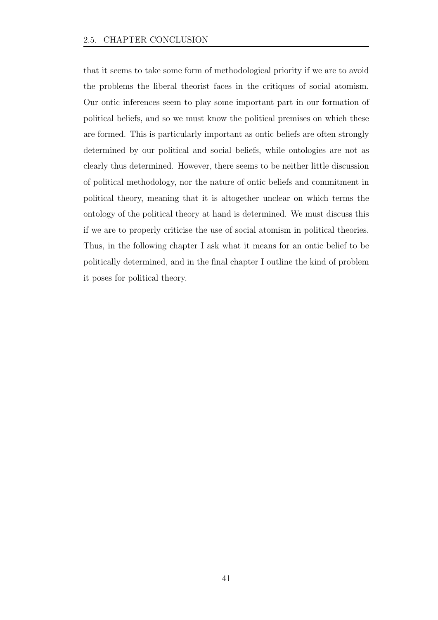that it seems to take some form of methodological priority if we are to avoid the problems the liberal theorist faces in the critiques of social atomism. Our ontic inferences seem to play some important part in our formation of political beliefs, and so we must know the political premises on which these are formed. This is particularly important as ontic beliefs are often strongly determined by our political and social beliefs, while ontologies are not as clearly thus determined. However, there seems to be neither little discussion of political methodology, nor the nature of ontic beliefs and commitment in political theory, meaning that it is altogether unclear on which terms the ontology of the political theory at hand is determined. We must discuss this if we are to properly criticise the use of social atomism in political theories. Thus, in the following chapter I ask what it means for an ontic belief to be politically determined, and in the final chapter I outline the kind of problem it poses for political theory.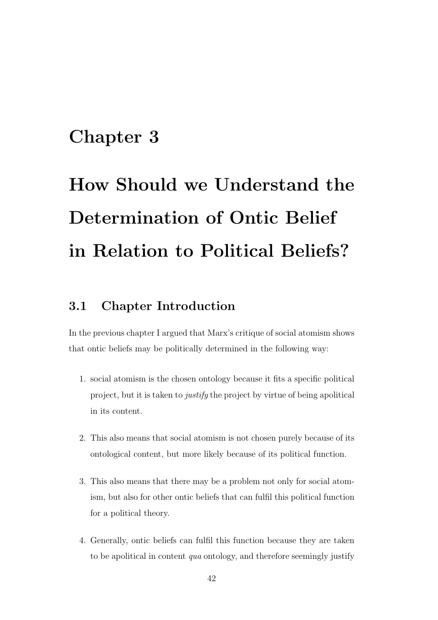# Chapter 3

# How Should we Understand the Determination of Ontic Belief in Relation to Political Beliefs?

## 3.1 Chapter Introduction

In the previous chapter I argued that Marx's critique of social atomism shows that ontic beliefs may be politically determined in the following way:

- 1. social atomism is the chosen ontology because it fits a specific political project, but it is taken to *justify* the project by virtue of being apolitical in its content.
- 2. This also means that social atomism is not chosen purely because of its ontological content, but more likely because of its political function.
- 3. This also means that there may be a problem not only for social atomism, but also for other ontic beliefs that can fulfil this political function for a political theory.
- 4. Generally, ontic beliefs can fulfil this function because they are taken to be apolitical in content *qua* ontology, and therefore seemingly justify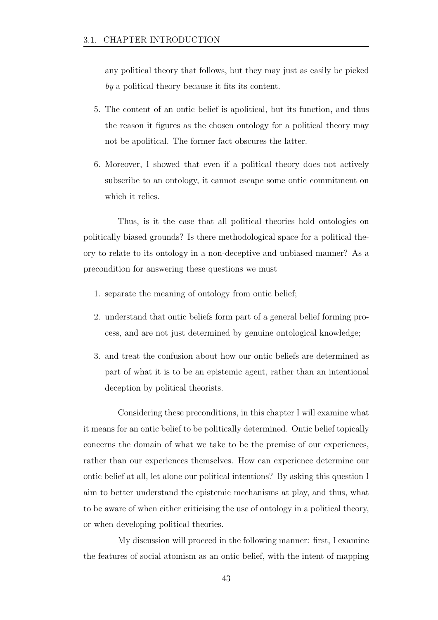any political theory that follows, but they may just as easily be picked *by* a political theory because it fits its content.

- 5. The content of an ontic belief is apolitical, but its function, and thus the reason it figures as the chosen ontology for a political theory may not be apolitical. The former fact obscures the latter.
- 6. Moreover, I showed that even if a political theory does not actively subscribe to an ontology, it cannot escape some ontic commitment on which it relies.

Thus, is it the case that all political theories hold ontologies on politically biased grounds? Is there methodological space for a political theory to relate to its ontology in a non-deceptive and unbiased manner? As a precondition for answering these questions we must

- 1. separate the meaning of ontology from ontic belief;
- 2. understand that ontic beliefs form part of a general belief forming process, and are not just determined by genuine ontological knowledge;
- 3. and treat the confusion about how our ontic beliefs are determined as part of what it is to be an epistemic agent, rather than an intentional deception by political theorists.

Considering these preconditions, in this chapter I will examine what it means for an ontic belief to be politically determined. Ontic belief topically concerns the domain of what we take to be the premise of our experiences, rather than our experiences themselves. How can experience determine our ontic belief at all, let alone our political intentions? By asking this question I aim to better understand the epistemic mechanisms at play, and thus, what to be aware of when either criticising the use of ontology in a political theory, or when developing political theories.

My discussion will proceed in the following manner: first, I examine the features of social atomism as an ontic belief, with the intent of mapping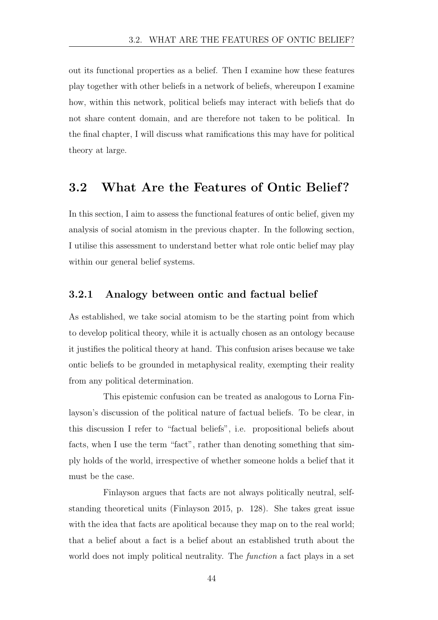out its functional properties as a belief. Then I examine how these features play together with other beliefs in a network of beliefs, whereupon I examine how, within this network, political beliefs may interact with beliefs that do not share content domain, and are therefore not taken to be political. In the final chapter, I will discuss what ramifications this may have for political theory at large.

### 3.2 What Are the Features of Ontic Belief?

In this section, I aim to assess the functional features of ontic belief, given my analysis of social atomism in the previous chapter. In the following section, I utilise this assessment to understand better what role ontic belief may play within our general belief systems.

#### 3.2.1 Analogy between ontic and factual belief

As established, we take social atomism to be the starting point from which to develop political theory, while it is actually chosen as an ontology because it justifies the political theory at hand. This confusion arises because we take ontic beliefs to be grounded in metaphysical reality, exempting their reality from any political determination.

This epistemic confusion can be treated as analogous to Lorna Finlayson's discussion of the political nature of factual beliefs. To be clear, in this discussion I refer to "factual beliefs", i.e. propositional beliefs about facts, when I use the term "fact", rather than denoting something that simply holds of the world, irrespective of whether someone holds a belief that it must be the case.

Finlayson argues that facts are not always politically neutral, selfstanding theoretical units (Finlayson 2015, p. 128). She takes great issue with the idea that facts are apolitical because they map on to the real world; that a belief about a fact is a belief about an established truth about the world does not imply political neutrality. The *function* a fact plays in a set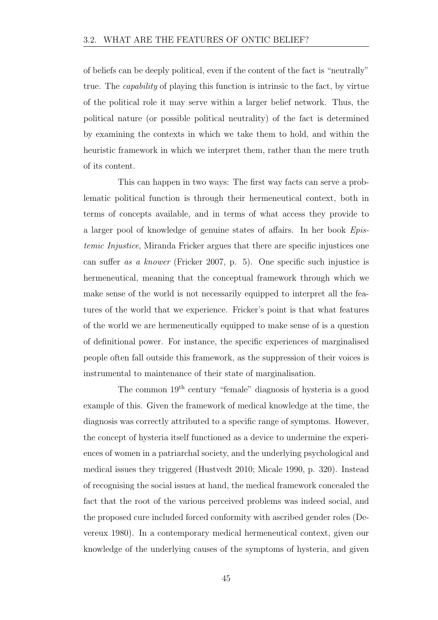of beliefs can be deeply political, even if the content of the fact is "neutrally" true. The *capability* of playing this function is intrinsic to the fact, by virtue of the political role it may serve within a larger belief network. Thus, the political nature (or possible political neutrality) of the fact is determined by examining the contexts in which we take them to hold, and within the heuristic framework in which we interpret them, rather than the mere truth of its content.

This can happen in two ways: The first way facts can serve a problematic political function is through their hermeneutical context, both in terms of concepts available, and in terms of what access they provide to a larger pool of knowledge of genuine states of affairs. In her book *Epistemic Injustice*, Miranda Fricker argues that there are specific injustices one can su↵er *as a knower* (Fricker 2007, p. 5). One specific such injustice is hermeneutical, meaning that the conceptual framework through which we make sense of the world is not necessarily equipped to interpret all the features of the world that we experience. Fricker's point is that what features of the world we are hermeneutically equipped to make sense of is a question of definitional power. For instance, the specific experiences of marginalised people often fall outside this framework, as the suppression of their voices is instrumental to maintenance of their state of marginalisation.

The common 19th century "female" diagnosis of hysteria is a good example of this. Given the framework of medical knowledge at the time, the diagnosis was correctly attributed to a specific range of symptoms. However, the concept of hysteria itself functioned as a device to undermine the experiences of women in a patriarchal society, and the underlying psychological and medical issues they triggered (Hustvedt 2010; Micale 1990, p. 320). Instead of recognising the social issues at hand, the medical framework concealed the fact that the root of the various perceived problems was indeed social, and the proposed cure included forced conformity with ascribed gender roles (Devereux 1980). In a contemporary medical hermeneutical context, given our knowledge of the underlying causes of the symptoms of hysteria, and given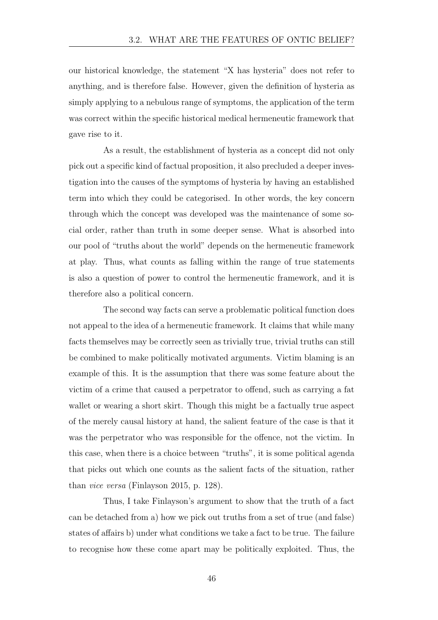our historical knowledge, the statement "X has hysteria" does not refer to anything, and is therefore false. However, given the definition of hysteria as simply applying to a nebulous range of symptoms, the application of the term was correct within the specific historical medical hermeneutic framework that gave rise to it.

As a result, the establishment of hysteria as a concept did not only pick out a specific kind of factual proposition, it also precluded a deeper investigation into the causes of the symptoms of hysteria by having an established term into which they could be categorised. In other words, the key concern through which the concept was developed was the maintenance of some social order, rather than truth in some deeper sense. What is absorbed into our pool of "truths about the world" depends on the hermeneutic framework at play. Thus, what counts as falling within the range of true statements is also a question of power to control the hermeneutic framework, and it is therefore also a political concern.

The second way facts can serve a problematic political function does not appeal to the idea of a hermeneutic framework. It claims that while many facts themselves may be correctly seen as trivially true, trivial truths can still be combined to make politically motivated arguments. Victim blaming is an example of this. It is the assumption that there was some feature about the victim of a crime that caused a perpetrator to offend, such as carrying a fat wallet or wearing a short skirt. Though this might be a factually true aspect of the merely causal history at hand, the salient feature of the case is that it was the perpetrator who was responsible for the offence, not the victim. In this case, when there is a choice between "truths", it is some political agenda that picks out which one counts as the salient facts of the situation, rather than *vice versa* (Finlayson 2015, p. 128).

Thus, I take Finlayson's argument to show that the truth of a fact can be detached from a) how we pick out truths from a set of true (and false) states of affairs b) under what conditions we take a fact to be true. The failure to recognise how these come apart may be politically exploited. Thus, the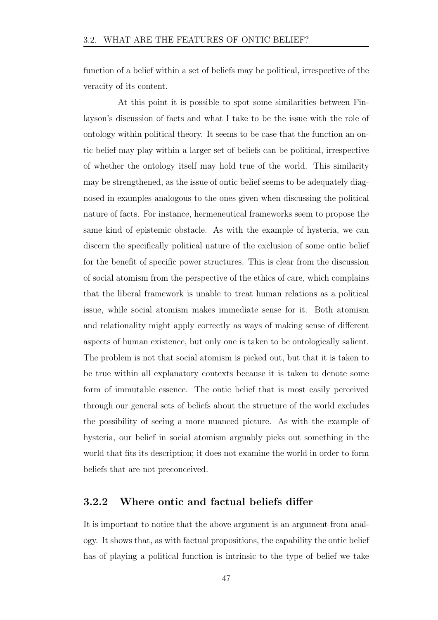function of a belief within a set of beliefs may be political, irrespective of the veracity of its content.

At this point it is possible to spot some similarities between Finlayson's discussion of facts and what I take to be the issue with the role of ontology within political theory. It seems to be case that the function an ontic belief may play within a larger set of beliefs can be political, irrespective of whether the ontology itself may hold true of the world. This similarity may be strengthened, as the issue of ontic belief seems to be adequately diagnosed in examples analogous to the ones given when discussing the political nature of facts. For instance, hermeneutical frameworks seem to propose the same kind of epistemic obstacle. As with the example of hysteria, we can discern the specifically political nature of the exclusion of some ontic belief for the benefit of specific power structures. This is clear from the discussion of social atomism from the perspective of the ethics of care, which complains that the liberal framework is unable to treat human relations as a political issue, while social atomism makes immediate sense for it. Both atomism and relationality might apply correctly as ways of making sense of different aspects of human existence, but only one is taken to be ontologically salient. The problem is not that social atomism is picked out, but that it is taken to be true within all explanatory contexts because it is taken to denote some form of immutable essence. The ontic belief that is most easily perceived through our general sets of beliefs about the structure of the world excludes the possibility of seeing a more nuanced picture. As with the example of hysteria, our belief in social atomism arguably picks out something in the world that fits its description; it does not examine the world in order to form beliefs that are not preconceived.

### 3.2.2 Where ontic and factual beliefs differ

It is important to notice that the above argument is an argument from analogy. It shows that, as with factual propositions, the capability the ontic belief has of playing a political function is intrinsic to the type of belief we take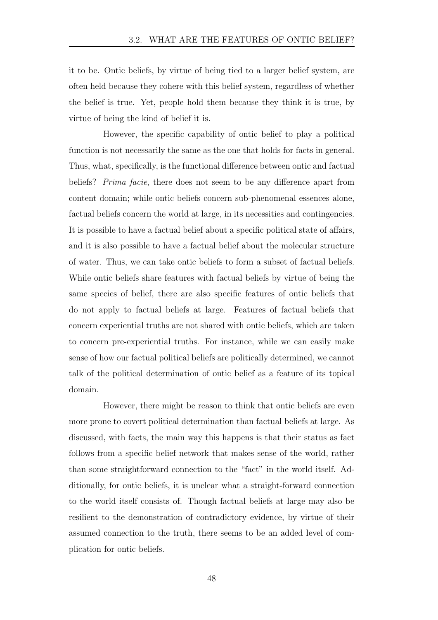it to be. Ontic beliefs, by virtue of being tied to a larger belief system, are often held because they cohere with this belief system, regardless of whether the belief is true. Yet, people hold them because they think it is true, by virtue of being the kind of belief it is.

However, the specific capability of ontic belief to play a political function is not necessarily the same as the one that holds for facts in general. Thus, what, specifically, is the functional difference between ontic and factual beliefs? *Prima facie*, there does not seem to be any difference apart from content domain; while ontic beliefs concern sub-phenomenal essences alone, factual beliefs concern the world at large, in its necessities and contingencies. It is possible to have a factual belief about a specific political state of affairs, and it is also possible to have a factual belief about the molecular structure of water. Thus, we can take ontic beliefs to form a subset of factual beliefs. While ontic beliefs share features with factual beliefs by virtue of being the same species of belief, there are also specific features of ontic beliefs that do not apply to factual beliefs at large. Features of factual beliefs that concern experiential truths are not shared with ontic beliefs, which are taken to concern pre-experiential truths. For instance, while we can easily make sense of how our factual political beliefs are politically determined, we cannot talk of the political determination of ontic belief as a feature of its topical domain.

However, there might be reason to think that ontic beliefs are even more prone to covert political determination than factual beliefs at large. As discussed, with facts, the main way this happens is that their status as fact follows from a specific belief network that makes sense of the world, rather than some straightforward connection to the "fact" in the world itself. Additionally, for ontic beliefs, it is unclear what a straight-forward connection to the world itself consists of. Though factual beliefs at large may also be resilient to the demonstration of contradictory evidence, by virtue of their assumed connection to the truth, there seems to be an added level of complication for ontic beliefs.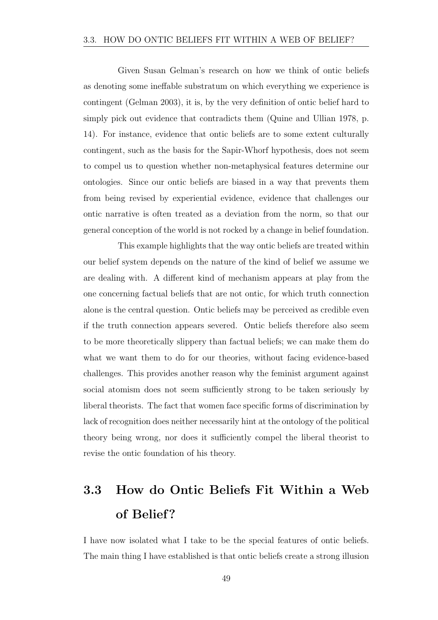Given Susan Gelman's research on how we think of ontic beliefs as denoting some ineffable substratum on which everything we experience is contingent (Gelman 2003), it is, by the very definition of ontic belief hard to simply pick out evidence that contradicts them (Quine and Ullian 1978, p. 14). For instance, evidence that ontic beliefs are to some extent culturally contingent, such as the basis for the Sapir-Whorf hypothesis, does not seem to compel us to question whether non-metaphysical features determine our ontologies. Since our ontic beliefs are biased in a way that prevents them from being revised by experiential evidence, evidence that challenges our ontic narrative is often treated as a deviation from the norm, so that our general conception of the world is not rocked by a change in belief foundation.

This example highlights that the way ontic beliefs are treated within our belief system depends on the nature of the kind of belief we assume we are dealing with. A different kind of mechanism appears at play from the one concerning factual beliefs that are not ontic, for which truth connection alone is the central question. Ontic beliefs may be perceived as credible even if the truth connection appears severed. Ontic beliefs therefore also seem to be more theoretically slippery than factual beliefs; we can make them do what we want them to do for our theories, without facing evidence-based challenges. This provides another reason why the feminist argument against social atomism does not seem sufficiently strong to be taken seriously by liberal theorists. The fact that women face specific forms of discrimination by lack of recognition does neither necessarily hint at the ontology of the political theory being wrong, nor does it sufficiently compel the liberal theorist to revise the ontic foundation of his theory.

# 3.3 How do Ontic Beliefs Fit Within a Web of Belief?

I have now isolated what I take to be the special features of ontic beliefs. The main thing I have established is that ontic beliefs create a strong illusion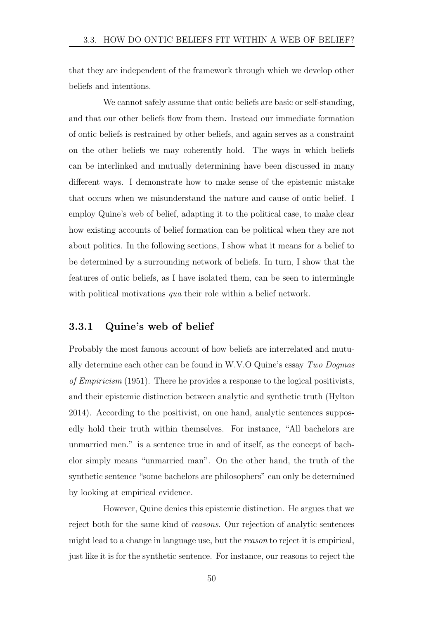that they are independent of the framework through which we develop other beliefs and intentions.

We cannot safely assume that ontic beliefs are basic or self-standing, and that our other beliefs flow from them. Instead our immediate formation of ontic beliefs is restrained by other beliefs, and again serves as a constraint on the other beliefs we may coherently hold. The ways in which beliefs can be interlinked and mutually determining have been discussed in many different ways. I demonstrate how to make sense of the epistemic mistake that occurs when we misunderstand the nature and cause of ontic belief. I employ Quine's web of belief, adapting it to the political case, to make clear how existing accounts of belief formation can be political when they are not about politics. In the following sections, I show what it means for a belief to be determined by a surrounding network of beliefs. In turn, I show that the features of ontic beliefs, as I have isolated them, can be seen to intermingle with political motivations *qua* their role within a belief network.

### 3.3.1 Quine's web of belief

Probably the most famous account of how beliefs are interrelated and mutually determine each other can be found in W.V.O Quine's essay *Two Dogmas of Empiricism* (1951). There he provides a response to the logical positivists, and their epistemic distinction between analytic and synthetic truth (Hylton 2014). According to the positivist, on one hand, analytic sentences supposedly hold their truth within themselves. For instance, "All bachelors are unmarried men." is a sentence true in and of itself, as the concept of bachelor simply means "unmarried man". On the other hand, the truth of the synthetic sentence "some bachelors are philosophers" can only be determined by looking at empirical evidence.

However, Quine denies this epistemic distinction. He argues that we reject both for the same kind of *reasons*. Our rejection of analytic sentences might lead to a change in language use, but the *reason* to reject it is empirical, just like it is for the synthetic sentence. For instance, our reasons to reject the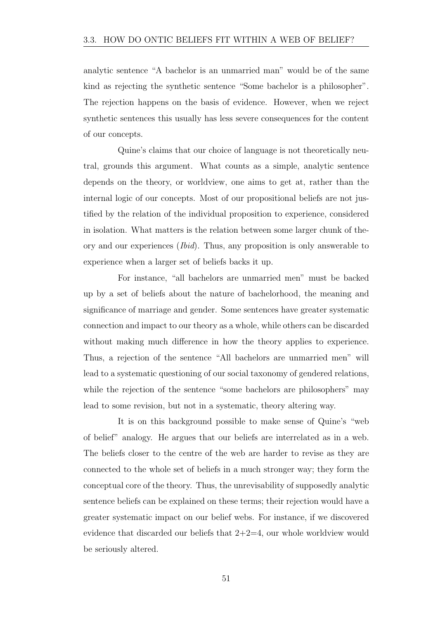analytic sentence "A bachelor is an unmarried man" would be of the same kind as rejecting the synthetic sentence "Some bachelor is a philosopher". The rejection happens on the basis of evidence. However, when we reject synthetic sentences this usually has less severe consequences for the content of our concepts.

Quine's claims that our choice of language is not theoretically neutral, grounds this argument. What counts as a simple, analytic sentence depends on the theory, or worldview, one aims to get at, rather than the internal logic of our concepts. Most of our propositional beliefs are not justified by the relation of the individual proposition to experience, considered in isolation. What matters is the relation between some larger chunk of theory and our experiences (*Ibid*). Thus, any proposition is only answerable to experience when a larger set of beliefs backs it up.

For instance, "all bachelors are unmarried men" must be backed up by a set of beliefs about the nature of bachelorhood, the meaning and significance of marriage and gender. Some sentences have greater systematic connection and impact to our theory as a whole, while others can be discarded without making much difference in how the theory applies to experience. Thus, a rejection of the sentence "All bachelors are unmarried men" will lead to a systematic questioning of our social taxonomy of gendered relations, while the rejection of the sentence "some bachelors are philosophers" may lead to some revision, but not in a systematic, theory altering way.

It is on this background possible to make sense of Quine's "web of belief" analogy. He argues that our beliefs are interrelated as in a web. The beliefs closer to the centre of the web are harder to revise as they are connected to the whole set of beliefs in a much stronger way; they form the conceptual core of the theory. Thus, the unrevisability of supposedly analytic sentence beliefs can be explained on these terms; their rejection would have a greater systematic impact on our belief webs. For instance, if we discovered evidence that discarded our beliefs that  $2+2=4$ , our whole worldview would be seriously altered.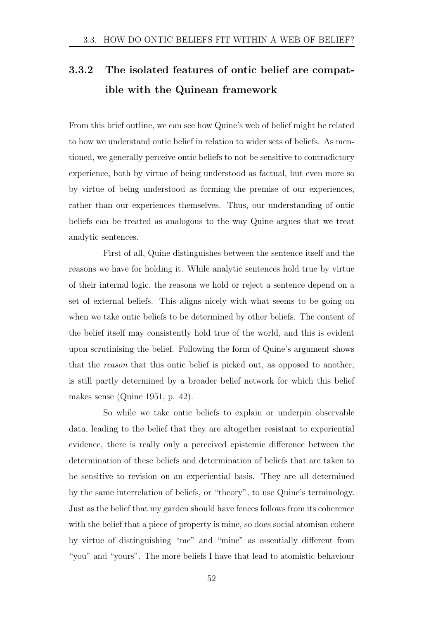# 3.3.2 The isolated features of ontic belief are compatible with the Quinean framework

From this brief outline, we can see how Quine's web of belief might be related to how we understand ontic belief in relation to wider sets of beliefs. As mentioned, we generally perceive ontic beliefs to not be sensitive to contradictory experience, both by virtue of being understood as factual, but even more so by virtue of being understood as forming the premise of our experiences, rather than our experiences themselves. Thus, our understanding of ontic beliefs can be treated as analogous to the way Quine argues that we treat analytic sentences.

First of all, Quine distinguishes between the sentence itself and the reasons we have for holding it. While analytic sentences hold true by virtue of their internal logic, the reasons we hold or reject a sentence depend on a set of external beliefs. This aligns nicely with what seems to be going on when we take ontic beliefs to be determined by other beliefs. The content of the belief itself may consistently hold true of the world, and this is evident upon scrutinising the belief. Following the form of Quine's argument shows that the *reason* that this ontic belief is picked out, as opposed to another, is still partly determined by a broader belief network for which this belief makes sense (Quine 1951, p. 42).

So while we take ontic beliefs to explain or underpin observable data, leading to the belief that they are altogether resistant to experiential evidence, there is really only a perceived epistemic difference between the determination of these beliefs and determination of beliefs that are taken to be sensitive to revision on an experiential basis. They are all determined by the same interrelation of beliefs, or "theory", to use Quine's terminology. Just as the belief that my garden should have fences follows from its coherence with the belief that a piece of property is mine, so does social atomism cohere by virtue of distinguishing "me" and "mine" as essentially different from "you" and "yours". The more beliefs I have that lead to atomistic behaviour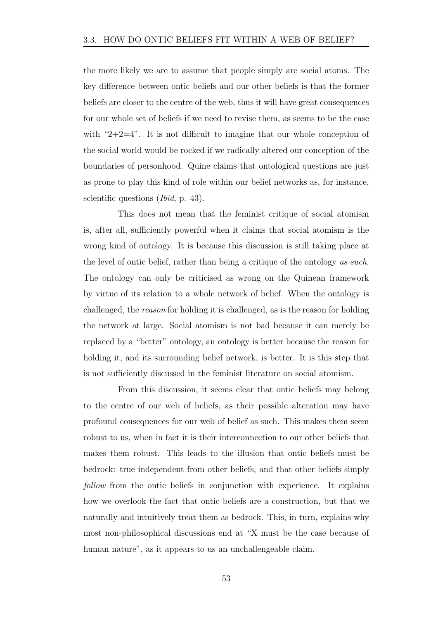the more likely we are to assume that people simply are social atoms. The key difference between ontic beliefs and our other beliefs is that the former beliefs are closer to the centre of the web, thus it will have great consequences for our whole set of beliefs if we need to revise them, as seems to be the case with " $2+2=4$ ". It is not difficult to imagine that our whole conception of the social world would be rocked if we radically altered our conception of the boundaries of personhood. Quine claims that ontological questions are just as prone to play this kind of role within our belief networks as, for instance, scientific questions (*Ibid*, p. 43).

This does not mean that the feminist critique of social atomism is, after all, sufficiently powerful when it claims that social atomism is the wrong kind of ontology. It is because this discussion is still taking place at the level of ontic belief, rather than being a critique of the ontology *as such*. The ontology can only be criticised as wrong on the Quinean framework by virtue of its relation to a whole network of belief. When the ontology is challenged, the *reason* for holding it is challenged, as is the reason for holding the network at large. Social atomism is not bad because it can merely be replaced by a "better" ontology, an ontology is better because the reason for holding it, and its surrounding belief network, is better. It is this step that is not sufficiently discussed in the feminist literature on social atomism.

From this discussion, it seems clear that ontic beliefs may belong to the centre of our web of beliefs, as their possible alteration may have profound consequences for our web of belief as such. This makes them seem robust to us, when in fact it is their interconnection to our other beliefs that makes them robust. This leads to the illusion that ontic beliefs must be bedrock: true independent from other beliefs, and that other beliefs simply *follow* from the ontic beliefs in conjunction with experience. It explains how we overlook the fact that ontic beliefs are a construction, but that we naturally and intuitively treat them as bedrock. This, in turn, explains why most non-philosophical discussions end at "X must be the case because of human nature", as it appears to us an unchallengeable claim.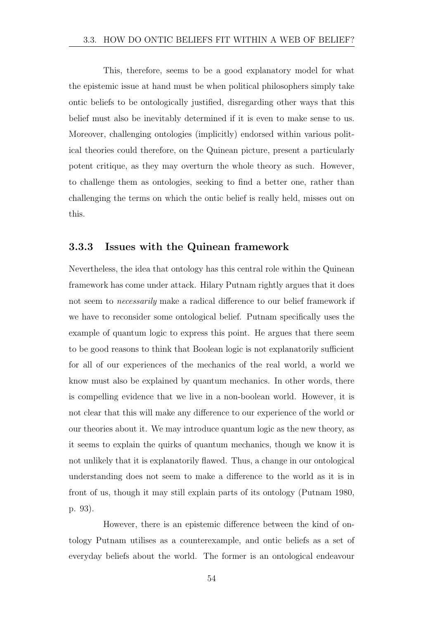This, therefore, seems to be a good explanatory model for what the epistemic issue at hand must be when political philosophers simply take ontic beliefs to be ontologically justified, disregarding other ways that this belief must also be inevitably determined if it is even to make sense to us. Moreover, challenging ontologies (implicitly) endorsed within various political theories could therefore, on the Quinean picture, present a particularly potent critique, as they may overturn the whole theory as such. However, to challenge them as ontologies, seeking to find a better one, rather than challenging the terms on which the ontic belief is really held, misses out on this.

### 3.3.3 Issues with the Quinean framework

Nevertheless, the idea that ontology has this central role within the Quinean framework has come under attack. Hilary Putnam rightly argues that it does not seem to *necessarily* make a radical difference to our belief framework if we have to reconsider some ontological belief. Putnam specifically uses the example of quantum logic to express this point. He argues that there seem to be good reasons to think that Boolean logic is not explanatorily sufficient for all of our experiences of the mechanics of the real world, a world we know must also be explained by quantum mechanics. In other words, there is compelling evidence that we live in a non-boolean world. However, it is not clear that this will make any difference to our experience of the world or our theories about it. We may introduce quantum logic as the new theory, as it seems to explain the quirks of quantum mechanics, though we know it is not unlikely that it is explanatorily flawed. Thus, a change in our ontological understanding does not seem to make a difference to the world as it is in front of us, though it may still explain parts of its ontology (Putnam 1980, p. 93).

However, there is an epistemic difference between the kind of ontology Putnam utilises as a counterexample, and ontic beliefs as a set of everyday beliefs about the world. The former is an ontological endeavour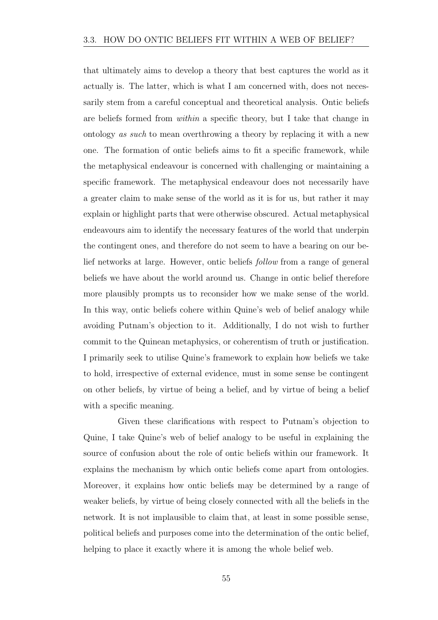that ultimately aims to develop a theory that best captures the world as it actually is. The latter, which is what I am concerned with, does not necessarily stem from a careful conceptual and theoretical analysis. Ontic beliefs are beliefs formed from *within* a specific theory, but I take that change in ontology *as such* to mean overthrowing a theory by replacing it with a new one. The formation of ontic beliefs aims to fit a specific framework, while the metaphysical endeavour is concerned with challenging or maintaining a specific framework. The metaphysical endeavour does not necessarily have a greater claim to make sense of the world as it is for us, but rather it may explain or highlight parts that were otherwise obscured. Actual metaphysical endeavours aim to identify the necessary features of the world that underpin the contingent ones, and therefore do not seem to have a bearing on our belief networks at large. However, ontic beliefs *follow* from a range of general beliefs we have about the world around us. Change in ontic belief therefore more plausibly prompts us to reconsider how we make sense of the world. In this way, ontic beliefs cohere within Quine's web of belief analogy while avoiding Putnam's objection to it. Additionally, I do not wish to further commit to the Quinean metaphysics, or coherentism of truth or justification. I primarily seek to utilise Quine's framework to explain how beliefs we take to hold, irrespective of external evidence, must in some sense be contingent on other beliefs, by virtue of being a belief, and by virtue of being a belief with a specific meaning.

Given these clarifications with respect to Putnam's objection to Quine, I take Quine's web of belief analogy to be useful in explaining the source of confusion about the role of ontic beliefs within our framework. It explains the mechanism by which ontic beliefs come apart from ontologies. Moreover, it explains how ontic beliefs may be determined by a range of weaker beliefs, by virtue of being closely connected with all the beliefs in the network. It is not implausible to claim that, at least in some possible sense, political beliefs and purposes come into the determination of the ontic belief, helping to place it exactly where it is among the whole belief web.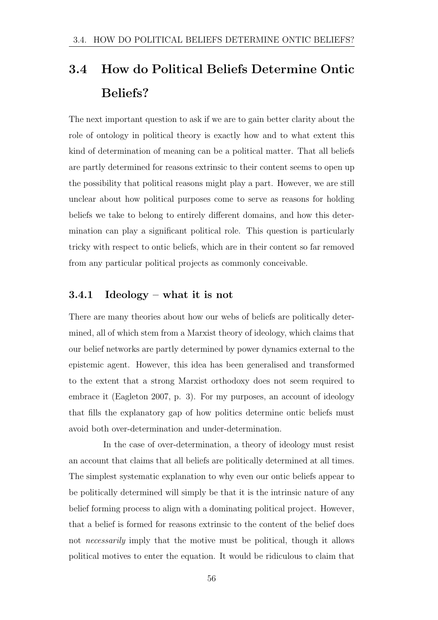# 3.4 How do Political Beliefs Determine Ontic Beliefs?

The next important question to ask if we are to gain better clarity about the role of ontology in political theory is exactly how and to what extent this kind of determination of meaning can be a political matter. That all beliefs are partly determined for reasons extrinsic to their content seems to open up the possibility that political reasons might play a part. However, we are still unclear about how political purposes come to serve as reasons for holding beliefs we take to belong to entirely different domains, and how this determination can play a significant political role. This question is particularly tricky with respect to ontic beliefs, which are in their content so far removed from any particular political projects as commonly conceivable.

### 3.4.1 Ideology – what it is not

There are many theories about how our webs of beliefs are politically determined, all of which stem from a Marxist theory of ideology, which claims that our belief networks are partly determined by power dynamics external to the epistemic agent. However, this idea has been generalised and transformed to the extent that a strong Marxist orthodoxy does not seem required to embrace it (Eagleton 2007, p. 3). For my purposes, an account of ideology that fills the explanatory gap of how politics determine ontic beliefs must avoid both over-determination and under-determination.

In the case of over-determination, a theory of ideology must resist an account that claims that all beliefs are politically determined at all times. The simplest systematic explanation to why even our ontic beliefs appear to be politically determined will simply be that it is the intrinsic nature of any belief forming process to align with a dominating political project. However, that a belief is formed for reasons extrinsic to the content of the belief does not *necessarily* imply that the motive must be political, though it allows political motives to enter the equation. It would be ridiculous to claim that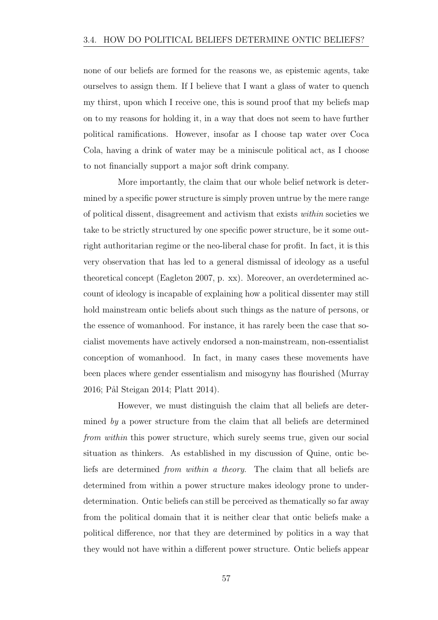none of our beliefs are formed for the reasons we, as epistemic agents, take ourselves to assign them. If I believe that I want a glass of water to quench my thirst, upon which I receive one, this is sound proof that my beliefs map on to my reasons for holding it, in a way that does not seem to have further political ramifications. However, insofar as I choose tap water over Coca Cola, having a drink of water may be a miniscule political act, as I choose to not financially support a major soft drink company.

More importantly, the claim that our whole belief network is determined by a specific power structure is simply proven untrue by the mere range of political dissent, disagreement and activism that exists *within* societies we take to be strictly structured by one specific power structure, be it some outright authoritarian regime or the neo-liberal chase for profit. In fact, it is this very observation that has led to a general dismissal of ideology as a useful theoretical concept (Eagleton 2007, p. xx). Moreover, an overdetermined account of ideology is incapable of explaining how a political dissenter may still hold mainstream ontic beliefs about such things as the nature of persons, or the essence of womanhood. For instance, it has rarely been the case that socialist movements have actively endorsed a non-mainstream, non-essentialist conception of womanhood. In fact, in many cases these movements have been places where gender essentialism and misogyny has flourished (Murray 2016; Pål Steigan 2014; Platt 2014).

However, we must distinguish the claim that all beliefs are determined *by* a power structure from the claim that all beliefs are determined *from within* this power structure, which surely seems true, given our social situation as thinkers. As established in my discussion of Quine, ontic beliefs are determined *from within a theory*. The claim that all beliefs are determined from within a power structure makes ideology prone to underdetermination. Ontic beliefs can still be perceived as thematically so far away from the political domain that it is neither clear that ontic beliefs make a political difference, nor that they are determined by politics in a way that they would not have within a different power structure. Ontic beliefs appear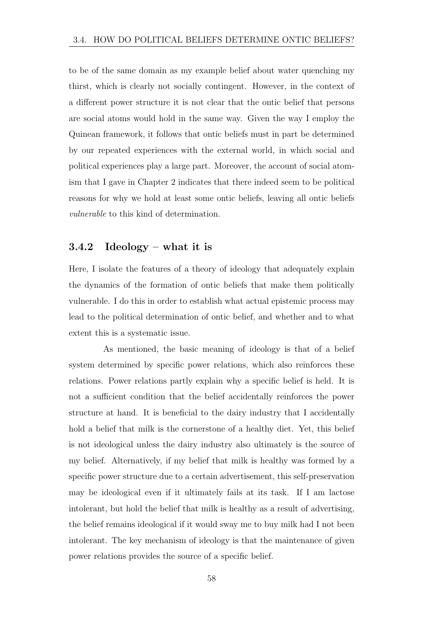to be of the same domain as my example belief about water quenching my thirst, which is clearly not socially contingent. However, in the context of a different power structure it is not clear that the ontic belief that persons are social atoms would hold in the same way. Given the way I employ the Quinean framework, it follows that ontic beliefs must in part be determined by our repeated experiences with the external world, in which social and political experiences play a large part. Moreover, the account of social atomism that I gave in Chapter 2 indicates that there indeed seem to be political reasons for why we hold at least some ontic beliefs, leaving all ontic beliefs *vulnerable* to this kind of determination.

### 3.4.2 Ideology – what it is

Here, I isolate the features of a theory of ideology that adequately explain the dynamics of the formation of ontic beliefs that make them politically vulnerable. I do this in order to establish what actual epistemic process may lead to the political determination of ontic belief, and whether and to what extent this is a systematic issue.

As mentioned, the basic meaning of ideology is that of a belief system determined by specific power relations, which also reinforces these relations. Power relations partly explain why a specific belief is held. It is not a sufficient condition that the belief accidentally reinforces the power structure at hand. It is beneficial to the dairy industry that I accidentally hold a belief that milk is the cornerstone of a healthy diet. Yet, this belief is not ideological unless the dairy industry also ultimately is the source of my belief. Alternatively, if my belief that milk is healthy was formed by a specific power structure due to a certain advertisement, this self-preservation may be ideological even if it ultimately fails at its task. If I am lactose intolerant, but hold the belief that milk is healthy as a result of advertising, the belief remains ideological if it would sway me to buy milk had I not been intolerant. The key mechanism of ideology is that the maintenance of given power relations provides the source of a specific belief.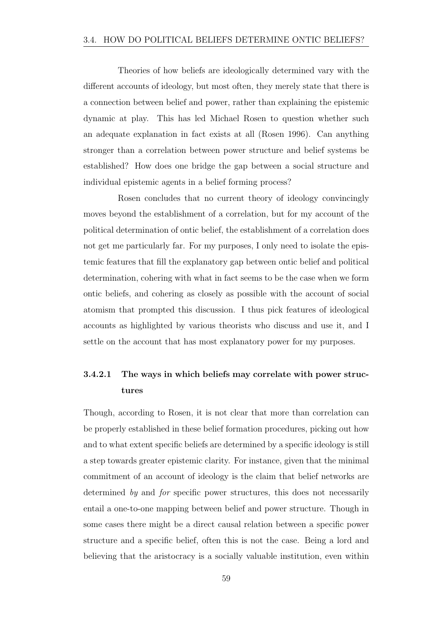Theories of how beliefs are ideologically determined vary with the different accounts of ideology, but most often, they merely state that there is a connection between belief and power, rather than explaining the epistemic dynamic at play. This has led Michael Rosen to question whether such an adequate explanation in fact exists at all (Rosen 1996). Can anything stronger than a correlation between power structure and belief systems be established? How does one bridge the gap between a social structure and individual epistemic agents in a belief forming process?

Rosen concludes that no current theory of ideology convincingly moves beyond the establishment of a correlation, but for my account of the political determination of ontic belief, the establishment of a correlation does not get me particularly far. For my purposes, I only need to isolate the epistemic features that fill the explanatory gap between ontic belief and political determination, cohering with what in fact seems to be the case when we form ontic beliefs, and cohering as closely as possible with the account of social atomism that prompted this discussion. I thus pick features of ideological accounts as highlighted by various theorists who discuss and use it, and I settle on the account that has most explanatory power for my purposes.

### 3.4.2.1 The ways in which beliefs may correlate with power structures

Though, according to Rosen, it is not clear that more than correlation can be properly established in these belief formation procedures, picking out how and to what extent specific beliefs are determined by a specific ideology is still a step towards greater epistemic clarity. For instance, given that the minimal commitment of an account of ideology is the claim that belief networks are determined *by* and *for* specific power structures, this does not necessarily entail a one-to-one mapping between belief and power structure. Though in some cases there might be a direct causal relation between a specific power structure and a specific belief, often this is not the case. Being a lord and believing that the aristocracy is a socially valuable institution, even within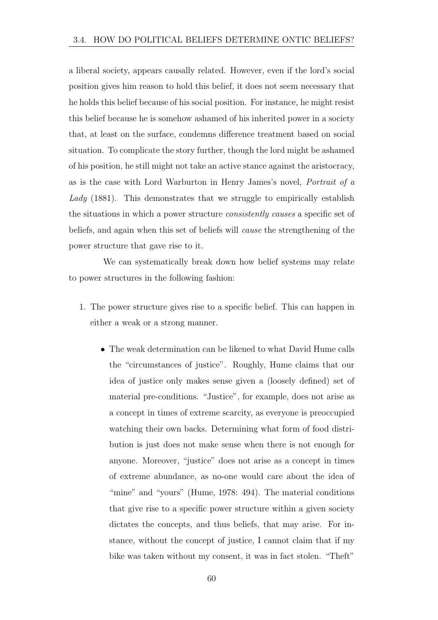a liberal society, appears causally related. However, even if the lord's social position gives him reason to hold this belief, it does not seem necessary that he holds this belief because of his social position. For instance, he might resist this belief because he is somehow ashamed of his inherited power in a society that, at least on the surface, condemns difference treatment based on social situation. To complicate the story further, though the lord might be ashamed of his position, he still might not take an active stance against the aristocracy, as is the case with Lord Warburton in Henry James's novel, *Portrait of a Lady* (1881). This demonstrates that we struggle to empirically establish the situations in which a power structure *consistently causes* a specific set of beliefs, and again when this set of beliefs will *cause* the strengthening of the power structure that gave rise to it.

We can systematically break down how belief systems may relate to power structures in the following fashion:

- 1. The power structure gives rise to a specific belief. This can happen in either a weak or a strong manner.
	- The weak determination can be likened to what David Hume calls the "circumstances of justice". Roughly, Hume claims that our idea of justice only makes sense given a (loosely defined) set of material pre-conditions. "Justice", for example, does not arise as a concept in times of extreme scarcity, as everyone is preoccupied watching their own backs. Determining what form of food distribution is just does not make sense when there is not enough for anyone. Moreover, "justice" does not arise as a concept in times of extreme abundance, as no-one would care about the idea of "mine" and "yours" (Hume, 1978: 494). The material conditions that give rise to a specific power structure within a given society dictates the concepts, and thus beliefs, that may arise. For instance, without the concept of justice, I cannot claim that if my bike was taken without my consent, it was in fact stolen. "Theft"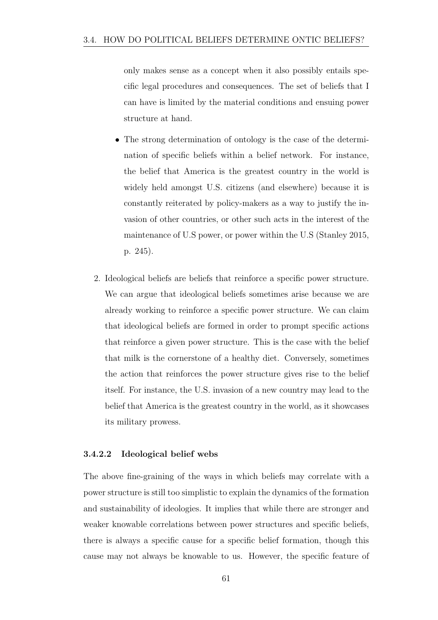only makes sense as a concept when it also possibly entails specific legal procedures and consequences. The set of beliefs that I can have is limited by the material conditions and ensuing power structure at hand.

- The strong determination of ontology is the case of the determination of specific beliefs within a belief network. For instance, the belief that America is the greatest country in the world is widely held amongst U.S. citizens (and elsewhere) because it is constantly reiterated by policy-makers as a way to justify the invasion of other countries, or other such acts in the interest of the maintenance of U.S power, or power within the U.S (Stanley 2015, p. 245).
- 2. Ideological beliefs are beliefs that reinforce a specific power structure. We can argue that ideological beliefs sometimes arise because we are already working to reinforce a specific power structure. We can claim that ideological beliefs are formed in order to prompt specific actions that reinforce a given power structure. This is the case with the belief that milk is the cornerstone of a healthy diet. Conversely, sometimes the action that reinforces the power structure gives rise to the belief itself. For instance, the U.S. invasion of a new country may lead to the belief that America is the greatest country in the world, as it showcases its military prowess.

#### 3.4.2.2 Ideological belief webs

The above fine-graining of the ways in which beliefs may correlate with a power structure is still too simplistic to explain the dynamics of the formation and sustainability of ideologies. It implies that while there are stronger and weaker knowable correlations between power structures and specific beliefs, there is always a specific cause for a specific belief formation, though this cause may not always be knowable to us. However, the specific feature of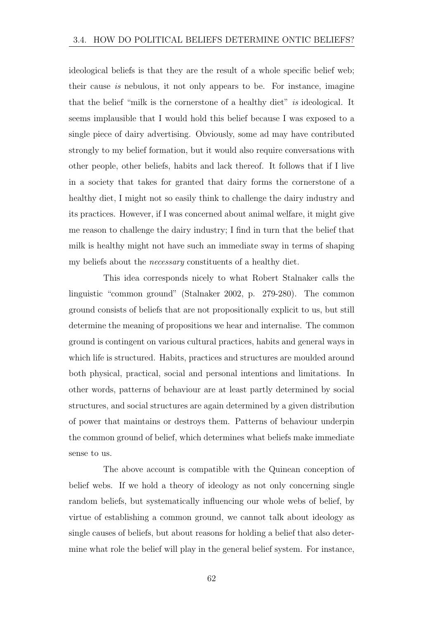ideological beliefs is that they are the result of a whole specific belief web; their cause *is* nebulous, it not only appears to be. For instance, imagine that the belief "milk is the cornerstone of a healthy diet" *is* ideological. It seems implausible that I would hold this belief because I was exposed to a single piece of dairy advertising. Obviously, some ad may have contributed strongly to my belief formation, but it would also require conversations with other people, other beliefs, habits and lack thereof. It follows that if I live in a society that takes for granted that dairy forms the cornerstone of a healthy diet, I might not so easily think to challenge the dairy industry and its practices. However, if I was concerned about animal welfare, it might give me reason to challenge the dairy industry; I find in turn that the belief that milk is healthy might not have such an immediate sway in terms of shaping my beliefs about the *necessary* constituents of a healthy diet.

This idea corresponds nicely to what Robert Stalnaker calls the linguistic "common ground" (Stalnaker 2002, p. 279-280). The common ground consists of beliefs that are not propositionally explicit to us, but still determine the meaning of propositions we hear and internalise. The common ground is contingent on various cultural practices, habits and general ways in which life is structured. Habits, practices and structures are moulded around both physical, practical, social and personal intentions and limitations. In other words, patterns of behaviour are at least partly determined by social structures, and social structures are again determined by a given distribution of power that maintains or destroys them. Patterns of behaviour underpin the common ground of belief, which determines what beliefs make immediate sense to us.

The above account is compatible with the Quinean conception of belief webs. If we hold a theory of ideology as not only concerning single random beliefs, but systematically influencing our whole webs of belief, by virtue of establishing a common ground, we cannot talk about ideology as single causes of beliefs, but about reasons for holding a belief that also determine what role the belief will play in the general belief system. For instance,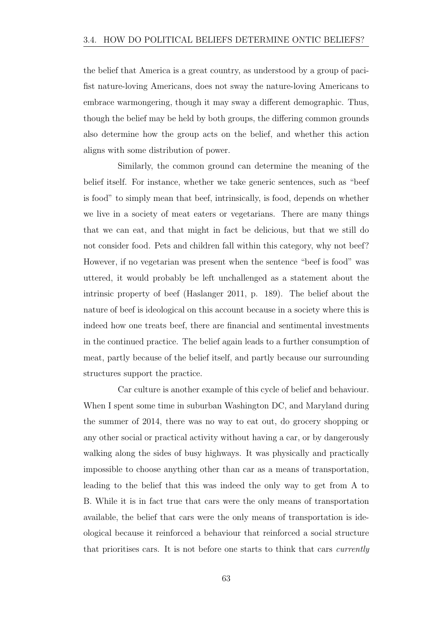the belief that America is a great country, as understood by a group of pacifist nature-loving Americans, does not sway the nature-loving Americans to embrace warmongering, though it may sway a different demographic. Thus, though the belief may be held by both groups, the differing common grounds also determine how the group acts on the belief, and whether this action aligns with some distribution of power.

Similarly, the common ground can determine the meaning of the belief itself. For instance, whether we take generic sentences, such as "beef is food" to simply mean that beef, intrinsically, is food, depends on whether we live in a society of meat eaters or vegetarians. There are many things that we can eat, and that might in fact be delicious, but that we still do not consider food. Pets and children fall within this category, why not beef? However, if no vegetarian was present when the sentence "beef is food" was uttered, it would probably be left unchallenged as a statement about the intrinsic property of beef (Haslanger 2011, p. 189). The belief about the nature of beef is ideological on this account because in a society where this is indeed how one treats beef, there are financial and sentimental investments in the continued practice. The belief again leads to a further consumption of meat, partly because of the belief itself, and partly because our surrounding structures support the practice.

Car culture is another example of this cycle of belief and behaviour. When I spent some time in suburban Washington DC, and Maryland during the summer of 2014, there was no way to eat out, do grocery shopping or any other social or practical activity without having a car, or by dangerously walking along the sides of busy highways. It was physically and practically impossible to choose anything other than car as a means of transportation, leading to the belief that this was indeed the only way to get from A to B. While it is in fact true that cars were the only means of transportation available, the belief that cars were the only means of transportation is ideological because it reinforced a behaviour that reinforced a social structure that prioritises cars. It is not before one starts to think that cars *currently*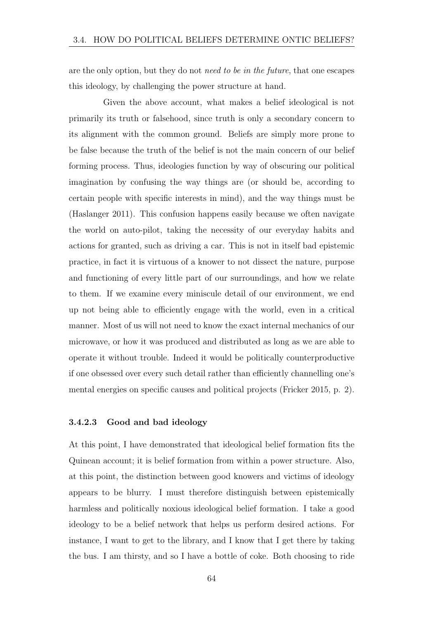are the only option, but they do not *need to be in the future*, that one escapes this ideology, by challenging the power structure at hand.

Given the above account, what makes a belief ideological is not primarily its truth or falsehood, since truth is only a secondary concern to its alignment with the common ground. Beliefs are simply more prone to be false because the truth of the belief is not the main concern of our belief forming process. Thus, ideologies function by way of obscuring our political imagination by confusing the way things are (or should be, according to certain people with specific interests in mind), and the way things must be (Haslanger 2011). This confusion happens easily because we often navigate the world on auto-pilot, taking the necessity of our everyday habits and actions for granted, such as driving a car. This is not in itself bad epistemic practice, in fact it is virtuous of a knower to not dissect the nature, purpose and functioning of every little part of our surroundings, and how we relate to them. If we examine every miniscule detail of our environment, we end up not being able to efficiently engage with the world, even in a critical manner. Most of us will not need to know the exact internal mechanics of our microwave, or how it was produced and distributed as long as we are able to operate it without trouble. Indeed it would be politically counterproductive if one obsessed over every such detail rather than efficiently channelling one's mental energies on specific causes and political projects (Fricker 2015, p. 2).

#### 3.4.2.3 Good and bad ideology

At this point, I have demonstrated that ideological belief formation fits the Quinean account; it is belief formation from within a power structure. Also, at this point, the distinction between good knowers and victims of ideology appears to be blurry. I must therefore distinguish between epistemically harmless and politically noxious ideological belief formation. I take a good ideology to be a belief network that helps us perform desired actions. For instance, I want to get to the library, and I know that I get there by taking the bus. I am thirsty, and so I have a bottle of coke. Both choosing to ride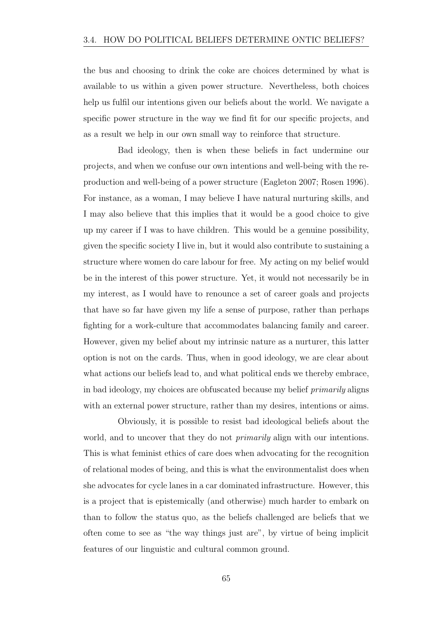the bus and choosing to drink the coke are choices determined by what is available to us within a given power structure. Nevertheless, both choices help us fulfil our intentions given our beliefs about the world. We navigate a specific power structure in the way we find fit for our specific projects, and as a result we help in our own small way to reinforce that structure.

Bad ideology, then is when these beliefs in fact undermine our projects, and when we confuse our own intentions and well-being with the reproduction and well-being of a power structure (Eagleton 2007; Rosen 1996). For instance, as a woman, I may believe I have natural nurturing skills, and I may also believe that this implies that it would be a good choice to give up my career if I was to have children. This would be a genuine possibility, given the specific society I live in, but it would also contribute to sustaining a structure where women do care labour for free. My acting on my belief would be in the interest of this power structure. Yet, it would not necessarily be in my interest, as I would have to renounce a set of career goals and projects that have so far have given my life a sense of purpose, rather than perhaps fighting for a work-culture that accommodates balancing family and career. However, given my belief about my intrinsic nature as a nurturer, this latter option is not on the cards. Thus, when in good ideology, we are clear about what actions our beliefs lead to, and what political ends we thereby embrace, in bad ideology, my choices are obfuscated because my belief *primarily* aligns with an external power structure, rather than my desires, intentions or aims.

Obviously, it is possible to resist bad ideological beliefs about the world, and to uncover that they do not *primarily* align with our intentions. This is what feminist ethics of care does when advocating for the recognition of relational modes of being, and this is what the environmentalist does when she advocates for cycle lanes in a car dominated infrastructure. However, this is a project that is epistemically (and otherwise) much harder to embark on than to follow the status quo, as the beliefs challenged are beliefs that we often come to see as "the way things just are", by virtue of being implicit features of our linguistic and cultural common ground.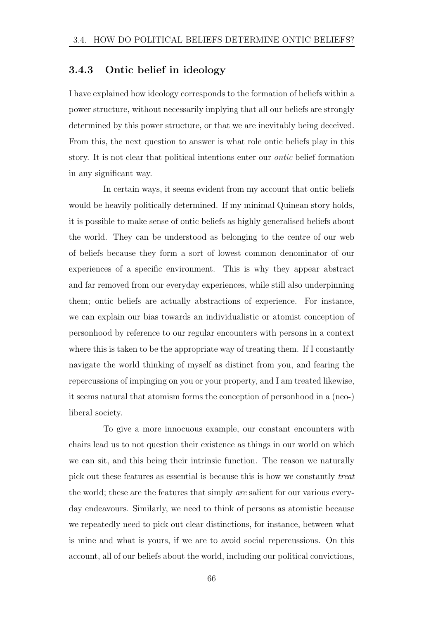### 3.4.3 Ontic belief in ideology

I have explained how ideology corresponds to the formation of beliefs within a power structure, without necessarily implying that all our beliefs are strongly determined by this power structure, or that we are inevitably being deceived. From this, the next question to answer is what role ontic beliefs play in this story. It is not clear that political intentions enter our *ontic* belief formation in any significant way.

In certain ways, it seems evident from my account that ontic beliefs would be heavily politically determined. If my minimal Quinean story holds, it is possible to make sense of ontic beliefs as highly generalised beliefs about the world. They can be understood as belonging to the centre of our web of beliefs because they form a sort of lowest common denominator of our experiences of a specific environment. This is why they appear abstract and far removed from our everyday experiences, while still also underpinning them; ontic beliefs are actually abstractions of experience. For instance, we can explain our bias towards an individualistic or atomist conception of personhood by reference to our regular encounters with persons in a context where this is taken to be the appropriate way of treating them. If I constantly navigate the world thinking of myself as distinct from you, and fearing the repercussions of impinging on you or your property, and I am treated likewise, it seems natural that atomism forms the conception of personhood in a (neo-) liberal society.

To give a more innocuous example, our constant encounters with chairs lead us to not question their existence as things in our world on which we can sit, and this being their intrinsic function. The reason we naturally pick out these features as essential is because this is how we constantly *treat* the world; these are the features that simply *are* salient for our various everyday endeavours. Similarly, we need to think of persons as atomistic because we repeatedly need to pick out clear distinctions, for instance, between what is mine and what is yours, if we are to avoid social repercussions. On this account, all of our beliefs about the world, including our political convictions,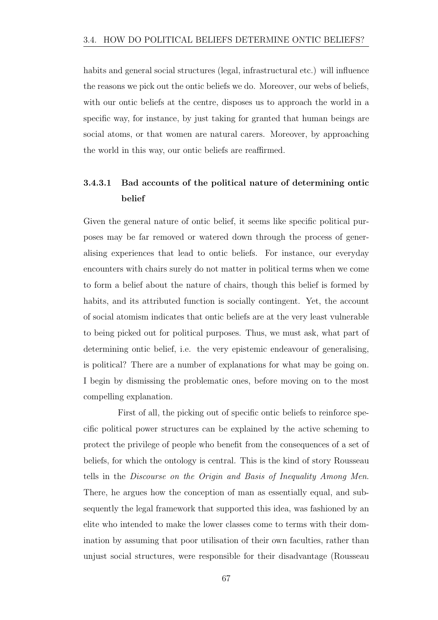habits and general social structures (legal, infrastructural etc.) will influence the reasons we pick out the ontic beliefs we do. Moreover, our webs of beliefs, with our ontic beliefs at the centre, disposes us to approach the world in a specific way, for instance, by just taking for granted that human beings are social atoms, or that women are natural carers. Moreover, by approaching the world in this way, our ontic beliefs are reaffirmed.

### 3.4.3.1 Bad accounts of the political nature of determining ontic belief

Given the general nature of ontic belief, it seems like specific political purposes may be far removed or watered down through the process of generalising experiences that lead to ontic beliefs. For instance, our everyday encounters with chairs surely do not matter in political terms when we come to form a belief about the nature of chairs, though this belief is formed by habits, and its attributed function is socially contingent. Yet, the account of social atomism indicates that ontic beliefs are at the very least vulnerable to being picked out for political purposes. Thus, we must ask, what part of determining ontic belief, i.e. the very epistemic endeavour of generalising, is political? There are a number of explanations for what may be going on. I begin by dismissing the problematic ones, before moving on to the most compelling explanation.

First of all, the picking out of specific ontic beliefs to reinforce specific political power structures can be explained by the active scheming to protect the privilege of people who benefit from the consequences of a set of beliefs, for which the ontology is central. This is the kind of story Rousseau tells in the *Discourse on the Origin and Basis of Inequality Among Men*. There, he argues how the conception of man as essentially equal, and subsequently the legal framework that supported this idea, was fashioned by an elite who intended to make the lower classes come to terms with their domination by assuming that poor utilisation of their own faculties, rather than unjust social structures, were responsible for their disadvantage (Rousseau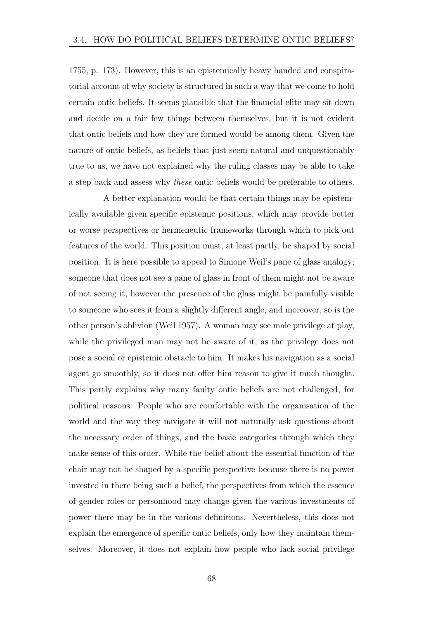1755, p. 173). However, this is an epistemically heavy handed and conspiratorial account of why society is structured in such a way that we come to hold certain ontic beliefs. It seems plausible that the financial elite may sit down and decide on a fair few things between themselves, but it is not evident that ontic beliefs and how they are formed would be among them. Given the nature of ontic beliefs, as beliefs that just seem natural and unquestionably true to us, we have not explained why the ruling classes may be able to take a step back and assess why *these* ontic beliefs would be preferable to others.

A better explanation would be that certain things may be epistemically available given specific epistemic positions, which may provide better or worse perspectives or hermeneutic frameworks through which to pick out features of the world. This position must, at least partly, be shaped by social position. It is here possible to appeal to Simone Weil's pane of glass analogy; someone that does not see a pane of glass in front of them might not be aware of not seeing it, however the presence of the glass might be painfully visible to someone who sees it from a slightly different angle, and moreover, so is the other person's oblivion (Weil 1957). A woman may see male privilege at play, while the privileged man may not be aware of it, as the privilege does not pose a social or epistemic obstacle to him. It makes his navigation as a social agent go smoothly, so it does not offer him reason to give it much thought. This partly explains why many faulty ontic beliefs are not challenged, for political reasons. People who are comfortable with the organisation of the world and the way they navigate it will not naturally ask questions about the necessary order of things, and the basic categories through which they make sense of this order. While the belief about the essential function of the chair may not be shaped by a specific perspective because there is no power invested in there being such a belief, the perspectives from which the essence of gender roles or personhood may change given the various investments of power there may be in the various definitions. Nevertheless, this does not explain the emergence of specific ontic beliefs, only how they maintain themselves. Moreover, it does not explain how people who lack social privilege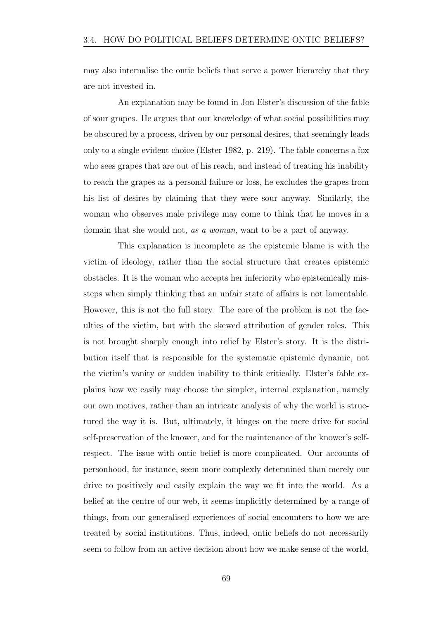may also internalise the ontic beliefs that serve a power hierarchy that they are not invested in.

An explanation may be found in Jon Elster's discussion of the fable of sour grapes. He argues that our knowledge of what social possibilities may be obscured by a process, driven by our personal desires, that seemingly leads only to a single evident choice (Elster 1982, p. 219). The fable concerns a fox who sees grapes that are out of his reach, and instead of treating his inability to reach the grapes as a personal failure or loss, he excludes the grapes from his list of desires by claiming that they were sour anyway. Similarly, the woman who observes male privilege may come to think that he moves in a domain that she would not, *as a woman*, want to be a part of anyway.

This explanation is incomplete as the epistemic blame is with the victim of ideology, rather than the social structure that creates epistemic obstacles. It is the woman who accepts her inferiority who epistemically missteps when simply thinking that an unfair state of affairs is not lamentable. However, this is not the full story. The core of the problem is not the faculties of the victim, but with the skewed attribution of gender roles. This is not brought sharply enough into relief by Elster's story. It is the distribution itself that is responsible for the systematic epistemic dynamic, not the victim's vanity or sudden inability to think critically. Elster's fable explains how we easily may choose the simpler, internal explanation, namely our own motives, rather than an intricate analysis of why the world is structured the way it is. But, ultimately, it hinges on the mere drive for social self-preservation of the knower, and for the maintenance of the knower's selfrespect. The issue with ontic belief is more complicated. Our accounts of personhood, for instance, seem more complexly determined than merely our drive to positively and easily explain the way we fit into the world. As a belief at the centre of our web, it seems implicitly determined by a range of things, from our generalised experiences of social encounters to how we are treated by social institutions. Thus, indeed, ontic beliefs do not necessarily seem to follow from an active decision about how we make sense of the world,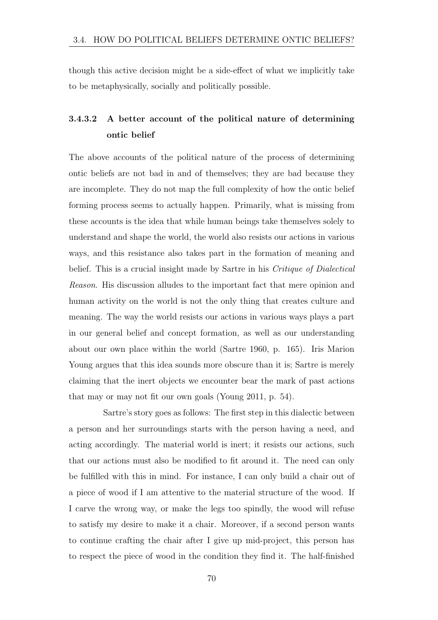though this active decision might be a side-effect of what we implicitly take to be metaphysically, socially and politically possible.

### 3.4.3.2 A better account of the political nature of determining ontic belief

The above accounts of the political nature of the process of determining ontic beliefs are not bad in and of themselves; they are bad because they are incomplete. They do not map the full complexity of how the ontic belief forming process seems to actually happen. Primarily, what is missing from these accounts is the idea that while human beings take themselves solely to understand and shape the world, the world also resists our actions in various ways, and this resistance also takes part in the formation of meaning and belief. This is a crucial insight made by Sartre in his *Critique of Dialectical Reason*. His discussion alludes to the important fact that mere opinion and human activity on the world is not the only thing that creates culture and meaning. The way the world resists our actions in various ways plays a part in our general belief and concept formation, as well as our understanding about our own place within the world (Sartre 1960, p. 165). Iris Marion Young argues that this idea sounds more obscure than it is; Sartre is merely claiming that the inert objects we encounter bear the mark of past actions that may or may not fit our own goals (Young 2011, p. 54).

Sartre's story goes as follows: The first step in this dialectic between a person and her surroundings starts with the person having a need, and acting accordingly. The material world is inert; it resists our actions, such that our actions must also be modified to fit around it. The need can only be fulfilled with this in mind. For instance, I can only build a chair out of a piece of wood if I am attentive to the material structure of the wood. If I carve the wrong way, or make the legs too spindly, the wood will refuse to satisfy my desire to make it a chair. Moreover, if a second person wants to continue crafting the chair after I give up mid-project, this person has to respect the piece of wood in the condition they find it. The half-finished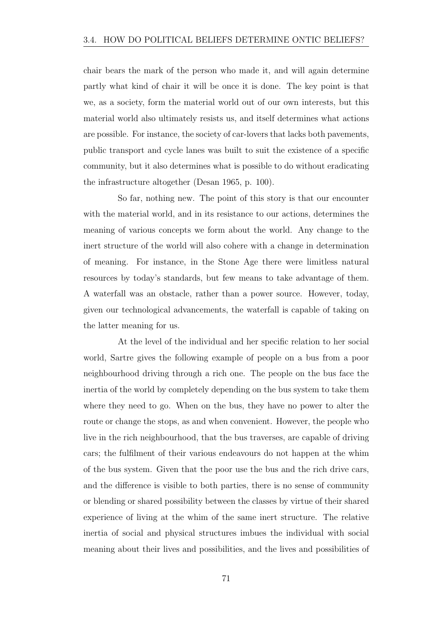chair bears the mark of the person who made it, and will again determine partly what kind of chair it will be once it is done. The key point is that we, as a society, form the material world out of our own interests, but this material world also ultimately resists us, and itself determines what actions are possible. For instance, the society of car-lovers that lacks both pavements, public transport and cycle lanes was built to suit the existence of a specific community, but it also determines what is possible to do without eradicating the infrastructure altogether (Desan 1965, p. 100).

So far, nothing new. The point of this story is that our encounter with the material world, and in its resistance to our actions, determines the meaning of various concepts we form about the world. Any change to the inert structure of the world will also cohere with a change in determination of meaning. For instance, in the Stone Age there were limitless natural resources by today's standards, but few means to take advantage of them. A waterfall was an obstacle, rather than a power source. However, today, given our technological advancements, the waterfall is capable of taking on the latter meaning for us.

At the level of the individual and her specific relation to her social world, Sartre gives the following example of people on a bus from a poor neighbourhood driving through a rich one. The people on the bus face the inertia of the world by completely depending on the bus system to take them where they need to go. When on the bus, they have no power to alter the route or change the stops, as and when convenient. However, the people who live in the rich neighbourhood, that the bus traverses, are capable of driving cars; the fulfilment of their various endeavours do not happen at the whim of the bus system. Given that the poor use the bus and the rich drive cars, and the difference is visible to both parties, there is no sense of community or blending or shared possibility between the classes by virtue of their shared experience of living at the whim of the same inert structure. The relative inertia of social and physical structures imbues the individual with social meaning about their lives and possibilities, and the lives and possibilities of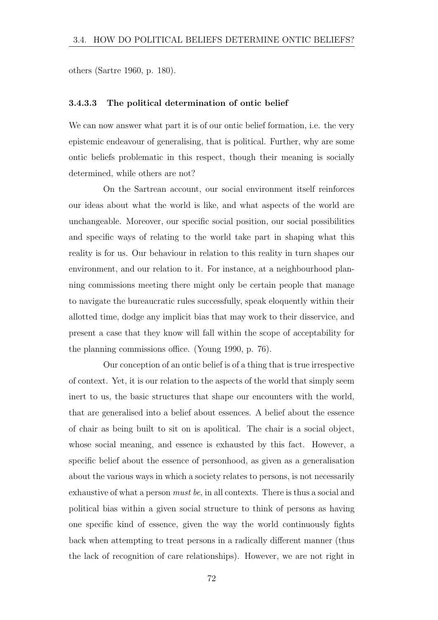others (Sartre 1960, p. 180).

#### 3.4.3.3 The political determination of ontic belief

We can now answer what part it is of our ontic belief formation, i.e. the very epistemic endeavour of generalising, that is political. Further, why are some ontic beliefs problematic in this respect, though their meaning is socially determined, while others are not?

On the Sartrean account, our social environment itself reinforces our ideas about what the world is like, and what aspects of the world are unchangeable. Moreover, our specific social position, our social possibilities and specific ways of relating to the world take part in shaping what this reality is for us. Our behaviour in relation to this reality in turn shapes our environment, and our relation to it. For instance, at a neighbourhood planning commissions meeting there might only be certain people that manage to navigate the bureaucratic rules successfully, speak eloquently within their allotted time, dodge any implicit bias that may work to their disservice, and present a case that they know will fall within the scope of acceptability for the planning commissions office. (Young 1990, p.  $76$ ).

Our conception of an ontic belief is of a thing that is true irrespective of context. Yet, it is our relation to the aspects of the world that simply seem inert to us, the basic structures that shape our encounters with the world, that are generalised into a belief about essences. A belief about the essence of chair as being built to sit on is apolitical. The chair is a social object, whose social meaning, and essence is exhausted by this fact. However, a specific belief about the essence of personhood, as given as a generalisation about the various ways in which a society relates to persons, is not necessarily exhaustive of what a person *must be*, in all contexts. There is thus a social and political bias within a given social structure to think of persons as having one specific kind of essence, given the way the world continuously fights back when attempting to treat persons in a radically different manner (thus the lack of recognition of care relationships). However, we are not right in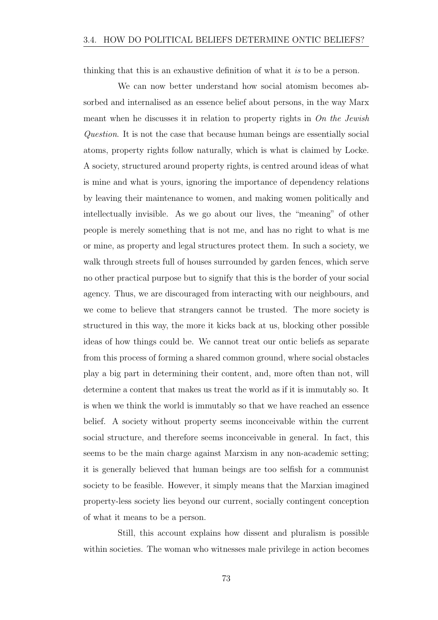thinking that this is an exhaustive definition of what it *is* to be a person.

We can now better understand how social atomism becomes absorbed and internalised as an essence belief about persons, in the way Marx meant when he discusses it in relation to property rights in *On the Jewish Question*. It is not the case that because human beings are essentially social atoms, property rights follow naturally, which is what is claimed by Locke. A society, structured around property rights, is centred around ideas of what is mine and what is yours, ignoring the importance of dependency relations by leaving their maintenance to women, and making women politically and intellectually invisible. As we go about our lives, the "meaning" of other people is merely something that is not me, and has no right to what is me or mine, as property and legal structures protect them. In such a society, we walk through streets full of houses surrounded by garden fences, which serve no other practical purpose but to signify that this is the border of your social agency. Thus, we are discouraged from interacting with our neighbours, and we come to believe that strangers cannot be trusted. The more society is structured in this way, the more it kicks back at us, blocking other possible ideas of how things could be. We cannot treat our ontic beliefs as separate from this process of forming a shared common ground, where social obstacles play a big part in determining their content, and, more often than not, will determine a content that makes us treat the world as if it is immutably so. It is when we think the world is immutably so that we have reached an essence belief. A society without property seems inconceivable within the current social structure, and therefore seems inconceivable in general. In fact, this seems to be the main charge against Marxism in any non-academic setting; it is generally believed that human beings are too selfish for a communist society to be feasible. However, it simply means that the Marxian imagined property-less society lies beyond our current, socially contingent conception of what it means to be a person.

Still, this account explains how dissent and pluralism is possible within societies. The woman who witnesses male privilege in action becomes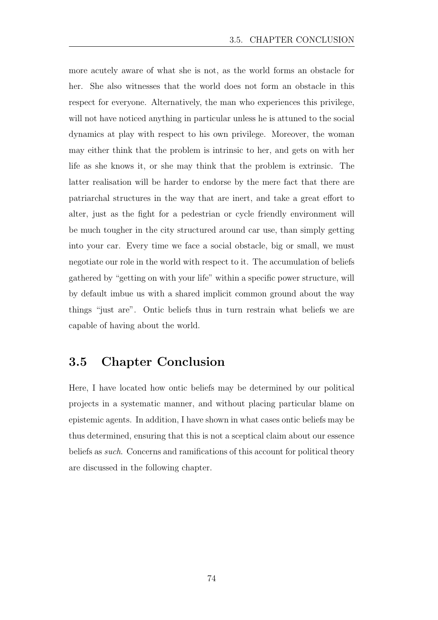more acutely aware of what she is not, as the world forms an obstacle for her. She also witnesses that the world does not form an obstacle in this respect for everyone. Alternatively, the man who experiences this privilege, will not have noticed anything in particular unless he is attuned to the social dynamics at play with respect to his own privilege. Moreover, the woman may either think that the problem is intrinsic to her, and gets on with her life as she knows it, or she may think that the problem is extrinsic. The latter realisation will be harder to endorse by the mere fact that there are patriarchal structures in the way that are inert, and take a great effort to alter, just as the fight for a pedestrian or cycle friendly environment will be much tougher in the city structured around car use, than simply getting into your car. Every time we face a social obstacle, big or small, we must negotiate our role in the world with respect to it. The accumulation of beliefs gathered by "getting on with your life" within a specific power structure, will by default imbue us with a shared implicit common ground about the way things "just are". Ontic beliefs thus in turn restrain what beliefs we are capable of having about the world.

#### 3.5 Chapter Conclusion

Here, I have located how ontic beliefs may be determined by our political projects in a systematic manner, and without placing particular blame on epistemic agents. In addition, I have shown in what cases ontic beliefs may be thus determined, ensuring that this is not a sceptical claim about our essence beliefs as *such*. Concerns and ramifications of this account for political theory are discussed in the following chapter.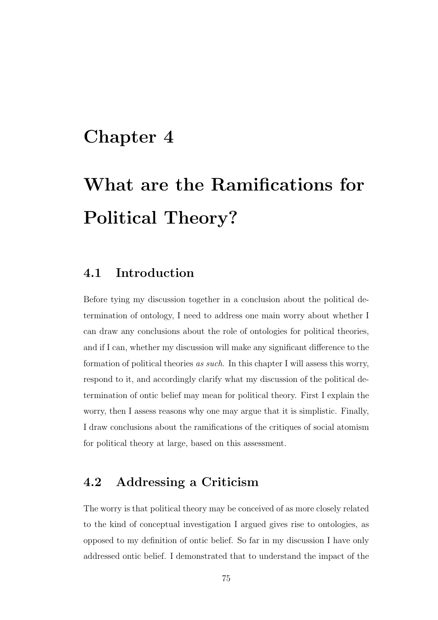## Chapter 4

# What are the Ramifications for Political Theory?

#### 4.1 Introduction

Before tying my discussion together in a conclusion about the political determination of ontology, I need to address one main worry about whether I can draw any conclusions about the role of ontologies for political theories, and if I can, whether my discussion will make any significant difference to the formation of political theories *as such*. In this chapter I will assess this worry, respond to it, and accordingly clarify what my discussion of the political determination of ontic belief may mean for political theory. First I explain the worry, then I assess reasons why one may argue that it is simplistic. Finally, I draw conclusions about the ramifications of the critiques of social atomism for political theory at large, based on this assessment.

#### 4.2 Addressing a Criticism

The worry is that political theory may be conceived of as more closely related to the kind of conceptual investigation I argued gives rise to ontologies, as opposed to my definition of ontic belief. So far in my discussion I have only addressed ontic belief. I demonstrated that to understand the impact of the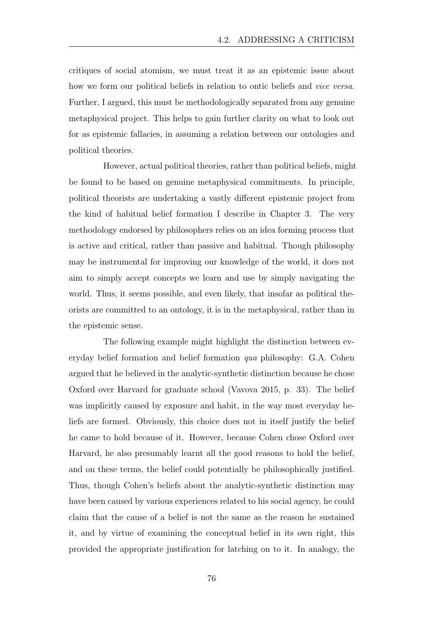critiques of social atomism, we must treat it as an epistemic issue about how we form our political beliefs in relation to ontic beliefs and *vice versa*. Further, I argued, this must be methodologically separated from any genuine metaphysical project. This helps to gain further clarity on what to look out for as epistemic fallacies, in assuming a relation between our ontologies and political theories.

However, actual political theories, rather than political beliefs, might be found to be based on genuine metaphysical commitments. In principle, political theorists are undertaking a vastly different epistemic project from the kind of habitual belief formation I describe in Chapter 3. The very methodology endorsed by philosophers relies on an idea forming process that is active and critical, rather than passive and habitual. Though philosophy may be instrumental for improving our knowledge of the world, it does not aim to simply accept concepts we learn and use by simply navigating the world. Thus, it seems possible, and even likely, that insofar as political theorists are committed to an ontology, it is in the metaphysical, rather than in the epistemic sense.

The following example might highlight the distinction between everyday belief formation and belief formation *qua* philosophy: G.A. Cohen argued that he believed in the analytic-synthetic distinction because he chose Oxford over Harvard for graduate school (Vavova 2015, p. 33). The belief was implicitly caused by exposure and habit, in the way most everyday beliefs are formed. Obviously, this choice does not in itself justify the belief he came to hold because of it. However, because Cohen chose Oxford over Harvard, he also presumably learnt all the good reasons to hold the belief, and on these terms, the belief could potentially be philosophically justified. Thus, though Cohen's beliefs about the analytic-synthetic distinction may have been caused by various experiences related to his social agency, he could claim that the cause of a belief is not the same as the reason he sustained it, and by virtue of examining the conceptual belief in its own right, this provided the appropriate justification for latching on to it. In analogy, the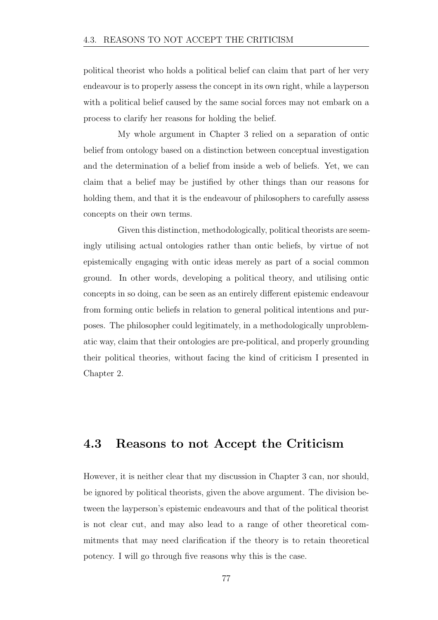political theorist who holds a political belief can claim that part of her very endeavour is to properly assess the concept in its own right, while a layperson with a political belief caused by the same social forces may not embark on a process to clarify her reasons for holding the belief.

My whole argument in Chapter 3 relied on a separation of ontic belief from ontology based on a distinction between conceptual investigation and the determination of a belief from inside a web of beliefs. Yet, we can claim that a belief may be justified by other things than our reasons for holding them, and that it is the endeavour of philosophers to carefully assess concepts on their own terms.

Given this distinction, methodologically, political theorists are seemingly utilising actual ontologies rather than ontic beliefs, by virtue of not epistemically engaging with ontic ideas merely as part of a social common ground. In other words, developing a political theory, and utilising ontic concepts in so doing, can be seen as an entirely different epistemic endeavour from forming ontic beliefs in relation to general political intentions and purposes. The philosopher could legitimately, in a methodologically unproblematic way, claim that their ontologies are pre-political, and properly grounding their political theories, without facing the kind of criticism I presented in Chapter 2.

#### 4.3 Reasons to not Accept the Criticism

However, it is neither clear that my discussion in Chapter 3 can, nor should, be ignored by political theorists, given the above argument. The division between the layperson's epistemic endeavours and that of the political theorist is not clear cut, and may also lead to a range of other theoretical commitments that may need clarification if the theory is to retain theoretical potency. I will go through five reasons why this is the case.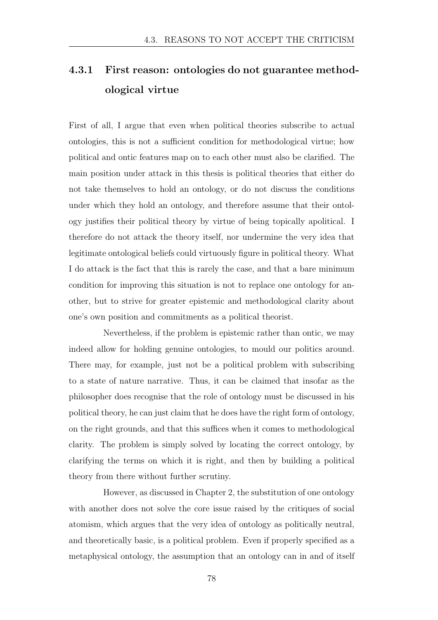### 4.3.1 First reason: ontologies do not guarantee methodological virtue

First of all, I argue that even when political theories subscribe to actual ontologies, this is not a sufficient condition for methodological virtue; how political and ontic features map on to each other must also be clarified. The main position under attack in this thesis is political theories that either do not take themselves to hold an ontology, or do not discuss the conditions under which they hold an ontology, and therefore assume that their ontology justifies their political theory by virtue of being topically apolitical. I therefore do not attack the theory itself, nor undermine the very idea that legitimate ontological beliefs could virtuously figure in political theory. What I do attack is the fact that this is rarely the case, and that a bare minimum condition for improving this situation is not to replace one ontology for another, but to strive for greater epistemic and methodological clarity about one's own position and commitments as a political theorist.

Nevertheless, if the problem is epistemic rather than ontic, we may indeed allow for holding genuine ontologies, to mould our politics around. There may, for example, just not be a political problem with subscribing to a state of nature narrative. Thus, it can be claimed that insofar as the philosopher does recognise that the role of ontology must be discussed in his political theory, he can just claim that he does have the right form of ontology, on the right grounds, and that this suffices when it comes to methodological clarity. The problem is simply solved by locating the correct ontology, by clarifying the terms on which it is right, and then by building a political theory from there without further scrutiny.

However, as discussed in Chapter 2, the substitution of one ontology with another does not solve the core issue raised by the critiques of social atomism, which argues that the very idea of ontology as politically neutral, and theoretically basic, is a political problem. Even if properly specified as a metaphysical ontology, the assumption that an ontology can in and of itself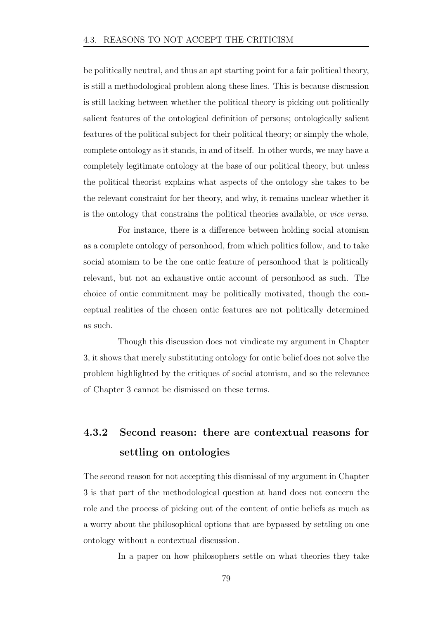be politically neutral, and thus an apt starting point for a fair political theory, is still a methodological problem along these lines. This is because discussion is still lacking between whether the political theory is picking out politically salient features of the ontological definition of persons; ontologically salient features of the political subject for their political theory; or simply the whole, complete ontology as it stands, in and of itself. In other words, we may have a completely legitimate ontology at the base of our political theory, but unless the political theorist explains what aspects of the ontology she takes to be the relevant constraint for her theory, and why, it remains unclear whether it is the ontology that constrains the political theories available, or *vice versa*.

For instance, there is a difference between holding social atomism as a complete ontology of personhood, from which politics follow, and to take social atomism to be the one ontic feature of personhood that is politically relevant, but not an exhaustive ontic account of personhood as such. The choice of ontic commitment may be politically motivated, though the conceptual realities of the chosen ontic features are not politically determined as such.

Though this discussion does not vindicate my argument in Chapter 3, it shows that merely substituting ontology for ontic belief does not solve the problem highlighted by the critiques of social atomism, and so the relevance of Chapter 3 cannot be dismissed on these terms.

### 4.3.2 Second reason: there are contextual reasons for settling on ontologies

The second reason for not accepting this dismissal of my argument in Chapter 3 is that part of the methodological question at hand does not concern the role and the process of picking out of the content of ontic beliefs as much as a worry about the philosophical options that are bypassed by settling on one ontology without a contextual discussion.

In a paper on how philosophers settle on what theories they take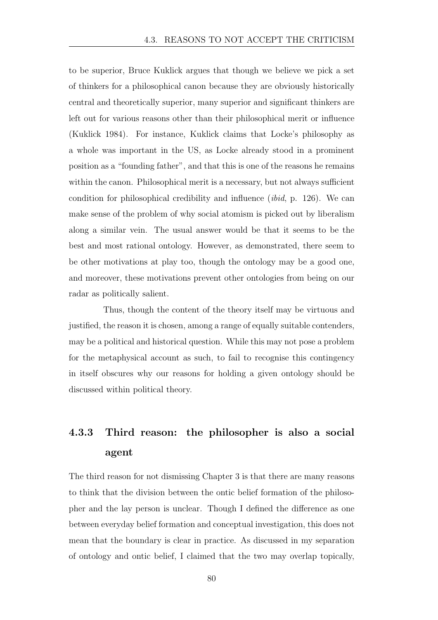to be superior, Bruce Kuklick argues that though we believe we pick a set of thinkers for a philosophical canon because they are obviously historically central and theoretically superior, many superior and significant thinkers are left out for various reasons other than their philosophical merit or influence (Kuklick 1984). For instance, Kuklick claims that Locke's philosophy as a whole was important in the US, as Locke already stood in a prominent position as a "founding father", and that this is one of the reasons he remains within the canon. Philosophical merit is a necessary, but not always sufficient condition for philosophical credibility and influence (*ibid*, p. 126). We can make sense of the problem of why social atomism is picked out by liberalism along a similar vein. The usual answer would be that it seems to be the best and most rational ontology. However, as demonstrated, there seem to be other motivations at play too, though the ontology may be a good one, and moreover, these motivations prevent other ontologies from being on our radar as politically salient.

Thus, though the content of the theory itself may be virtuous and justified, the reason it is chosen, among a range of equally suitable contenders, may be a political and historical question. While this may not pose a problem for the metaphysical account as such, to fail to recognise this contingency in itself obscures why our reasons for holding a given ontology should be discussed within political theory.

#### 4.3.3 Third reason: the philosopher is also a social agent

The third reason for not dismissing Chapter 3 is that there are many reasons to think that the division between the ontic belief formation of the philosopher and the lay person is unclear. Though I defined the difference as one between everyday belief formation and conceptual investigation, this does not mean that the boundary is clear in practice. As discussed in my separation of ontology and ontic belief, I claimed that the two may overlap topically,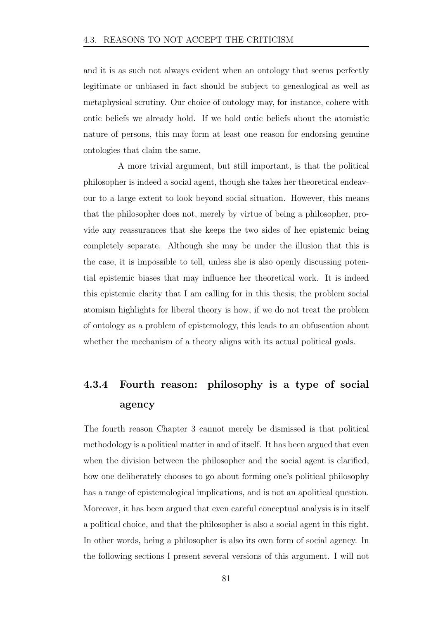and it is as such not always evident when an ontology that seems perfectly legitimate or unbiased in fact should be subject to genealogical as well as metaphysical scrutiny. Our choice of ontology may, for instance, cohere with ontic beliefs we already hold. If we hold ontic beliefs about the atomistic nature of persons, this may form at least one reason for endorsing genuine ontologies that claim the same.

A more trivial argument, but still important, is that the political philosopher is indeed a social agent, though she takes her theoretical endeavour to a large extent to look beyond social situation. However, this means that the philosopher does not, merely by virtue of being a philosopher, provide any reassurances that she keeps the two sides of her epistemic being completely separate. Although she may be under the illusion that this is the case, it is impossible to tell, unless she is also openly discussing potential epistemic biases that may influence her theoretical work. It is indeed this epistemic clarity that I am calling for in this thesis; the problem social atomism highlights for liberal theory is how, if we do not treat the problem of ontology as a problem of epistemology, this leads to an obfuscation about whether the mechanism of a theory aligns with its actual political goals.

#### 4.3.4 Fourth reason: philosophy is a type of social agency

The fourth reason Chapter 3 cannot merely be dismissed is that political methodology is a political matter in and of itself. It has been argued that even when the division between the philosopher and the social agent is clarified, how one deliberately chooses to go about forming one's political philosophy has a range of epistemological implications, and is not an apolitical question. Moreover, it has been argued that even careful conceptual analysis is in itself a political choice, and that the philosopher is also a social agent in this right. In other words, being a philosopher is also its own form of social agency. In the following sections I present several versions of this argument. I will not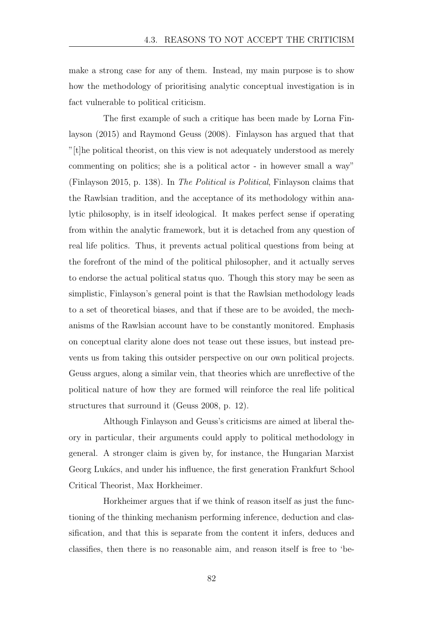make a strong case for any of them. Instead, my main purpose is to show how the methodology of prioritising analytic conceptual investigation is in fact vulnerable to political criticism.

The first example of such a critique has been made by Lorna Finlayson (2015) and Raymond Geuss (2008). Finlayson has argued that that "[t]he political theorist, on this view is not adequately understood as merely commenting on politics; she is a political actor - in however small a way" (Finlayson 2015, p. 138). In *The Political is Political*, Finlayson claims that the Rawlsian tradition, and the acceptance of its methodology within analytic philosophy, is in itself ideological. It makes perfect sense if operating from within the analytic framework, but it is detached from any question of real life politics. Thus, it prevents actual political questions from being at the forefront of the mind of the political philosopher, and it actually serves to endorse the actual political status quo. Though this story may be seen as simplistic, Finlayson's general point is that the Rawlsian methodology leads to a set of theoretical biases, and that if these are to be avoided, the mechanisms of the Rawlsian account have to be constantly monitored. Emphasis on conceptual clarity alone does not tease out these issues, but instead prevents us from taking this outsider perspective on our own political projects. Geuss argues, along a similar vein, that theories which are unreflective of the political nature of how they are formed will reinforce the real life political structures that surround it (Geuss 2008, p. 12).

Although Finlayson and Geuss's criticisms are aimed at liberal theory in particular, their arguments could apply to political methodology in general. A stronger claim is given by, for instance, the Hungarian Marxist Georg Lukács, and under his influence, the first generation Frankfurt School Critical Theorist, Max Horkheimer.

Horkheimer argues that if we think of reason itself as just the functioning of the thinking mechanism performing inference, deduction and classification, and that this is separate from the content it infers, deduces and classifies, then there is no reasonable aim, and reason itself is free to 'be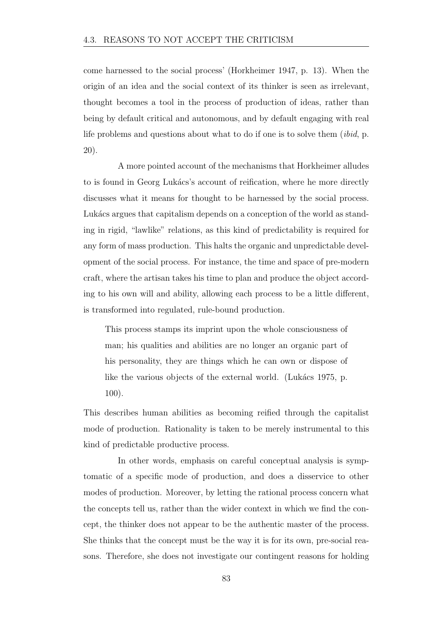come harnessed to the social process' (Horkheimer 1947, p. 13). When the origin of an idea and the social context of its thinker is seen as irrelevant, thought becomes a tool in the process of production of ideas, rather than being by default critical and autonomous, and by default engaging with real life problems and questions about what to do if one is to solve them (*ibid*, p. 20).

A more pointed account of the mechanisms that Horkheimer alludes to is found in Georg Lukács's account of reification, where he more directly discusses what it means for thought to be harnessed by the social process. Lukács argues that capitalism depends on a conception of the world as standing in rigid, "lawlike" relations, as this kind of predictability is required for any form of mass production. This halts the organic and unpredictable development of the social process. For instance, the time and space of pre-modern craft, where the artisan takes his time to plan and produce the object according to his own will and ability, allowing each process to be a little different, is transformed into regulated, rule-bound production.

This process stamps its imprint upon the whole consciousness of man; his qualities and abilities are no longer an organic part of his personality, they are things which he can own or dispose of like the various objects of the external world. (Lukács 1975, p. 100).

This describes human abilities as becoming reified through the capitalist mode of production. Rationality is taken to be merely instrumental to this kind of predictable productive process.

In other words, emphasis on careful conceptual analysis is symptomatic of a specific mode of production, and does a disservice to other modes of production. Moreover, by letting the rational process concern what the concepts tell us, rather than the wider context in which we find the concept, the thinker does not appear to be the authentic master of the process. She thinks that the concept must be the way it is for its own, pre-social reasons. Therefore, she does not investigate our contingent reasons for holding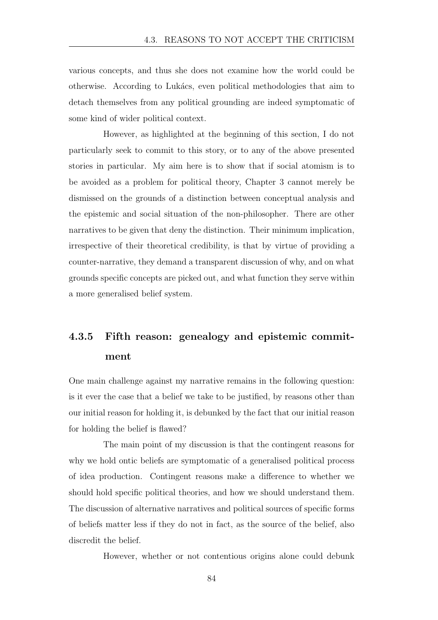various concepts, and thus she does not examine how the world could be otherwise. According to Luk´acs, even political methodologies that aim to detach themselves from any political grounding are indeed symptomatic of some kind of wider political context.

However, as highlighted at the beginning of this section, I do not particularly seek to commit to this story, or to any of the above presented stories in particular. My aim here is to show that if social atomism is to be avoided as a problem for political theory, Chapter 3 cannot merely be dismissed on the grounds of a distinction between conceptual analysis and the epistemic and social situation of the non-philosopher. There are other narratives to be given that deny the distinction. Their minimum implication, irrespective of their theoretical credibility, is that by virtue of providing a counter-narrative, they demand a transparent discussion of why, and on what grounds specific concepts are picked out, and what function they serve within a more generalised belief system.

### 4.3.5 Fifth reason: genealogy and epistemic commitment

One main challenge against my narrative remains in the following question: is it ever the case that a belief we take to be justified, by reasons other than our initial reason for holding it, is debunked by the fact that our initial reason for holding the belief is flawed?

The main point of my discussion is that the contingent reasons for why we hold ontic beliefs are symptomatic of a generalised political process of idea production. Contingent reasons make a difference to whether we should hold specific political theories, and how we should understand them. The discussion of alternative narratives and political sources of specific forms of beliefs matter less if they do not in fact, as the source of the belief, also discredit the belief.

However, whether or not contentious origins alone could debunk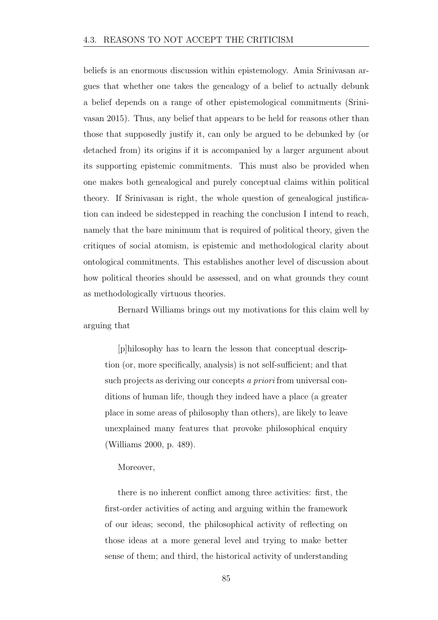beliefs is an enormous discussion within epistemology. Amia Srinivasan argues that whether one takes the genealogy of a belief to actually debunk a belief depends on a range of other epistemological commitments (Srinivasan 2015). Thus, any belief that appears to be held for reasons other than those that supposedly justify it, can only be argued to be debunked by (or detached from) its origins if it is accompanied by a larger argument about its supporting epistemic commitments. This must also be provided when one makes both genealogical and purely conceptual claims within political theory. If Srinivasan is right, the whole question of genealogical justification can indeed be sidestepped in reaching the conclusion I intend to reach, namely that the bare minimum that is required of political theory, given the critiques of social atomism, is epistemic and methodological clarity about ontological commitments. This establishes another level of discussion about how political theories should be assessed, and on what grounds they count as methodologically virtuous theories.

Bernard Williams brings out my motivations for this claim well by arguing that

[p]hilosophy has to learn the lesson that conceptual description (or, more specifically, analysis) is not self-sufficient; and that such projects as deriving our concepts *a priori* from universal conditions of human life, though they indeed have a place (a greater place in some areas of philosophy than others), are likely to leave unexplained many features that provoke philosophical enquiry (Williams 2000, p. 489).

#### Moreover,

there is no inherent conflict among three activities: first, the first-order activities of acting and arguing within the framework of our ideas; second, the philosophical activity of reflecting on those ideas at a more general level and trying to make better sense of them; and third, the historical activity of understanding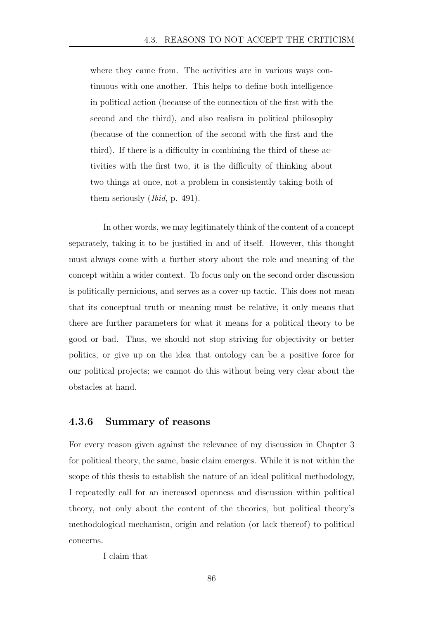where they came from. The activities are in various ways continuous with one another. This helps to define both intelligence in political action (because of the connection of the first with the second and the third), and also realism in political philosophy (because of the connection of the second with the first and the third). If there is a difficulty in combining the third of these activities with the first two, it is the difficulty of thinking about two things at once, not a problem in consistently taking both of them seriously (*Ibid*, p. 491).

In other words, we may legitimately think of the content of a concept separately, taking it to be justified in and of itself. However, this thought must always come with a further story about the role and meaning of the concept within a wider context. To focus only on the second order discussion is politically pernicious, and serves as a cover-up tactic. This does not mean that its conceptual truth or meaning must be relative, it only means that there are further parameters for what it means for a political theory to be good or bad. Thus, we should not stop striving for objectivity or better politics, or give up on the idea that ontology can be a positive force for our political projects; we cannot do this without being very clear about the obstacles at hand.

#### 4.3.6 Summary of reasons

For every reason given against the relevance of my discussion in Chapter 3 for political theory, the same, basic claim emerges. While it is not within the scope of this thesis to establish the nature of an ideal political methodology, I repeatedly call for an increased openness and discussion within political theory, not only about the content of the theories, but political theory's methodological mechanism, origin and relation (or lack thereof) to political concerns.

I claim that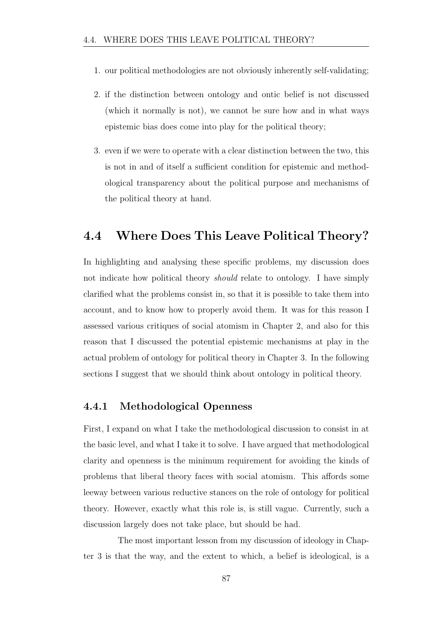- 1. our political methodologies are not obviously inherently self-validating;
- 2. if the distinction between ontology and ontic belief is not discussed (which it normally is not), we cannot be sure how and in what ways epistemic bias does come into play for the political theory;
- 3. even if we were to operate with a clear distinction between the two, this is not in and of itself a sufficient condition for epistemic and methodological transparency about the political purpose and mechanisms of the political theory at hand.

#### 4.4 Where Does This Leave Political Theory?

In highlighting and analysing these specific problems, my discussion does not indicate how political theory *should* relate to ontology. I have simply clarified what the problems consist in, so that it is possible to take them into account, and to know how to properly avoid them. It was for this reason I assessed various critiques of social atomism in Chapter 2, and also for this reason that I discussed the potential epistemic mechanisms at play in the actual problem of ontology for political theory in Chapter 3. In the following sections I suggest that we should think about ontology in political theory.

#### 4.4.1 Methodological Openness

First, I expand on what I take the methodological discussion to consist in at the basic level, and what I take it to solve. I have argued that methodological clarity and openness is the minimum requirement for avoiding the kinds of problems that liberal theory faces with social atomism. This affords some leeway between various reductive stances on the role of ontology for political theory. However, exactly what this role is, is still vague. Currently, such a discussion largely does not take place, but should be had.

The most important lesson from my discussion of ideology in Chapter 3 is that the way, and the extent to which, a belief is ideological, is a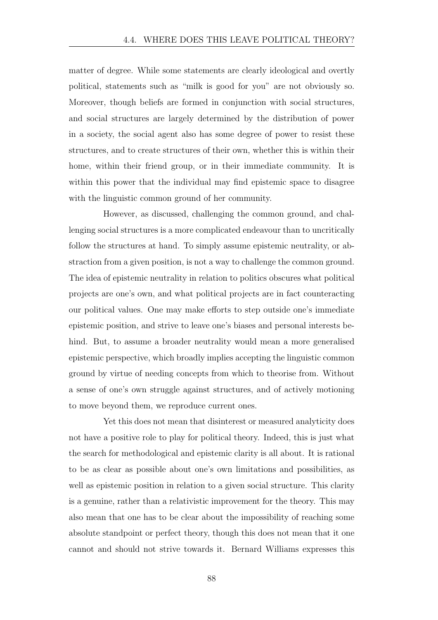matter of degree. While some statements are clearly ideological and overtly political, statements such as "milk is good for you" are not obviously so. Moreover, though beliefs are formed in conjunction with social structures, and social structures are largely determined by the distribution of power in a society, the social agent also has some degree of power to resist these structures, and to create structures of their own, whether this is within their home, within their friend group, or in their immediate community. It is within this power that the individual may find epistemic space to disagree with the linguistic common ground of her community.

However, as discussed, challenging the common ground, and challenging social structures is a more complicated endeavour than to uncritically follow the structures at hand. To simply assume epistemic neutrality, or abstraction from a given position, is not a way to challenge the common ground. The idea of epistemic neutrality in relation to politics obscures what political projects are one's own, and what political projects are in fact counteracting our political values. One may make efforts to step outside one's immediate epistemic position, and strive to leave one's biases and personal interests behind. But, to assume a broader neutrality would mean a more generalised epistemic perspective, which broadly implies accepting the linguistic common ground by virtue of needing concepts from which to theorise from. Without a sense of one's own struggle against structures, and of actively motioning to move beyond them, we reproduce current ones.

Yet this does not mean that disinterest or measured analyticity does not have a positive role to play for political theory. Indeed, this is just what the search for methodological and epistemic clarity is all about. It is rational to be as clear as possible about one's own limitations and possibilities, as well as epistemic position in relation to a given social structure. This clarity is a genuine, rather than a relativistic improvement for the theory. This may also mean that one has to be clear about the impossibility of reaching some absolute standpoint or perfect theory, though this does not mean that it one cannot and should not strive towards it. Bernard Williams expresses this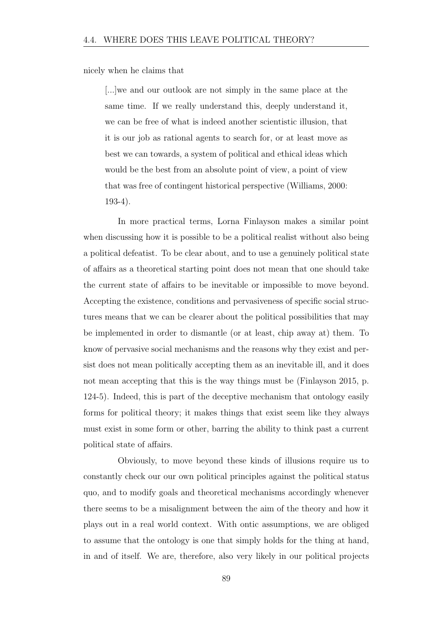nicely when he claims that

[...]we and our outlook are not simply in the same place at the same time. If we really understand this, deeply understand it, we can be free of what is indeed another scientistic illusion, that it is our job as rational agents to search for, or at least move as best we can towards, a system of political and ethical ideas which would be the best from an absolute point of view, a point of view that was free of contingent historical perspective (Williams, 2000: 193-4).

In more practical terms, Lorna Finlayson makes a similar point when discussing how it is possible to be a political realist without also being a political defeatist. To be clear about, and to use a genuinely political state of affairs as a theoretical starting point does not mean that one should take the current state of affairs to be inevitable or impossible to move beyond. Accepting the existence, conditions and pervasiveness of specific social structures means that we can be clearer about the political possibilities that may be implemented in order to dismantle (or at least, chip away at) them. To know of pervasive social mechanisms and the reasons why they exist and persist does not mean politically accepting them as an inevitable ill, and it does not mean accepting that this is the way things must be (Finlayson 2015, p. 124-5). Indeed, this is part of the deceptive mechanism that ontology easily forms for political theory; it makes things that exist seem like they always must exist in some form or other, barring the ability to think past a current political state of affairs.

Obviously, to move beyond these kinds of illusions require us to constantly check our our own political principles against the political status quo, and to modify goals and theoretical mechanisms accordingly whenever there seems to be a misalignment between the aim of the theory and how it plays out in a real world context. With ontic assumptions, we are obliged to assume that the ontology is one that simply holds for the thing at hand, in and of itself. We are, therefore, also very likely in our political projects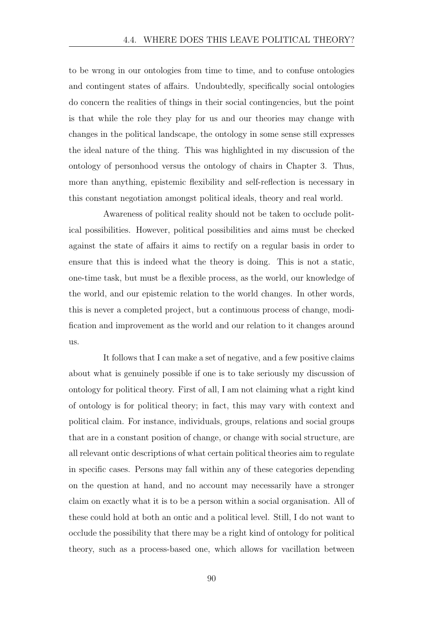to be wrong in our ontologies from time to time, and to confuse ontologies and contingent states of affairs. Undoubtedly, specifically social ontologies do concern the realities of things in their social contingencies, but the point is that while the role they play for us and our theories may change with changes in the political landscape, the ontology in some sense still expresses the ideal nature of the thing. This was highlighted in my discussion of the ontology of personhood versus the ontology of chairs in Chapter 3. Thus, more than anything, epistemic flexibility and self-reflection is necessary in this constant negotiation amongst political ideals, theory and real world.

Awareness of political reality should not be taken to occlude political possibilities. However, political possibilities and aims must be checked against the state of affairs it aims to rectify on a regular basis in order to ensure that this is indeed what the theory is doing. This is not a static, one-time task, but must be a flexible process, as the world, our knowledge of the world, and our epistemic relation to the world changes. In other words, this is never a completed project, but a continuous process of change, modification and improvement as the world and our relation to it changes around us.

It follows that I can make a set of negative, and a few positive claims about what is genuinely possible if one is to take seriously my discussion of ontology for political theory. First of all, I am not claiming what a right kind of ontology is for political theory; in fact, this may vary with context and political claim. For instance, individuals, groups, relations and social groups that are in a constant position of change, or change with social structure, are all relevant ontic descriptions of what certain political theories aim to regulate in specific cases. Persons may fall within any of these categories depending on the question at hand, and no account may necessarily have a stronger claim on exactly what it is to be a person within a social organisation. All of these could hold at both an ontic and a political level. Still, I do not want to occlude the possibility that there may be a right kind of ontology for political theory, such as a process-based one, which allows for vacillation between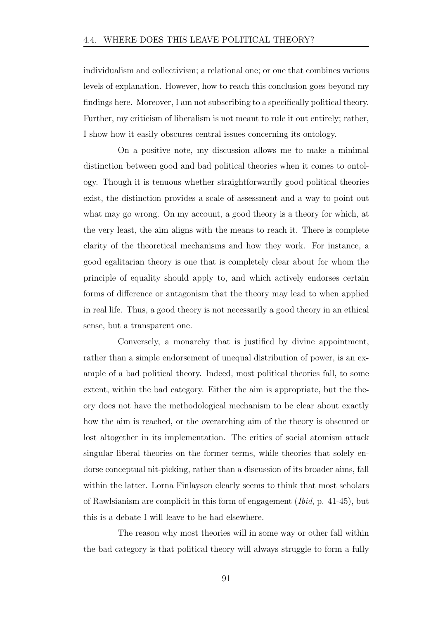individualism and collectivism; a relational one; or one that combines various levels of explanation. However, how to reach this conclusion goes beyond my findings here. Moreover, I am not subscribing to a specifically political theory. Further, my criticism of liberalism is not meant to rule it out entirely; rather, I show how it easily obscures central issues concerning its ontology.

On a positive note, my discussion allows me to make a minimal distinction between good and bad political theories when it comes to ontology. Though it is tenuous whether straightforwardly good political theories exist, the distinction provides a scale of assessment and a way to point out what may go wrong. On my account, a good theory is a theory for which, at the very least, the aim aligns with the means to reach it. There is complete clarity of the theoretical mechanisms and how they work. For instance, a good egalitarian theory is one that is completely clear about for whom the principle of equality should apply to, and which actively endorses certain forms of difference or antagonism that the theory may lead to when applied in real life. Thus, a good theory is not necessarily a good theory in an ethical sense, but a transparent one.

Conversely, a monarchy that is justified by divine appointment, rather than a simple endorsement of unequal distribution of power, is an example of a bad political theory. Indeed, most political theories fall, to some extent, within the bad category. Either the aim is appropriate, but the theory does not have the methodological mechanism to be clear about exactly how the aim is reached, or the overarching aim of the theory is obscured or lost altogether in its implementation. The critics of social atomism attack singular liberal theories on the former terms, while theories that solely endorse conceptual nit-picking, rather than a discussion of its broader aims, fall within the latter. Lorna Finlayson clearly seems to think that most scholars of Rawlsianism are complicit in this form of engagement (*Ibid*, p. 41-45), but this is a debate I will leave to be had elsewhere.

The reason why most theories will in some way or other fall within the bad category is that political theory will always struggle to form a fully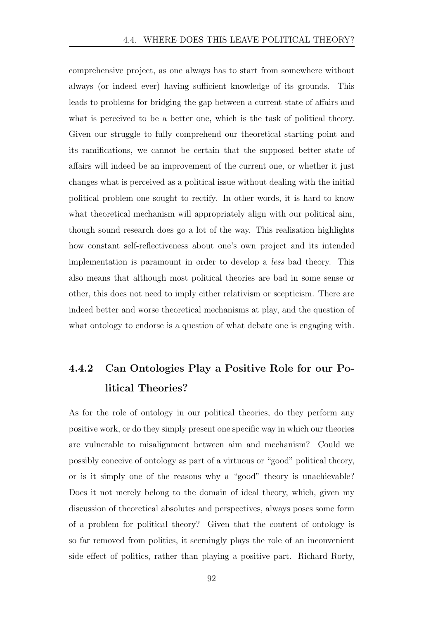comprehensive project, as one always has to start from somewhere without always (or indeed ever) having sufficient knowledge of its grounds. This leads to problems for bridging the gap between a current state of affairs and what is perceived to be a better one, which is the task of political theory. Given our struggle to fully comprehend our theoretical starting point and its ramifications, we cannot be certain that the supposed better state of affairs will indeed be an improvement of the current one, or whether it just changes what is perceived as a political issue without dealing with the initial political problem one sought to rectify. In other words, it is hard to know what theoretical mechanism will appropriately align with our political aim, though sound research does go a lot of the way. This realisation highlights how constant self-reflectiveness about one's own project and its intended implementation is paramount in order to develop a *less* bad theory. This also means that although most political theories are bad in some sense or other, this does not need to imply either relativism or scepticism. There are indeed better and worse theoretical mechanisms at play, and the question of what ontology to endorse is a question of what debate one is engaging with.

### 4.4.2 Can Ontologies Play a Positive Role for our Political Theories?

As for the role of ontology in our political theories, do they perform any positive work, or do they simply present one specific way in which our theories are vulnerable to misalignment between aim and mechanism? Could we possibly conceive of ontology as part of a virtuous or "good" political theory, or is it simply one of the reasons why a "good" theory is unachievable? Does it not merely belong to the domain of ideal theory, which, given my discussion of theoretical absolutes and perspectives, always poses some form of a problem for political theory? Given that the content of ontology is so far removed from politics, it seemingly plays the role of an inconvenient side effect of politics, rather than playing a positive part. Richard Rorty,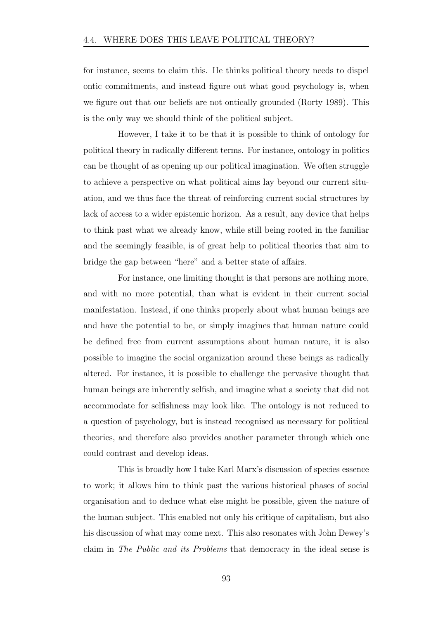for instance, seems to claim this. He thinks political theory needs to dispel ontic commitments, and instead figure out what good psychology is, when we figure out that our beliefs are not ontically grounded (Rorty 1989). This is the only way we should think of the political subject.

However, I take it to be that it is possible to think of ontology for political theory in radically different terms. For instance, ontology in politics can be thought of as opening up our political imagination. We often struggle to achieve a perspective on what political aims lay beyond our current situation, and we thus face the threat of reinforcing current social structures by lack of access to a wider epistemic horizon. As a result, any device that helps to think past what we already know, while still being rooted in the familiar and the seemingly feasible, is of great help to political theories that aim to bridge the gap between "here" and a better state of affairs.

For instance, one limiting thought is that persons are nothing more, and with no more potential, than what is evident in their current social manifestation. Instead, if one thinks properly about what human beings are and have the potential to be, or simply imagines that human nature could be defined free from current assumptions about human nature, it is also possible to imagine the social organization around these beings as radically altered. For instance, it is possible to challenge the pervasive thought that human beings are inherently selfish, and imagine what a society that did not accommodate for selfishness may look like. The ontology is not reduced to a question of psychology, but is instead recognised as necessary for political theories, and therefore also provides another parameter through which one could contrast and develop ideas.

This is broadly how I take Karl Marx's discussion of species essence to work; it allows him to think past the various historical phases of social organisation and to deduce what else might be possible, given the nature of the human subject. This enabled not only his critique of capitalism, but also his discussion of what may come next. This also resonates with John Dewey's claim in *The Public and its Problems* that democracy in the ideal sense is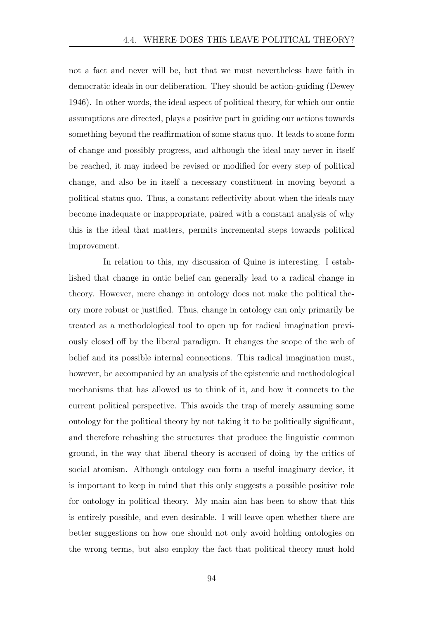not a fact and never will be, but that we must nevertheless have faith in democratic ideals in our deliberation. They should be action-guiding (Dewey 1946). In other words, the ideal aspect of political theory, for which our ontic assumptions are directed, plays a positive part in guiding our actions towards something beyond the reaffirmation of some status quo. It leads to some form of change and possibly progress, and although the ideal may never in itself be reached, it may indeed be revised or modified for every step of political change, and also be in itself a necessary constituent in moving beyond a political status quo. Thus, a constant reflectivity about when the ideals may become inadequate or inappropriate, paired with a constant analysis of why this is the ideal that matters, permits incremental steps towards political improvement.

In relation to this, my discussion of Quine is interesting. I established that change in ontic belief can generally lead to a radical change in theory. However, mere change in ontology does not make the political theory more robust or justified. Thus, change in ontology can only primarily be treated as a methodological tool to open up for radical imagination previously closed off by the liberal paradigm. It changes the scope of the web of belief and its possible internal connections. This radical imagination must, however, be accompanied by an analysis of the epistemic and methodological mechanisms that has allowed us to think of it, and how it connects to the current political perspective. This avoids the trap of merely assuming some ontology for the political theory by not taking it to be politically significant, and therefore rehashing the structures that produce the linguistic common ground, in the way that liberal theory is accused of doing by the critics of social atomism. Although ontology can form a useful imaginary device, it is important to keep in mind that this only suggests a possible positive role for ontology in political theory. My main aim has been to show that this is entirely possible, and even desirable. I will leave open whether there are better suggestions on how one should not only avoid holding ontologies on the wrong terms, but also employ the fact that political theory must hold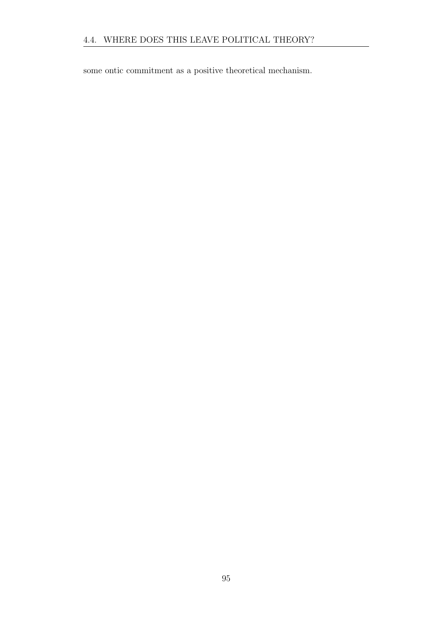some ontic commitment as a positive theoretical mechanism.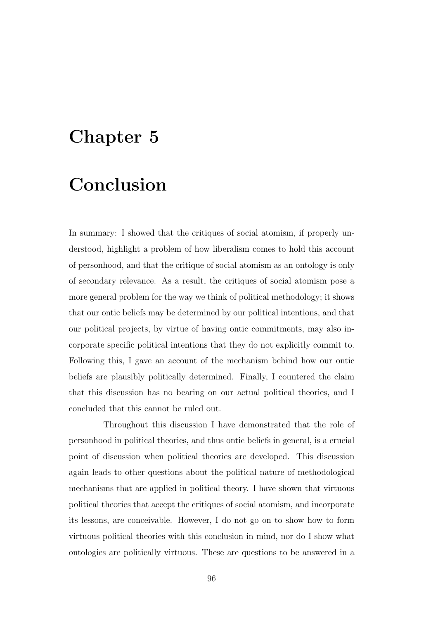# Chapter 5

# Conclusion

In summary: I showed that the critiques of social atomism, if properly understood, highlight a problem of how liberalism comes to hold this account of personhood, and that the critique of social atomism as an ontology is only of secondary relevance. As a result, the critiques of social atomism pose a more general problem for the way we think of political methodology; it shows that our ontic beliefs may be determined by our political intentions, and that our political projects, by virtue of having ontic commitments, may also incorporate specific political intentions that they do not explicitly commit to. Following this, I gave an account of the mechanism behind how our ontic beliefs are plausibly politically determined. Finally, I countered the claim that this discussion has no bearing on our actual political theories, and I concluded that this cannot be ruled out.

Throughout this discussion I have demonstrated that the role of personhood in political theories, and thus ontic beliefs in general, is a crucial point of discussion when political theories are developed. This discussion again leads to other questions about the political nature of methodological mechanisms that are applied in political theory. I have shown that virtuous political theories that accept the critiques of social atomism, and incorporate its lessons, are conceivable. However, I do not go on to show how to form virtuous political theories with this conclusion in mind, nor do I show what ontologies are politically virtuous. These are questions to be answered in a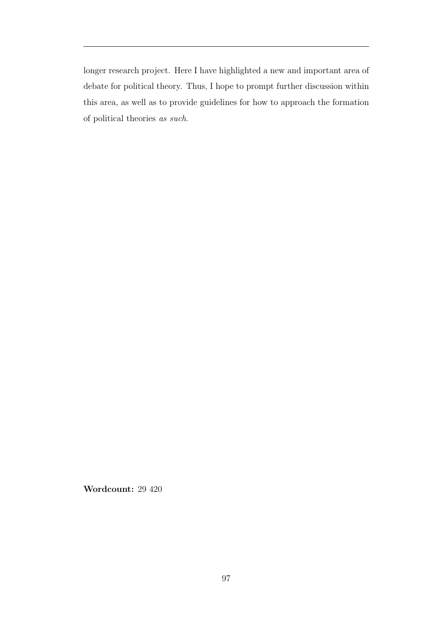longer research project. Here I have highlighted a new and important area of debate for political theory. Thus, I hope to prompt further discussion within this area, as well as to provide guidelines for how to approach the formation of political theories *as such*.

Wordcount: 29 420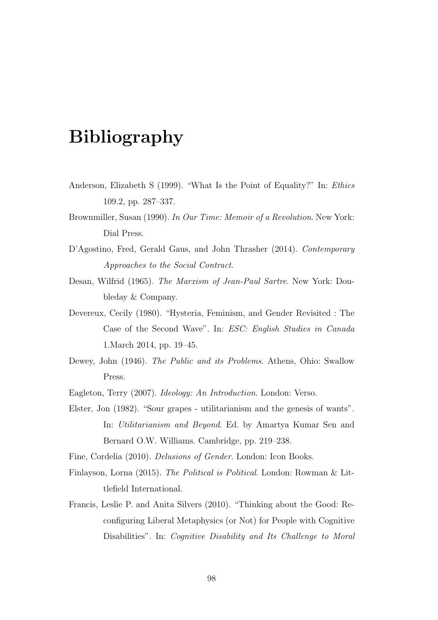# Bibliography

- Anderson, Elizabeth S (1999). "What Is the Point of Equality?" In: *Ethics* 109.2, pp. 287–337.
- Brownmiller, Susan (1990). *In Our Time: Memoir of a Revolution*. New York: Dial Press.
- D'Agostino, Fred, Gerald Gaus, and John Thrasher (2014). *Contemporary Approaches to the Social Contract*.
- Desan, Wilfrid (1965). *The Marxism of Jean-Paul Sartre*. New York: Doubleday & Company.
- Devereux, Cecily (1980). "Hysteria, Feminism, and Gender Revisited : The Case of the Second Wave". In: *ESC: English Studies in Canada* 1.March 2014, pp. 19–45.
- Dewey, John (1946). *The Public and its Problems*. Athens, Ohio: Swallow Press.
- Eagleton, Terry (2007). *Ideology: An Introduction*. London: Verso.
- Elster, Jon (1982). "Sour grapes utilitarianism and the genesis of wants". In: *Utilitarianism and Beyond*. Ed. by Amartya Kumar Sen and Bernard O.W. Williams. Cambridge, pp. 219–238.

Fine, Cordelia (2010). *Delusions of Gender*. London: Icon Books.

- Finlayson, Lorna (2015). *The Political is Political*. London: Rowman & Littlefield International.
- Francis, Leslie P. and Anita Silvers (2010). "Thinking about the Good: Reconfiguring Liberal Metaphysics (or Not) for People with Cognitive Disabilities". In: *Cognitive Disability and Its Challenge to Moral*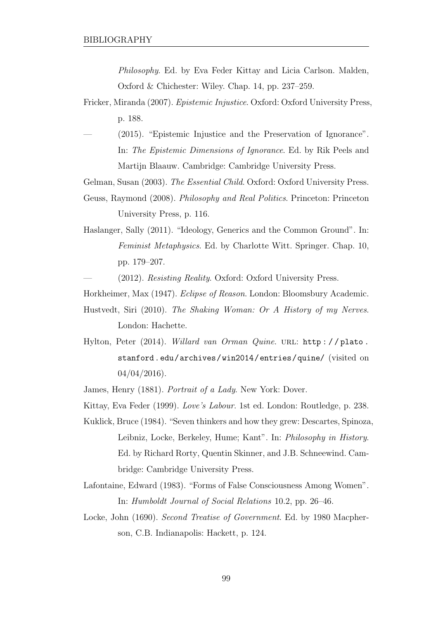*Philosophy*. Ed. by Eva Feder Kittay and Licia Carlson. Malden, Oxford & Chichester: Wiley. Chap. 14, pp. 237–259.

- Fricker, Miranda (2007). *Epistemic Injustice*. Oxford: Oxford University Press, p. 188.
- $(2015)$ . "Epistemic Injustice and the Preservation of Ignorance". In: *The Epistemic Dimensions of Ignorance*. Ed. by Rik Peels and Martijn Blaauw. Cambridge: Cambridge University Press.

Gelman, Susan (2003). *The Essential Child*. Oxford: Oxford University Press.

- Geuss, Raymond (2008). *Philosophy and Real Politics*. Princeton: Princeton University Press, p. 116.
- Haslanger, Sally (2011). "Ideology, Generics and the Common Ground". In: *Feminist Metaphysics*. Ed. by Charlotte Witt. Springer. Chap. 10, pp. 179–207.

— (2012). *Resisting Reality*. Oxford: Oxford University Press.

Horkheimer, Max (1947). *Eclipse of Reason*. London: Bloomsbury Academic.

- Hustvedt, Siri (2010). *The Shaking Woman: Or A History of my Nerves*. London: Hachette.
- Hylton, Peter (2014). *Willard van Orman Quine*. URL: http://plato. stanford.edu/archives/win2014/entries/quine/ (visited on 04/04/2016).

James, Henry (1881). *Portrait of a Lady*. New York: Dover.

- Kittay, Eva Feder (1999). *Love's Labour*. 1st ed. London: Routledge, p. 238.
- Kuklick, Bruce (1984). "Seven thinkers and how they grew: Descartes, Spinoza, Leibniz, Locke, Berkeley, Hume; Kant". In: *Philosophy in History*. Ed. by Richard Rorty, Quentin Skinner, and J.B. Schneewind. Cambridge: Cambridge University Press.
- Lafontaine, Edward (1983). "Forms of False Consciousness Among Women". In: *Humboldt Journal of Social Relations* 10.2, pp. 26–46.
- Locke, John (1690). *Second Treatise of Government*. Ed. by 1980 Macpherson, C.B. Indianapolis: Hackett, p. 124.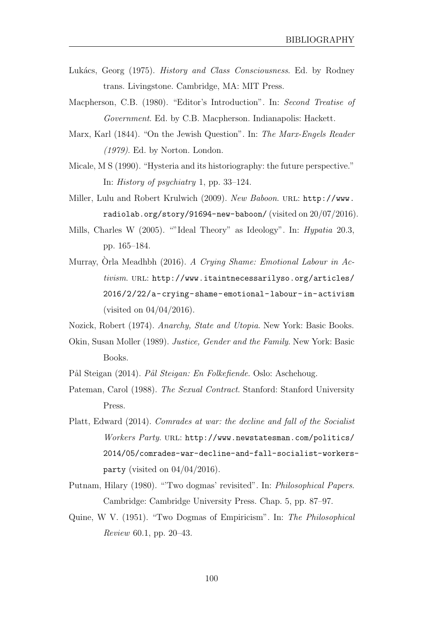- Luk´acs, Georg (1975). *History and Class Consciousness*. Ed. by Rodney trans. Livingstone. Cambridge, MA: MIT Press.
- Macpherson, C.B. (1980). "Editor's Introduction". In: *Second Treatise of Government*. Ed. by C.B. Macpherson. Indianapolis: Hackett.
- Marx, Karl (1844). "On the Jewish Question". In: *The Marx-Engels Reader (1979)*. Ed. by Norton. London.
- Micale, M S (1990). "Hysteria and its historiography: the future perspective." In: *History of psychiatry* 1, pp. 33–124.
- Miller, Lulu and Robert Krulwich (2009). *New Baboon*. url: http://www. radiolab.org/story/91694-new-baboon/ (visited on 20/07/2016).
- Mills, Charles W (2005). ""Ideal Theory" as Ideology". In: *Hypatia* 20.3, pp. 165–184.
- Murray, Òrla Meadhbh (2016). *A Crying Shame: Emotional Labour in Activism*. url: http://www.itaintnecessarilyso.org/articles/ 2016/2/22/a-crying-shame-emotional-labour-in-activism (visited on 04/04/2016).
- Nozick, Robert (1974). *Anarchy, State and Utopia*. New York: Basic Books.
- Okin, Susan Moller (1989). *Justice, Gender and the Family*. New York: Basic Books.
- Pål Steigan (2014). *Pål Steigan: En Folkefiende*. Oslo: Aschehoug.
- Pateman, Carol (1988). *The Sexual Contract*. Stanford: Stanford University Press.
- Platt, Edward (2014). *Comrades at war: the decline and fall of the Socialist Workers Party*. url: http://www.newstatesman.com/politics/ 2014/05/comrades-war-decline-and-fall-socialist-workersparty (visited on  $04/04/2016$ ).
- Putnam, Hilary (1980). "'Two dogmas' revisited". In: *Philosophical Papers*. Cambridge: Cambridge University Press. Chap. 5, pp. 87–97.
- Quine, W V. (1951). "Two Dogmas of Empiricism". In: *The Philosophical Review* 60.1, pp. 20–43.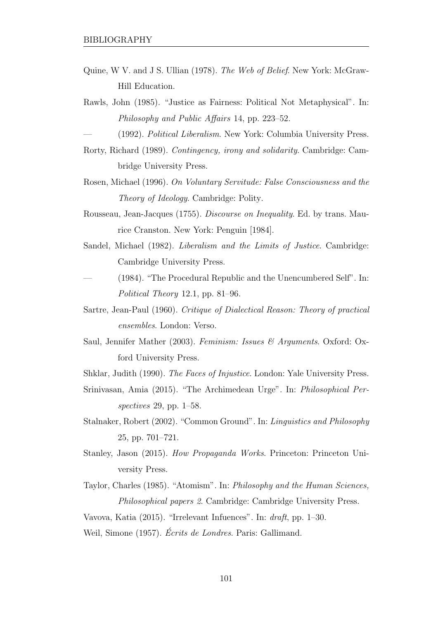- Quine, W V. and J S. Ullian (1978). *The Web of Belief*. New York: McGraw-Hill Education.
- Rawls, John (1985). "Justice as Fairness: Political Not Metaphysical". In: *Philosophy and Public Affairs* 14, pp. 223–52.
- (1992). *Political Liberalism*. New York: Columbia University Press.
- Rorty, Richard (1989). *Contingency, irony and solidarity*. Cambridge: Cambridge University Press.
- Rosen, Michael (1996). *On Voluntary Servitude: False Consciousness and the Theory of Ideology*. Cambridge: Polity.
- Rousseau, Jean-Jacques (1755). *Discourse on Inequality*. Ed. by trans. Maurice Cranston. New York: Penguin [1984].
- Sandel, Michael (1982). *Liberalism and the Limits of Justice*. Cambridge: Cambridge University Press.
- (1984). "The Procedural Republic and the Unencumbered Self". In: *Political Theory* 12.1, pp. 81–96.
- Sartre, Jean-Paul (1960). *Critique of Dialectical Reason: Theory of practical ensembles*. London: Verso.
- Saul, Jennifer Mather (2003). *Feminism: Issues & Arguments*. Oxford: Oxford University Press.
- Shklar, Judith (1990). *The Faces of Injustice*. London: Yale University Press.
- Srinivasan, Amia (2015). "The Archimedean Urge". In: *Philosophical Perspectives* 29, pp. 1–58.
- Stalnaker, Robert (2002). "Common Ground". In: *Linguistics and Philosophy* 25, pp. 701–721.
- Stanley, Jason (2015). *How Propaganda Works*. Princeton: Princeton University Press.
- Taylor, Charles (1985). "Atomism". In: *Philosophy and the Human Sciences, Philosophical papers 2*. Cambridge: Cambridge University Press.

Vavova, Katia (2015). "Irrelevant Infuences". In: *draft*, pp. 1–30.

Weil, Simone (1957). *Écrits de Londres*. Paris: Gallimand.